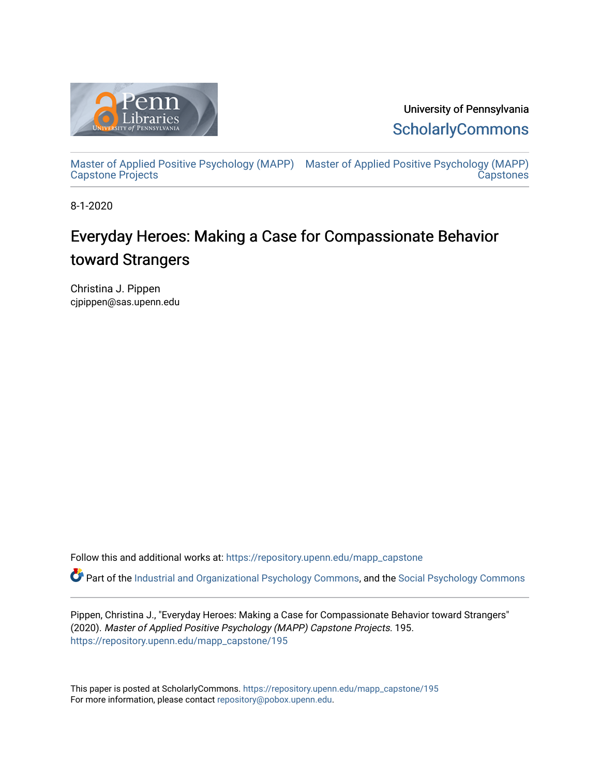

University of Pennsylvania **ScholarlyCommons** 

[Master of Applied Positive Psychology \(MAPP\)](https://repository.upenn.edu/mapp_capstone) [Master of Applied Positive Psychology \(MAPP\)](https://repository.upenn.edu/mapp_capstones)  Capstone Projects **Capstones** 

8-1-2020

# Everyday Heroes: Making a Case for Compassionate Behavior toward Strangers

Christina J. Pippen cjpippen@sas.upenn.edu

Follow this and additional works at: [https://repository.upenn.edu/mapp\\_capstone](https://repository.upenn.edu/mapp_capstone?utm_source=repository.upenn.edu%2Fmapp_capstone%2F195&utm_medium=PDF&utm_campaign=PDFCoverPages) 

Part of the [Industrial and Organizational Psychology Commons,](http://network.bepress.com/hgg/discipline/412?utm_source=repository.upenn.edu%2Fmapp_capstone%2F195&utm_medium=PDF&utm_campaign=PDFCoverPages) and the [Social Psychology Commons](http://network.bepress.com/hgg/discipline/414?utm_source=repository.upenn.edu%2Fmapp_capstone%2F195&utm_medium=PDF&utm_campaign=PDFCoverPages)

Pippen, Christina J., "Everyday Heroes: Making a Case for Compassionate Behavior toward Strangers" (2020). Master of Applied Positive Psychology (MAPP) Capstone Projects. 195. [https://repository.upenn.edu/mapp\\_capstone/195](https://repository.upenn.edu/mapp_capstone/195?utm_source=repository.upenn.edu%2Fmapp_capstone%2F195&utm_medium=PDF&utm_campaign=PDFCoverPages) 

This paper is posted at ScholarlyCommons. [https://repository.upenn.edu/mapp\\_capstone/195](https://repository.upenn.edu/mapp_capstone/195)  For more information, please contact [repository@pobox.upenn.edu.](mailto:repository@pobox.upenn.edu)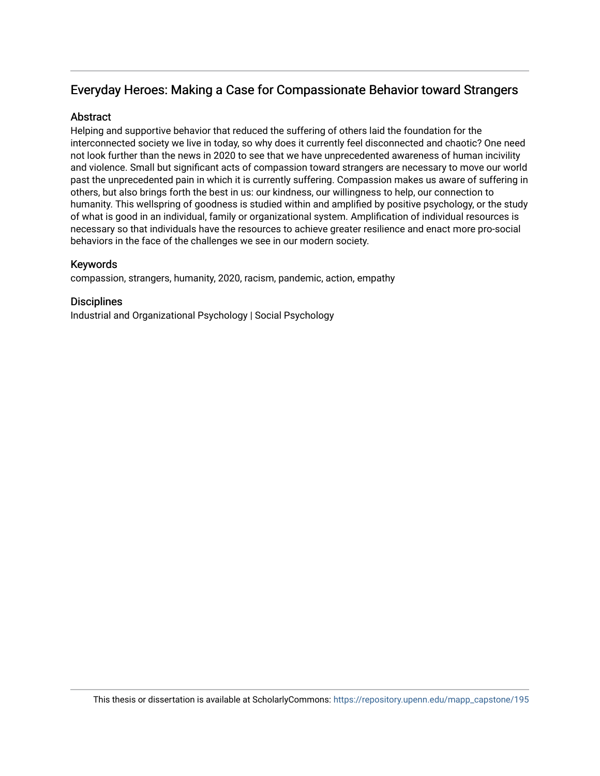## Everyday Heroes: Making a Case for Compassionate Behavior toward Strangers

## **Abstract**

Helping and supportive behavior that reduced the suffering of others laid the foundation for the interconnected society we live in today, so why does it currently feel disconnected and chaotic? One need not look further than the news in 2020 to see that we have unprecedented awareness of human incivility and violence. Small but significant acts of compassion toward strangers are necessary to move our world past the unprecedented pain in which it is currently suffering. Compassion makes us aware of suffering in others, but also brings forth the best in us: our kindness, our willingness to help, our connection to humanity. This wellspring of goodness is studied within and amplified by positive psychology, or the study of what is good in an individual, family or organizational system. Amplification of individual resources is necessary so that individuals have the resources to achieve greater resilience and enact more pro-social behaviors in the face of the challenges we see in our modern society.

## Keywords

compassion, strangers, humanity, 2020, racism, pandemic, action, empathy

## **Disciplines**

Industrial and Organizational Psychology | Social Psychology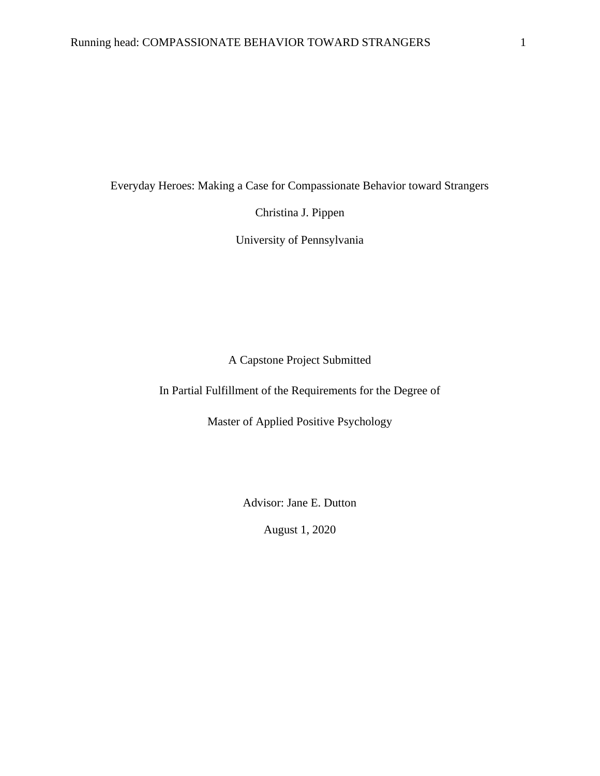Everyday Heroes: Making a Case for Compassionate Behavior toward Strangers

Christina J. Pippen

University of Pennsylvania

A Capstone Project Submitted

In Partial Fulfillment of the Requirements for the Degree of

Master of Applied Positive Psychology

Advisor: Jane E. Dutton

August 1, 2020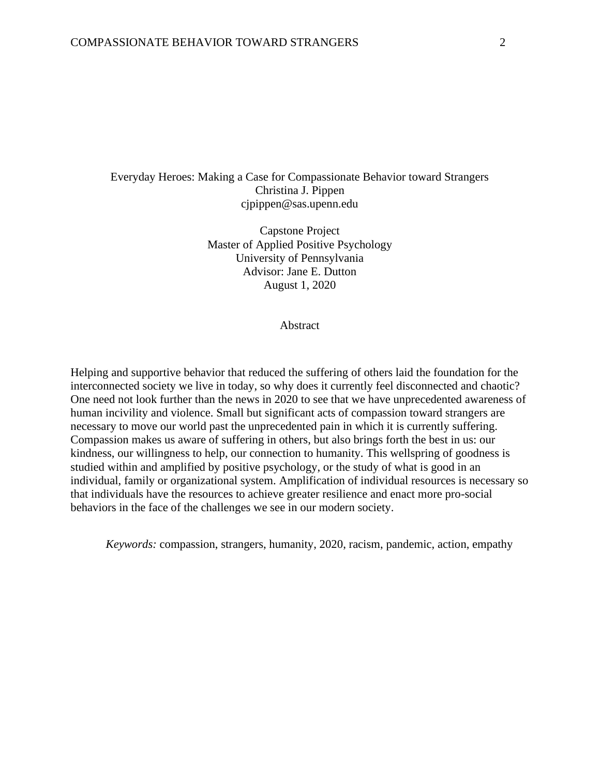## Everyday Heroes: Making a Case for Compassionate Behavior toward Strangers Christina J. Pippen cjpippen@sas.upenn.edu

Capstone Project Master of Applied Positive Psychology University of Pennsylvania Advisor: Jane E. Dutton August 1, 2020

Abstract

Helping and supportive behavior that reduced the suffering of others laid the foundation for the interconnected society we live in today, so why does it currently feel disconnected and chaotic? One need not look further than the news in 2020 to see that we have unprecedented awareness of human incivility and violence. Small but significant acts of compassion toward strangers are necessary to move our world past the unprecedented pain in which it is currently suffering. Compassion makes us aware of suffering in others, but also brings forth the best in us: our kindness, our willingness to help, our connection to humanity. This wellspring of goodness is studied within and amplified by positive psychology, or the study of what is good in an individual, family or organizational system. Amplification of individual resources is necessary so that individuals have the resources to achieve greater resilience and enact more pro-social behaviors in the face of the challenges we see in our modern society.

*Keywords:* compassion, strangers, humanity, 2020, racism, pandemic, action, empathy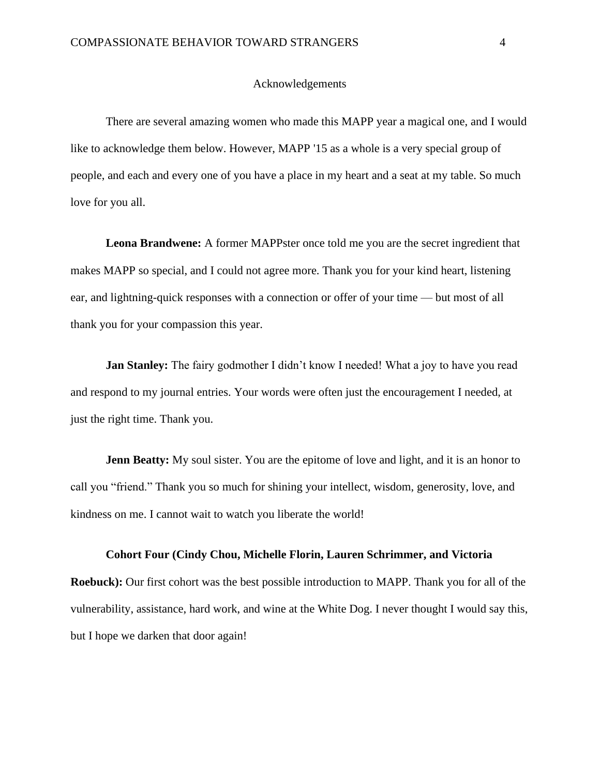#### Acknowledgements

There are several amazing women who made this MAPP year a magical one, and I would like to acknowledge them below. However, MAPP '15 as a whole is a very special group of people, and each and every one of you have a place in my heart and a seat at my table. So much love for you all.

**Leona Brandwene:** A former MAPPster once told me you are the secret ingredient that makes MAPP so special, and I could not agree more. Thank you for your kind heart, listening ear, and lightning-quick responses with a connection or offer of your time — but most of all thank you for your compassion this year.

**Jan Stanley:** The fairy godmother I didn't know I needed! What a joy to have you read and respond to my journal entries. Your words were often just the encouragement I needed, at just the right time. Thank you.

**Jenn Beatty:** My soul sister. You are the epitome of love and light, and it is an honor to call you "friend." Thank you so much for shining your intellect, wisdom, generosity, love, and kindness on me. I cannot wait to watch you liberate the world!

#### **Cohort Four (Cindy Chou, Michelle Florin, Lauren Schrimmer, and Victoria**

**Roebuck):** Our first cohort was the best possible introduction to MAPP. Thank you for all of the vulnerability, assistance, hard work, and wine at the White Dog. I never thought I would say this, but I hope we darken that door again!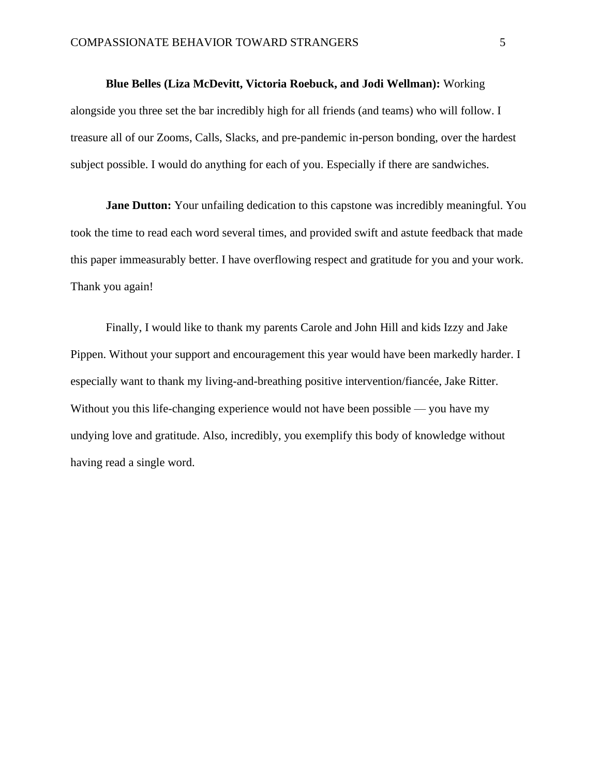#### **Blue Belles (Liza McDevitt, Victoria Roebuck, and Jodi Wellman):** Working

alongside you three set the bar incredibly high for all friends (and teams) who will follow. I treasure all of our Zooms, Calls, Slacks, and pre-pandemic in-person bonding, over the hardest subject possible. I would do anything for each of you. Especially if there are sandwiches.

**Jane Dutton:** Your unfailing dedication to this capstone was incredibly meaningful. You took the time to read each word several times, and provided swift and astute feedback that made this paper immeasurably better. I have overflowing respect and gratitude for you and your work. Thank you again!

Finally, I would like to thank my parents Carole and John Hill and kids Izzy and Jake Pippen. Without your support and encouragement this year would have been markedly harder. I especially want to thank my living-and-breathing positive intervention/fiancée, Jake Ritter. Without you this life-changing experience would not have been possible — you have my undying love and gratitude. Also, incredibly, you exemplify this body of knowledge without having read a single word.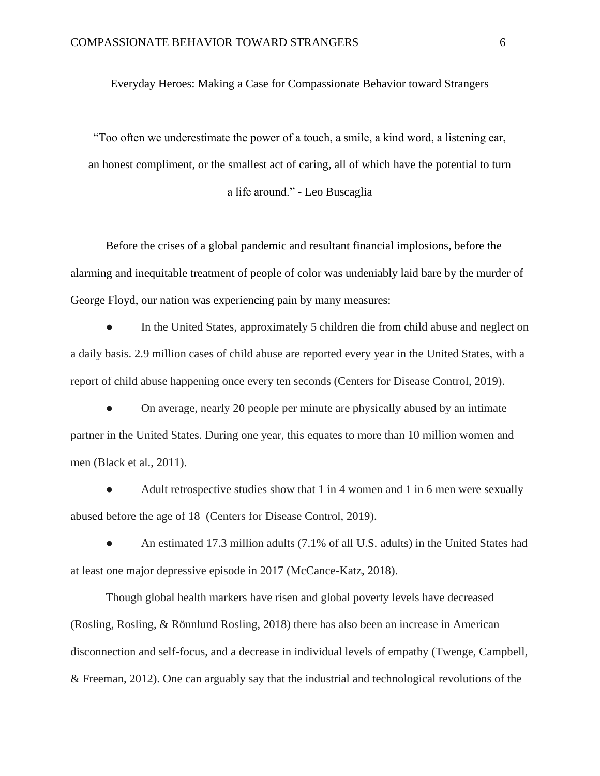Everyday Heroes: Making a Case for Compassionate Behavior toward Strangers

"Too often we underestimate the power of a touch, a smile, a kind word, a listening ear, an honest compliment, or the smallest act of caring, all of which have the potential to turn

a life around." - Leo Buscaglia

Before the crises of a global pandemic and resultant financial implosions, before the alarming and inequitable treatment of people of color was undeniably laid bare by the murder of George Floyd, our nation was experiencing pain by many measures:

In the United States, approximately 5 children die from child abuse and neglect on a daily basis. 2.9 million cases of child abuse are reported every year in the United States, with a report of child abuse happening once every ten seconds (Centers for Disease Control, 2019).

On average, nearly 20 people per minute are physically abused by an intimate partner in the United States. During one year, this equates to more than 10 million women and men (Black et al., 2011).

Adult retrospective studies show that  $1$  in  $4$  women and  $1$  in  $6$  men were sexually abused before the age of 18 (Centers for Disease Control, 2019).

• An estimated 17.3 million adults (7.1% of all U.S. adults) in the United States had at least one major depressive episode in 2017 (McCance-Katz, 2018).

Though global health markers have risen and global poverty levels have decreased (Rosling, Rosling, & Rönnlund Rosling, 2018) there has also been an increase in American disconnection and self-focus, and a decrease in individual levels of empathy (Twenge, Campbell, & Freeman, 2012). One can arguably say that the industrial and technological revolutions of the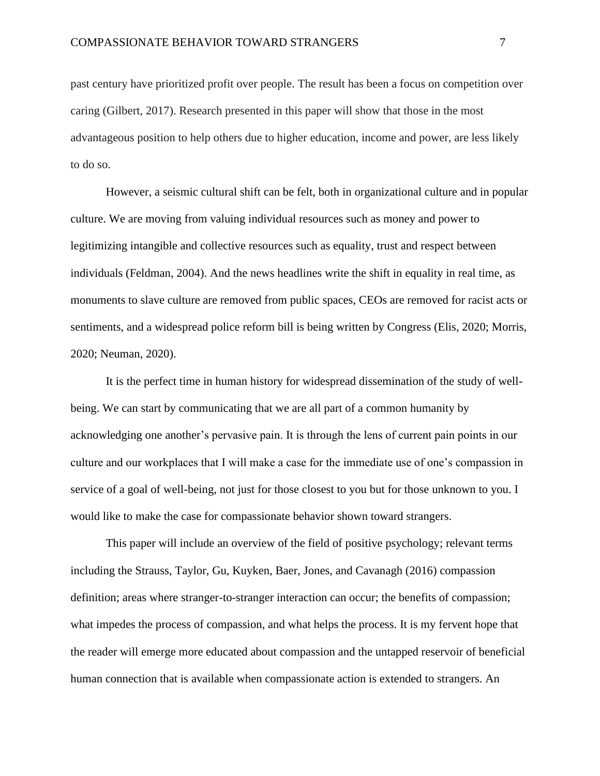past century have prioritized profit over people. The result has been a focus on competition over caring (Gilbert, 2017). Research presented in this paper will show that those in the most advantageous position to help others due to higher education, income and power, are less likely to do so.

However, a seismic cultural shift can be felt, both in organizational culture and in popular culture. We are moving from valuing individual resources such as money and power to legitimizing intangible and collective resources such as equality, trust and respect between individuals (Feldman, 2004). And the news headlines write the shift in equality in real time, as monuments to slave culture are removed from public spaces, CEOs are removed for racist acts or sentiments, and a widespread police reform bill is being written by Congress (Elis, 2020; Morris, 2020; Neuman, 2020).

It is the perfect time in human history for widespread dissemination of the study of wellbeing. We can start by communicating that we are all part of a common humanity by acknowledging one another's pervasive pain. It is through the lens of current pain points in our culture and our workplaces that I will make a case for the immediate use of one's compassion in service of a goal of well-being, not just for those closest to you but for those unknown to you. I would like to make the case for compassionate behavior shown toward strangers.

This paper will include an overview of the field of positive psychology; relevant terms including the Strauss, Taylor, Gu, Kuyken, Baer, Jones, and Cavanagh (2016) compassion definition; areas where stranger-to-stranger interaction can occur; the benefits of compassion; what impedes the process of compassion, and what helps the process. It is my fervent hope that the reader will emerge more educated about compassion and the untapped reservoir of beneficial human connection that is available when compassionate action is extended to strangers. An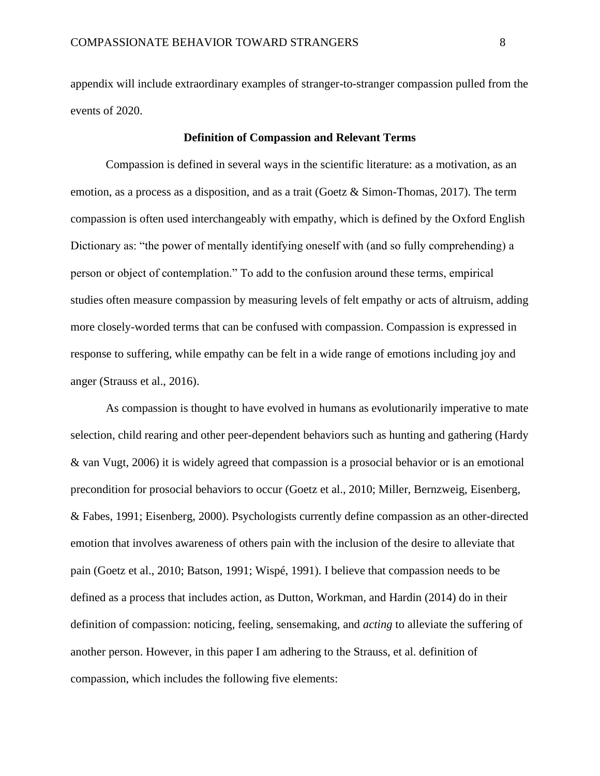appendix will include extraordinary examples of stranger-to-stranger compassion pulled from the events of 2020.

#### **Definition of Compassion and Relevant Terms**

Compassion is defined in several ways in the scientific literature: as a motivation, as an emotion, as a process as a disposition, and as a trait (Goetz & Simon-Thomas, 2017). The term compassion is often used interchangeably with empathy, which is defined by the Oxford English Dictionary as: "the power of mentally identifying oneself with (and so fully comprehending) a person or object of contemplation." To add to the confusion around these terms, empirical studies often measure compassion by measuring levels of felt empathy or acts of altruism, adding more closely-worded terms that can be confused with compassion. Compassion is expressed in response to suffering, while empathy can be felt in a wide range of emotions including joy and anger (Strauss et al., 2016).

As compassion is thought to have evolved in humans as evolutionarily imperative to mate selection, child rearing and other peer-dependent behaviors such as hunting and gathering (Hardy & van Vugt, 2006) it is widely agreed that compassion is a prosocial behavior or is an emotional precondition for prosocial behaviors to occur (Goetz et al., 2010; Miller, Bernzweig, Eisenberg, & Fabes, 1991; Eisenberg, 2000). Psychologists currently define compassion as an other-directed emotion that involves awareness of others pain with the inclusion of the desire to alleviate that pain (Goetz et al., 2010; Batson, 1991; Wispé, 1991). I believe that compassion needs to be defined as a process that includes action, as Dutton, Workman, and Hardin (2014) do in their definition of compassion: noticing, feeling, sensemaking, and *acting* to alleviate the suffering of another person. However, in this paper I am adhering to the Strauss, et al. definition of compassion, which includes the following five elements: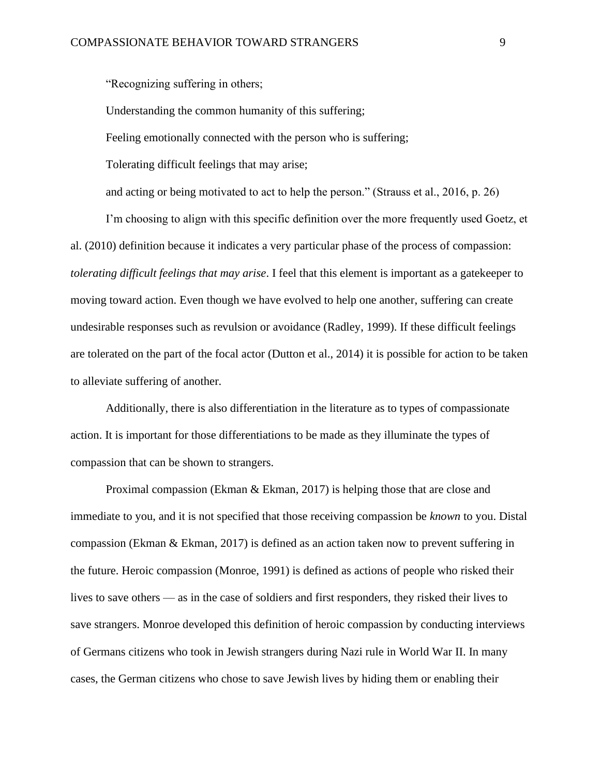"Recognizing suffering in others;

Understanding the common humanity of this suffering;

Feeling emotionally connected with the person who is suffering;

Tolerating difficult feelings that may arise;

and acting or being motivated to act to help the person." (Strauss et al., 2016, p. 26)

I'm choosing to align with this specific definition over the more frequently used Goetz, et al. (2010) definition because it indicates a very particular phase of the process of compassion: *tolerating difficult feelings that may arise*. I feel that this element is important as a gatekeeper to moving toward action. Even though we have evolved to help one another, suffering can create undesirable responses such as revulsion or avoidance (Radley, 1999). If these difficult feelings are tolerated on the part of the focal actor (Dutton et al., 2014) it is possible for action to be taken to alleviate suffering of another.

Additionally, there is also differentiation in the literature as to types of compassionate action. It is important for those differentiations to be made as they illuminate the types of compassion that can be shown to strangers.

Proximal compassion (Ekman & Ekman, 2017) is helping those that are close and immediate to you, and it is not specified that those receiving compassion be *known* to you. Distal compassion (Ekman & Ekman, 2017) is defined as an action taken now to prevent suffering in the future. Heroic compassion (Monroe, 1991) is defined as actions of people who risked their lives to save others — as in the case of soldiers and first responders, they risked their lives to save strangers. Monroe developed this definition of heroic compassion by conducting interviews of Germans citizens who took in Jewish strangers during Nazi rule in World War II. In many cases, the German citizens who chose to save Jewish lives by hiding them or enabling their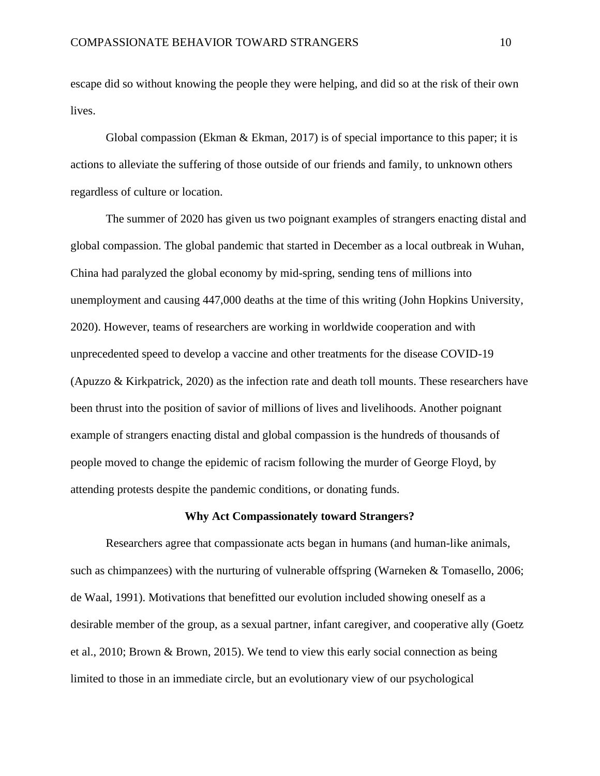escape did so without knowing the people they were helping, and did so at the risk of their own lives.

Global compassion (Ekman  $\&$  Ekman, 2017) is of special importance to this paper; it is actions to alleviate the suffering of those outside of our friends and family, to unknown others regardless of culture or location.

The summer of 2020 has given us two poignant examples of strangers enacting distal and global compassion. The global pandemic that started in December as a local outbreak in Wuhan, China had paralyzed the global economy by mid-spring, sending tens of millions into unemployment and causing 447,000 deaths at the time of this writing (John Hopkins University, 2020). However, teams of researchers are working in worldwide cooperation and with unprecedented speed to develop a vaccine and other treatments for the disease COVID-19 (Apuzzo & Kirkpatrick, 2020) as the infection rate and death toll mounts. These researchers have been thrust into the position of savior of millions of lives and livelihoods. Another poignant example of strangers enacting distal and global compassion is the hundreds of thousands of people moved to change the epidemic of racism following the murder of George Floyd, by attending protests despite the pandemic conditions, or donating funds.

#### **Why Act Compassionately toward Strangers?**

Researchers agree that compassionate acts began in humans (and human-like animals, such as chimpanzees) with the nurturing of vulnerable offspring (Warneken & Tomasello, 2006; de Waal, 1991). Motivations that benefitted our evolution included showing oneself as a desirable member of the group, as a sexual partner, infant caregiver, and cooperative ally (Goetz et al., 2010; Brown & Brown, 2015). We tend to view this early social connection as being limited to those in an immediate circle, but an evolutionary view of our psychological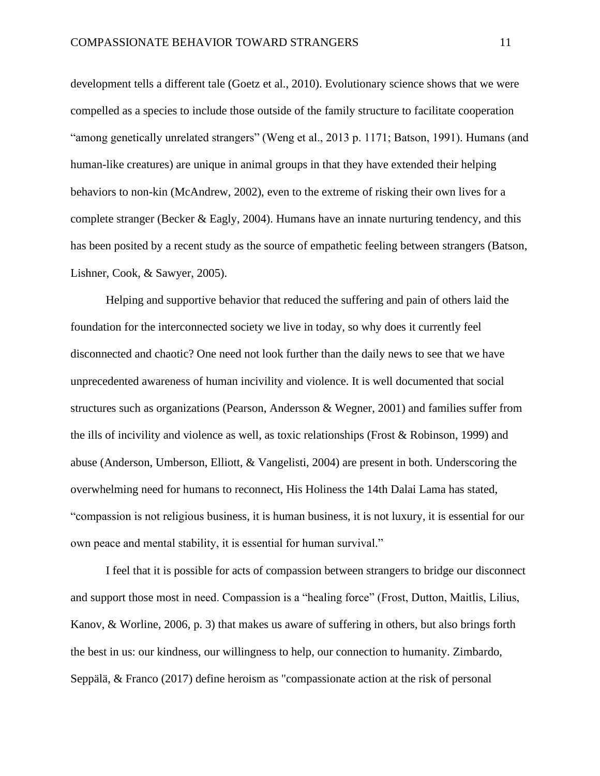development tells a different tale (Goetz et al., 2010). Evolutionary science shows that we were compelled as a species to include those outside of the family structure to facilitate cooperation "among genetically unrelated strangers" (Weng et al., 2013 p. 1171; Batson, 1991). Humans (and human-like creatures) are unique in animal groups in that they have extended their helping behaviors to non-kin (McAndrew, 2002), even to the extreme of risking their own lives for a complete stranger (Becker & Eagly, 2004). Humans have an innate nurturing tendency, and this has been posited by a recent study as the source of empathetic feeling between strangers (Batson, Lishner, Cook, & Sawyer, 2005).

Helping and supportive behavior that reduced the suffering and pain of others laid the foundation for the interconnected society we live in today, so why does it currently feel disconnected and chaotic? One need not look further than the daily news to see that we have unprecedented awareness of human incivility and violence. It is well documented that social structures such as organizations (Pearson, Andersson & Wegner, 2001) and families suffer from the ills of incivility and violence as well, as toxic relationships (Frost & Robinson, 1999) and abuse (Anderson, Umberson, Elliott, & Vangelisti, 2004) are present in both. Underscoring the overwhelming need for humans to reconnect, His Holiness the 14th Dalai Lama has stated, "compassion is not religious business, it is human business, it is not luxury, it is essential for our own peace and mental stability, it is essential for human survival."

I feel that it is possible for acts of compassion between strangers to bridge our disconnect and support those most in need. Compassion is a "healing force" (Frost, Dutton, Maitlis, Lilius, Kanov, & Worline, 2006, p. 3) that makes us aware of suffering in others, but also brings forth the best in us: our kindness, our willingness to help, our connection to humanity. Zimbardo, Seppälä, & Franco (2017) define heroism as "compassionate action at the risk of personal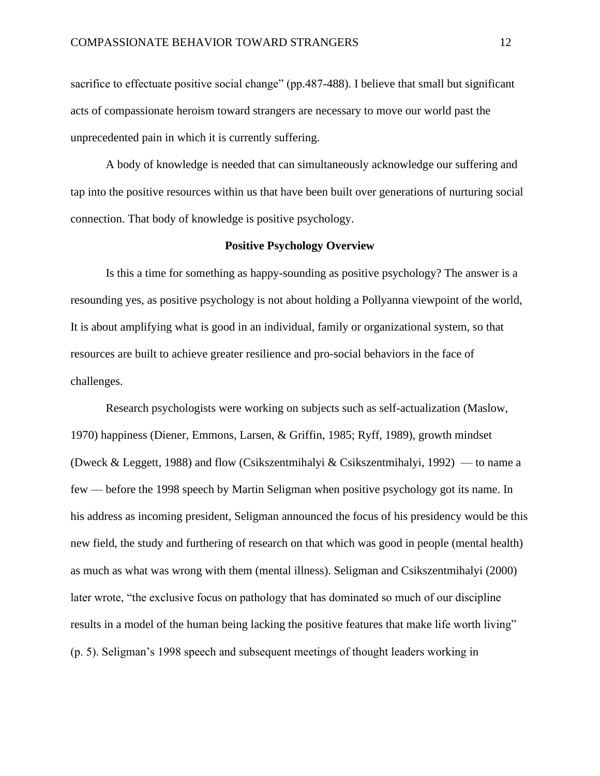sacrifice to effectuate positive social change" (pp.487-488). I believe that small but significant acts of compassionate heroism toward strangers are necessary to move our world past the unprecedented pain in which it is currently suffering.

A body of knowledge is needed that can simultaneously acknowledge our suffering and tap into the positive resources within us that have been built over generations of nurturing social connection. That body of knowledge is positive psychology.

#### **Positive Psychology Overview**

Is this a time for something as happy-sounding as positive psychology? The answer is a resounding yes, as positive psychology is not about holding a Pollyanna viewpoint of the world, It is about amplifying what is good in an individual, family or organizational system, so that resources are built to achieve greater resilience and pro-social behaviors in the face of challenges.

Research psychologists were working on subjects such as self-actualization (Maslow, 1970) happiness (Diener, Emmons, Larsen, & Griffin, 1985; Ryff, 1989), growth mindset (Dweck & Leggett, 1988) and flow (Csikszentmihalyi & Csikszentmihalyi, 1992) — to name a few — before the 1998 speech by Martin Seligman when positive psychology got its name. In his address as incoming president, Seligman announced the focus of his presidency would be this new field, the study and furthering of research on that which was good in people (mental health) as much as what was wrong with them (mental illness). Seligman and Csikszentmihalyi (2000) later wrote, "the exclusive focus on pathology that has dominated so much of our discipline results in a model of the human being lacking the positive features that make life worth living" (p. 5). Seligman's 1998 speech and subsequent meetings of thought leaders working in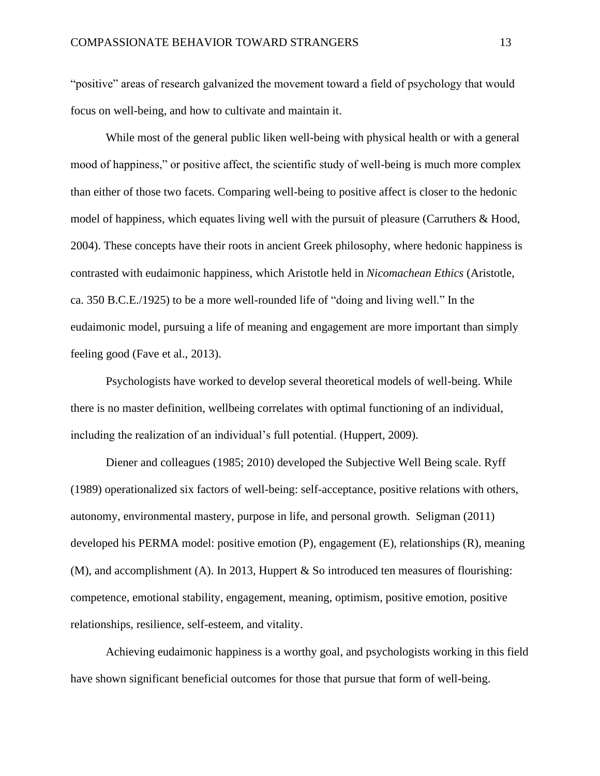"positive" areas of research galvanized the movement toward a field of psychology that would focus on well-being, and how to cultivate and maintain it.

While most of the general public liken well-being with physical health or with a general mood of happiness," or positive affect, the scientific study of well-being is much more complex than either of those two facets. Comparing well-being to positive affect is closer to the hedonic model of happiness, which equates living well with the pursuit of pleasure (Carruthers  $\&$  Hood, 2004). These concepts have their roots in ancient Greek philosophy, where hedonic happiness is contrasted with eudaimonic happiness, which Aristotle held in *Nicomachean Ethics* (Aristotle, ca. 350 B.C.E./1925) to be a more well-rounded life of "doing and living well." In the eudaimonic model, pursuing a life of meaning and engagement are more important than simply feeling good (Fave et al., 2013).

Psychologists have worked to develop several theoretical models of well-being. While there is no master definition, wellbeing correlates with optimal functioning of an individual, including the realization of an individual's full potential. (Huppert, 2009).

Diener and colleagues (1985; 2010) developed the Subjective Well Being scale. Ryff (1989) operationalized six factors of well-being: self-acceptance, positive relations with others, autonomy, environmental mastery, purpose in life, and personal growth. Seligman (2011) developed his PERMA model: positive emotion (P), engagement (E), relationships (R), meaning (M), and accomplishment (A). In 2013, Huppert & So introduced ten measures of flourishing: competence, emotional stability, engagement, meaning, optimism, positive emotion, positive relationships, resilience, self-esteem, and vitality.

Achieving eudaimonic happiness is a worthy goal, and psychologists working in this field have shown significant beneficial outcomes for those that pursue that form of well-being.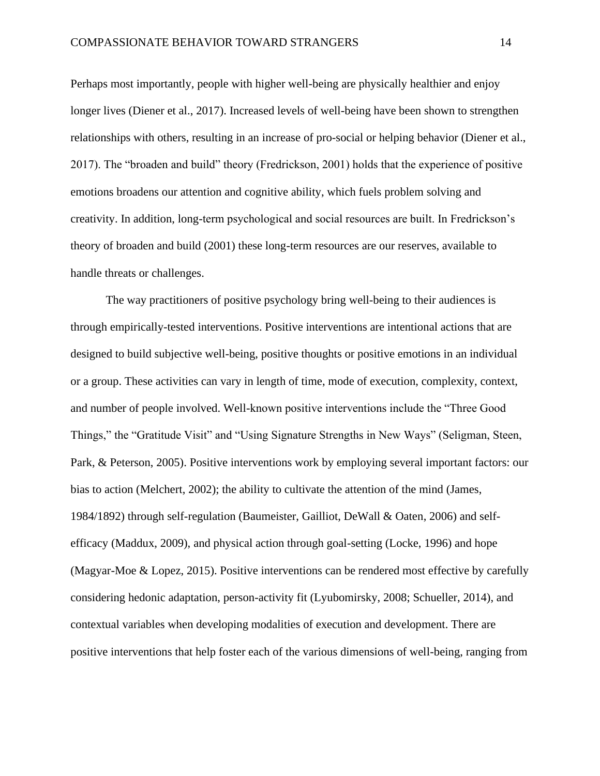Perhaps most importantly, people with higher well-being are physically healthier and enjoy longer lives (Diener et al., 2017). Increased levels of well-being have been shown to strengthen relationships with others, resulting in an increase of pro-social or helping behavior (Diener et al., 2017). The "broaden and build" theory (Fredrickson, 2001) holds that the experience of positive emotions broadens our attention and cognitive ability, which fuels problem solving and creativity. In addition, long-term psychological and social resources are built. In Fredrickson's theory of broaden and build (2001) these long-term resources are our reserves, available to handle threats or challenges.

The way practitioners of positive psychology bring well-being to their audiences is through empirically-tested interventions. Positive interventions are intentional actions that are designed to build subjective well-being, positive thoughts or positive emotions in an individual or a group. These activities can vary in length of time, mode of execution, complexity, context, and number of people involved. Well-known positive interventions include the "Three Good Things," the "Gratitude Visit" and "Using Signature Strengths in New Ways" (Seligman, Steen, Park, & Peterson, 2005). Positive interventions work by employing several important factors: our bias to action (Melchert, 2002); the ability to cultivate the attention of the mind (James, 1984/1892) through self-regulation (Baumeister, Gailliot, DeWall & Oaten, 2006) and selfefficacy (Maddux, 2009), and physical action through goal-setting (Locke, 1996) and hope (Magyar-Moe & Lopez, 2015). Positive interventions can be rendered most effective by carefully considering hedonic adaptation, person-activity fit (Lyubomirsky, 2008; Schueller, 2014), and contextual variables when developing modalities of execution and development. There are positive interventions that help foster each of the various dimensions of well-being, ranging from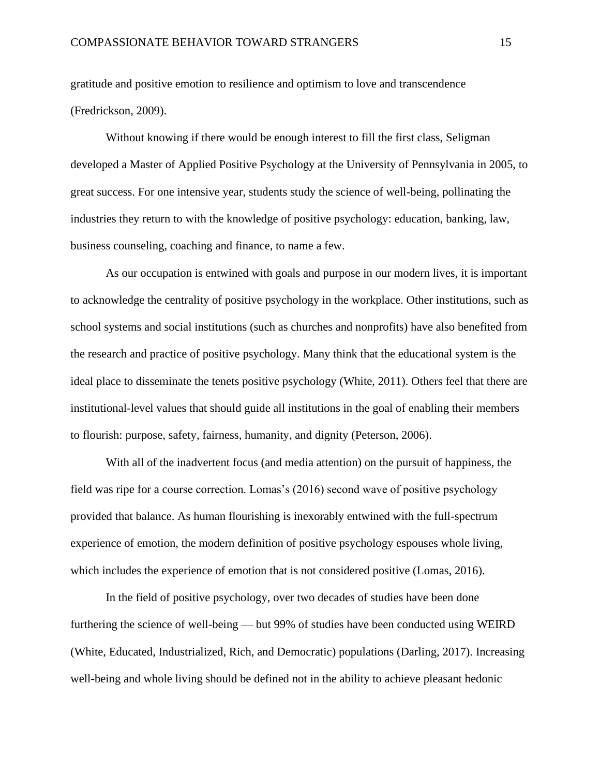gratitude and positive emotion to resilience and optimism to love and transcendence (Fredrickson, 2009).

Without knowing if there would be enough interest to fill the first class, Seligman developed a Master of Applied Positive Psychology at the University of Pennsylvania in 2005, to great success. For one intensive year, students study the science of well-being, pollinating the industries they return to with the knowledge of positive psychology: education, banking, law, business counseling, coaching and finance, to name a few.

As our occupation is entwined with goals and purpose in our modern lives, it is important to acknowledge the centrality of positive psychology in the workplace. Other institutions, such as school systems and social institutions (such as churches and nonprofits) have also benefited from the research and practice of positive psychology. Many think that the educational system is the ideal place to disseminate the tenets positive psychology (White, 2011). Others feel that there are institutional-level values that should guide all institutions in the goal of enabling their members to flourish: purpose, safety, fairness, humanity, and dignity (Peterson, 2006).

With all of the inadvertent focus (and media attention) on the pursuit of happiness, the field was ripe for a course correction. Lomas's (2016) second wave of positive psychology provided that balance. As human flourishing is inexorably entwined with the full-spectrum experience of emotion, the modern definition of positive psychology espouses whole living, which includes the experience of emotion that is not considered positive (Lomas, 2016).

In the field of positive psychology, over two decades of studies have been done furthering the science of well-being — but 99% of studies have been conducted using WEIRD (White, Educated, Industrialized, Rich, and Democratic) populations (Darling, 2017). Increasing well-being and whole living should be defined not in the ability to achieve pleasant hedonic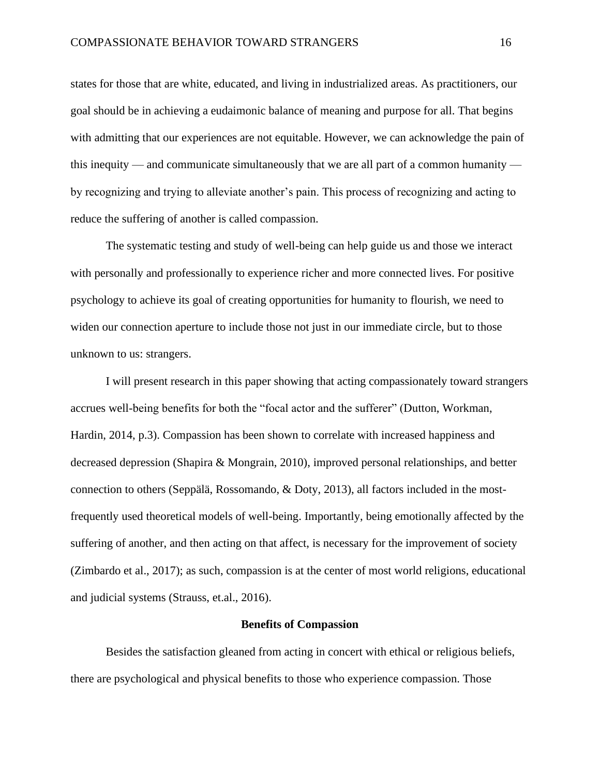states for those that are white, educated, and living in industrialized areas. As practitioners, our goal should be in achieving a eudaimonic balance of meaning and purpose for all. That begins with admitting that our experiences are not equitable. However, we can acknowledge the pain of this inequity — and communicate simultaneously that we are all part of a common humanity by recognizing and trying to alleviate another's pain. This process of recognizing and acting to reduce the suffering of another is called compassion.

The systematic testing and study of well-being can help guide us and those we interact with personally and professionally to experience richer and more connected lives. For positive psychology to achieve its goal of creating opportunities for humanity to flourish, we need to widen our connection aperture to include those not just in our immediate circle, but to those unknown to us: strangers.

I will present research in this paper showing that acting compassionately toward strangers accrues well-being benefits for both the "focal actor and the sufferer" (Dutton, Workman, Hardin, 2014, p.3). Compassion has been shown to correlate with increased happiness and decreased depression (Shapira & Mongrain, 2010), improved personal relationships, and better connection to others (Seppälä, Rossomando, & Doty, 2013), all factors included in the mostfrequently used theoretical models of well-being. Importantly, being emotionally affected by the suffering of another, and then acting on that affect, is necessary for the improvement of society (Zimbardo et al., 2017); as such, compassion is at the center of most world religions, educational and judicial systems (Strauss, et.al., 2016).

#### **Benefits of Compassion**

Besides the satisfaction gleaned from acting in concert with ethical or religious beliefs, there are psychological and physical benefits to those who experience compassion. Those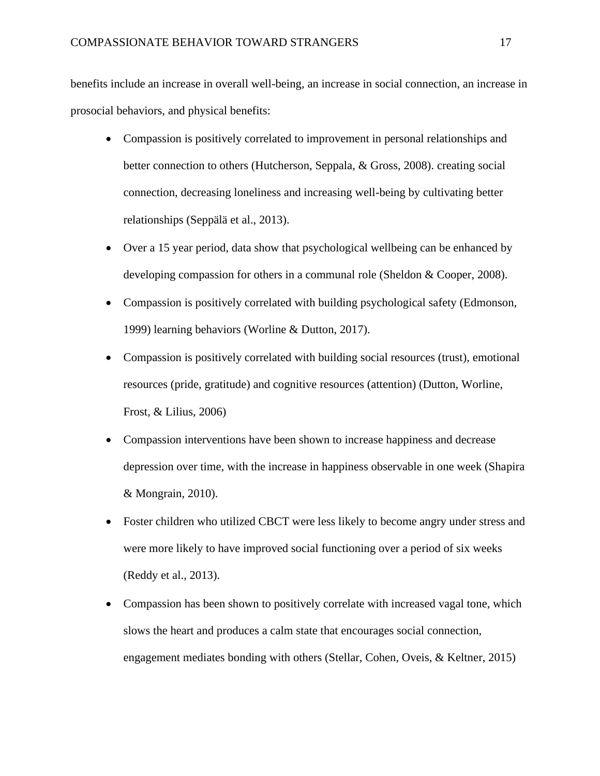benefits include an increase in overall well-being, an increase in social connection, an increase in prosocial behaviors, and physical benefits:

- Compassion is positively correlated to improvement in personal relationships and better connection to others (Hutcherson, Seppala, & Gross, 2008). creating social connection, decreasing loneliness and increasing well-being by cultivating better relationships (Seppälä et al., 2013).
- Over a 15 year period, data show that psychological wellbeing can be enhanced by developing compassion for others in a communal role (Sheldon & Cooper, 2008).
- Compassion is positively correlated with building psychological safety (Edmonson, 1999) learning behaviors (Worline & Dutton, 2017).
- Compassion is positively correlated with building social resources (trust), emotional resources (pride, gratitude) and cognitive resources (attention) (Dutton, Worline, Frost, & Lilius, 2006)
- Compassion interventions have been shown to increase happiness and decrease depression over time, with the increase in happiness observable in one week (Shapira & Mongrain, 2010).
- Foster children who utilized CBCT were less likely to become angry under stress and were more likely to have improved social functioning over a period of six weeks (Reddy et al., 2013).
- Compassion has been shown to positively correlate with increased vagal tone, which slows the heart and produces a calm state that encourages social connection, engagement mediates bonding with others (Stellar, Cohen, Oveis, & Keltner, 2015)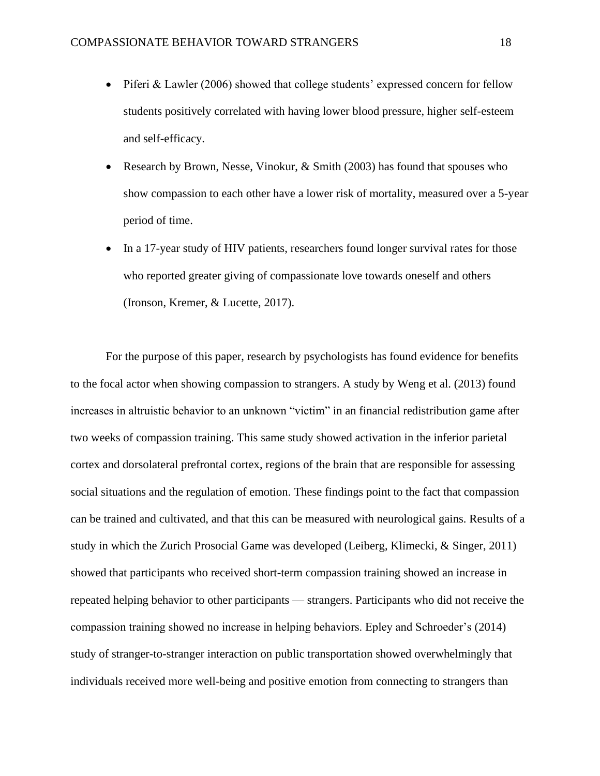- Piferi & Lawler (2006) showed that college students' expressed concern for fellow students positively correlated with having lower blood pressure, higher self-esteem and self-efficacy.
- Research by Brown, Nesse, Vinokur, & Smith (2003) has found that spouses who show compassion to each other have a lower risk of mortality, measured over a 5-year period of time.
- In a 17-year study of HIV patients, researchers found longer survival rates for those who reported greater giving of compassionate love towards oneself and others (Ironson, Kremer, & Lucette, 2017).

For the purpose of this paper, research by psychologists has found evidence for benefits to the focal actor when showing compassion to strangers. A study by Weng et al. (2013) found increases in altruistic behavior to an unknown "victim" in an financial redistribution game after two weeks of compassion training. This same study showed activation in the inferior parietal cortex and dorsolateral prefrontal cortex, regions of the brain that are responsible for assessing social situations and the regulation of emotion. These findings point to the fact that compassion can be trained and cultivated, and that this can be measured with neurological gains. Results of a study in which the Zurich Prosocial Game was developed (Leiberg, Klimecki, & Singer, 2011) showed that participants who received short-term compassion training showed an increase in repeated helping behavior to other participants — strangers. Participants who did not receive the compassion training showed no increase in helping behaviors. Epley and Schroeder's (2014) study of stranger-to-stranger interaction on public transportation showed overwhelmingly that individuals received more well-being and positive emotion from connecting to strangers than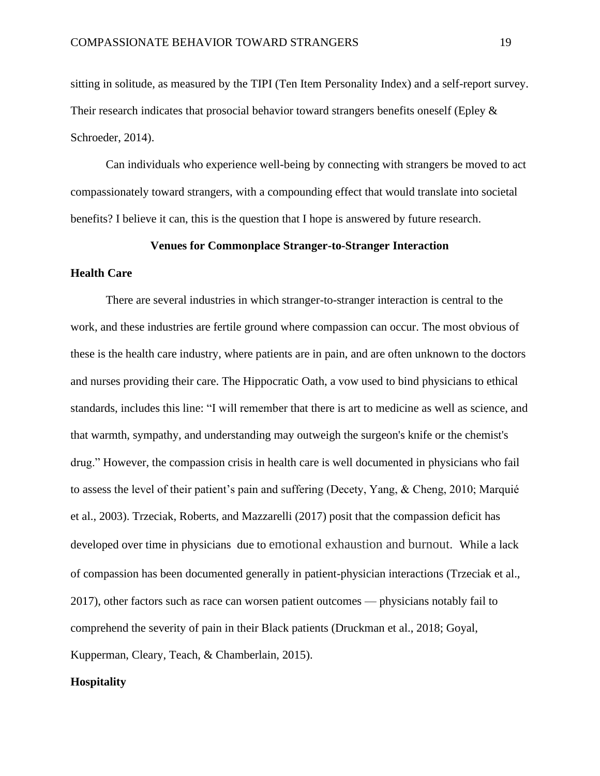sitting in solitude, as measured by the TIPI (Ten Item Personality Index) and a self-report survey. Their research indicates that prosocial behavior toward strangers benefits oneself (Epley & Schroeder, 2014).

Can individuals who experience well-being by connecting with strangers be moved to act compassionately toward strangers, with a compounding effect that would translate into societal benefits? I believe it can, this is the question that I hope is answered by future research.

#### **Venues for Commonplace Stranger-to-Stranger Interaction**

#### **Health Care**

There are several industries in which stranger-to-stranger interaction is central to the work, and these industries are fertile ground where compassion can occur. The most obvious of these is the health care industry, where patients are in pain, and are often unknown to the doctors and nurses providing their care. The Hippocratic Oath, a vow used to bind physicians to ethical standards, includes this line: "I will remember that there is art to medicine as well as science, and that warmth, sympathy, and understanding may outweigh the surgeon's knife or the chemist's drug." However, the compassion crisis in health care is well documented in physicians who fail to assess the level of their patient's pain and suffering (Decety, Yang, & Cheng, 2010; Marquié et al., 2003). Trzeciak, Roberts, and Mazzarelli (2017) posit that the compassion deficit has developed over time in physicians due to emotional exhaustion and burnout. While a lack of compassion has been documented generally in patient-physician interactions (Trzeciak et al., 2017), other factors such as race can worsen patient outcomes — physicians notably fail to comprehend the severity of pain in their Black patients (Druckman et al., 2018; Goyal, Kupperman, Cleary, Teach, & Chamberlain, 2015).

## **Hospitality**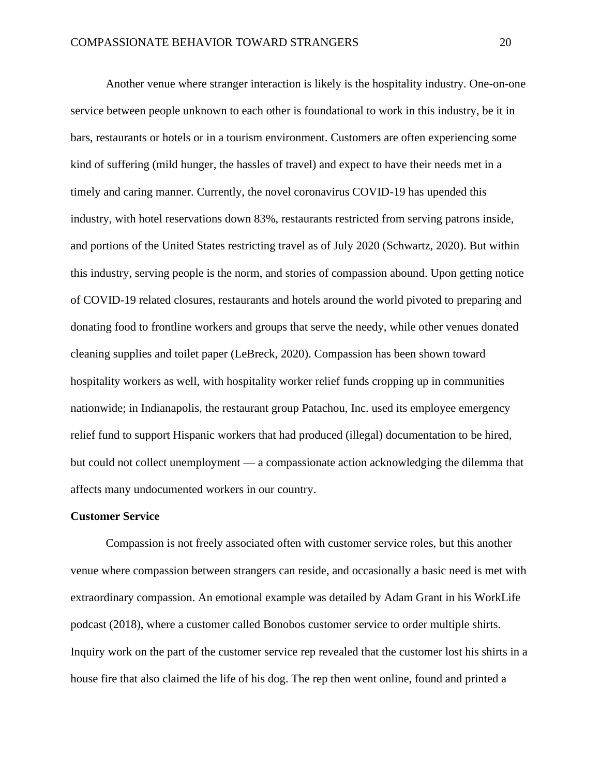Another venue where stranger interaction is likely is the hospitality industry. One-on-one service between people unknown to each other is foundational to work in this industry, be it in bars, restaurants or hotels or in a tourism environment. Customers are often experiencing some kind of suffering (mild hunger, the hassles of travel) and expect to have their needs met in a timely and caring manner. Currently, the novel coronavirus COVID-19 has upended this industry, with hotel reservations down 83%, restaurants restricted from serving patrons inside, and portions of the United States restricting travel as of July 2020 (Schwartz, 2020). But within this industry, serving people is the norm, and stories of compassion abound. Upon getting notice of COVID-19 related closures, restaurants and hotels around the world pivoted to preparing and donating food to frontline workers and groups that serve the needy, while other venues donated cleaning supplies and toilet paper (LeBreck, 2020). Compassion has been shown toward hospitality workers as well, with hospitality worker relief funds cropping up in communities nationwide; in Indianapolis, the restaurant group Patachou, Inc. used its employee emergency relief fund to support Hispanic workers that had produced (illegal) documentation to be hired, but could not collect unemployment — a compassionate action acknowledging the dilemma that affects many undocumented workers in our country.

#### **Customer Service**

Compassion is not freely associated often with customer service roles, but this another venue where compassion between strangers can reside, and occasionally a basic need is met with extraordinary compassion. An emotional example was detailed by Adam Grant in his WorkLife podcast (2018), where a customer called Bonobos customer service to order multiple shirts. Inquiry work on the part of the customer service rep revealed that the customer lost his shirts in a house fire that also claimed the life of his dog. The rep then went online, found and printed a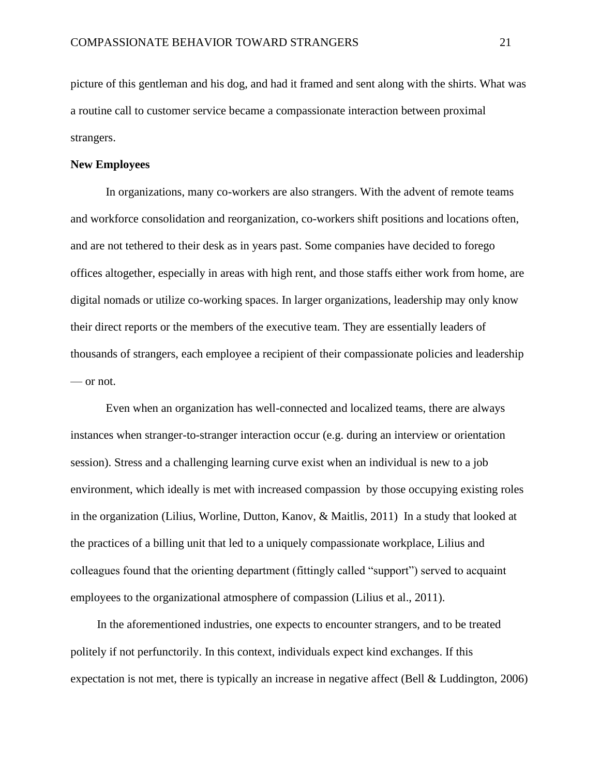picture of this gentleman and his dog, and had it framed and sent along with the shirts. What was a routine call to customer service became a compassionate interaction between proximal strangers.

#### **New Employees**

In organizations, many co-workers are also strangers. With the advent of remote teams and workforce consolidation and reorganization, co-workers shift positions and locations often, and are not tethered to their desk as in years past. Some companies have decided to forego offices altogether, especially in areas with high rent, and those staffs either work from home, are digital nomads or utilize co-working spaces. In larger organizations, leadership may only know their direct reports or the members of the executive team. They are essentially leaders of thousands of strangers, each employee a recipient of their compassionate policies and leadership — or not.

Even when an organization has well-connected and localized teams, there are always instances when stranger-to-stranger interaction occur (e.g. during an interview or orientation session). Stress and a challenging learning curve exist when an individual is new to a job environment, which ideally is met with increased compassion by those occupying existing roles in the organization (Lilius, Worline, Dutton, Kanov, & Maitlis, 2011) In a study that looked at the practices of a billing unit that led to a uniquely compassionate workplace, Lilius and colleagues found that the orienting department (fittingly called "support") served to acquaint employees to the organizational atmosphere of compassion (Lilius et al., 2011).

In the aforementioned industries, one expects to encounter strangers, and to be treated politely if not perfunctorily. In this context, individuals expect kind exchanges. If this expectation is not met, there is typically an increase in negative affect (Bell & Luddington, 2006)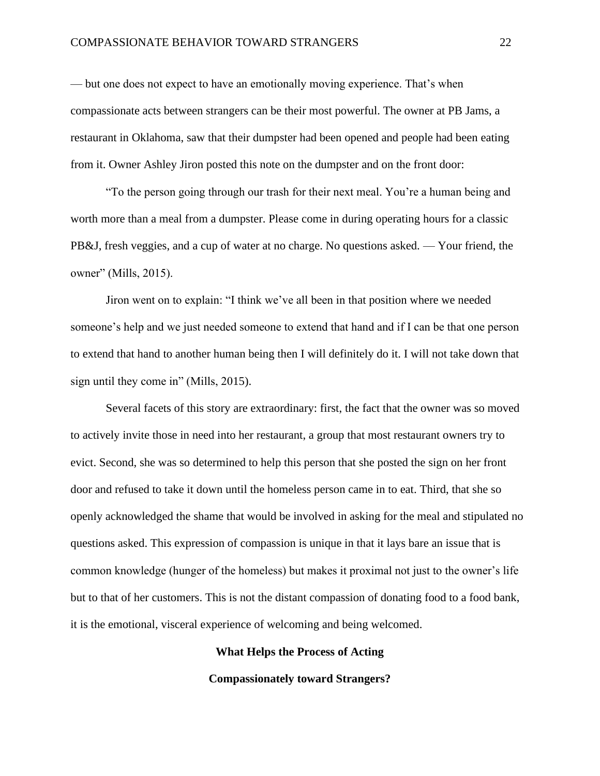— but one does not expect to have an emotionally moving experience. That's when compassionate acts between strangers can be their most powerful. The owner at PB Jams, a restaurant in Oklahoma, saw that their dumpster had been opened and people had been eating from it. Owner Ashley Jiron posted this note on the dumpster and on the front door:

"To the person going through our trash for their next meal. You're a human being and worth more than a meal from a dumpster. Please come in during operating hours for a classic PB&J, fresh veggies, and a cup of water at no charge. No questions asked. — Your friend, the owner" (Mills, 2015).

Jiron went on to explain: "I think we've all been in that position where we needed someone's help and we just needed someone to extend that hand and if I can be that one person to extend that hand to another human being then I will definitely do it. I will not take down that sign until they come in" (Mills, 2015).

Several facets of this story are extraordinary: first, the fact that the owner was so moved to actively invite those in need into her restaurant, a group that most restaurant owners try to evict. Second, she was so determined to help this person that she posted the sign on her front door and refused to take it down until the homeless person came in to eat. Third, that she so openly acknowledged the shame that would be involved in asking for the meal and stipulated no questions asked. This expression of compassion is unique in that it lays bare an issue that is common knowledge (hunger of the homeless) but makes it proximal not just to the owner's life but to that of her customers. This is not the distant compassion of donating food to a food bank, it is the emotional, visceral experience of welcoming and being welcomed.

#### **What Helps the Process of Acting**

**Compassionately toward Strangers?**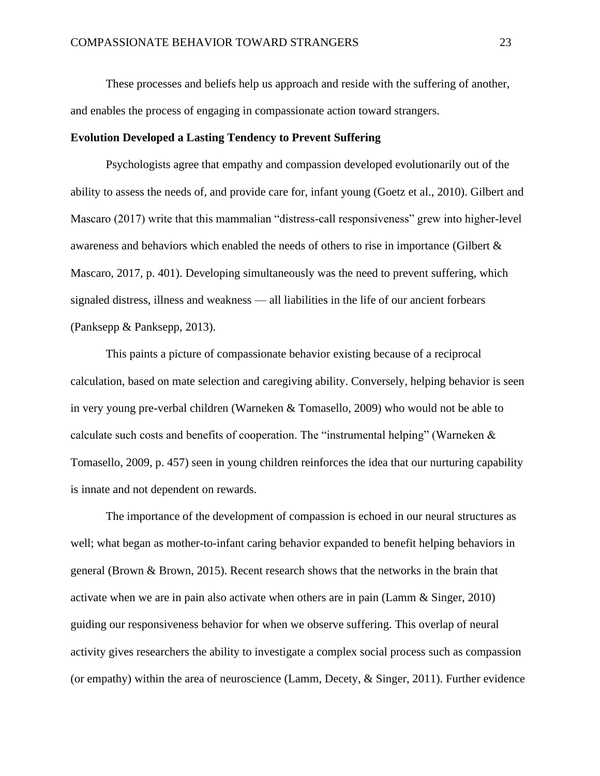These processes and beliefs help us approach and reside with the suffering of another, and enables the process of engaging in compassionate action toward strangers.

#### **Evolution Developed a Lasting Tendency to Prevent Suffering**

Psychologists agree that empathy and compassion developed evolutionarily out of the ability to assess the needs of, and provide care for, infant young (Goetz et al., 2010). Gilbert and Mascaro (2017) write that this mammalian "distress-call responsiveness" grew into higher-level awareness and behaviors which enabled the needs of others to rise in importance (Gilbert & Mascaro, 2017, p. 401). Developing simultaneously was the need to prevent suffering, which signaled distress, illness and weakness — all liabilities in the life of our ancient forbears (Panksepp & Panksepp, 2013).

This paints a picture of compassionate behavior existing because of a reciprocal calculation, based on mate selection and caregiving ability. Conversely, helping behavior is seen in very young pre-verbal children (Warneken & Tomasello, 2009) who would not be able to calculate such costs and benefits of cooperation. The "instrumental helping" (Warneken & Tomasello, 2009, p. 457) seen in young children reinforces the idea that our nurturing capability is innate and not dependent on rewards.

The importance of the development of compassion is echoed in our neural structures as well; what began as mother-to-infant caring behavior expanded to benefit helping behaviors in general (Brown & Brown, 2015). Recent research shows that the networks in the brain that activate when we are in pain also activate when others are in pain (Lamm & Singer, 2010) guiding our responsiveness behavior for when we observe suffering. This overlap of neural activity gives researchers the ability to investigate a complex social process such as compassion (or empathy) within the area of neuroscience (Lamm, Decety, & Singer, 2011). Further evidence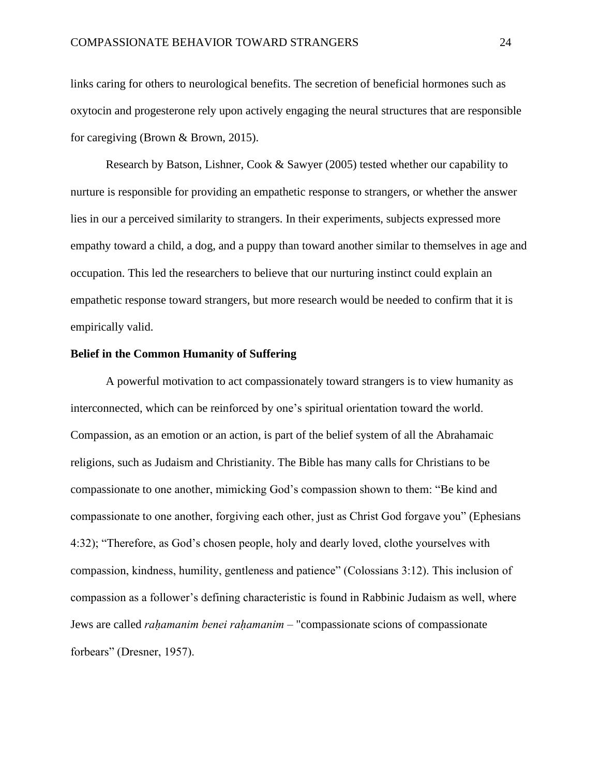links caring for others to neurological benefits. The secretion of beneficial hormones such as oxytocin and progesterone rely upon actively engaging the neural structures that are responsible for caregiving (Brown & Brown, 2015).

Research by Batson, Lishner, Cook & Sawyer (2005) tested whether our capability to nurture is responsible for providing an empathetic response to strangers, or whether the answer lies in our a perceived similarity to strangers. In their experiments, subjects expressed more empathy toward a child, a dog, and a puppy than toward another similar to themselves in age and occupation. This led the researchers to believe that our nurturing instinct could explain an empathetic response toward strangers, but more research would be needed to confirm that it is empirically valid.

#### **Belief in the Common Humanity of Suffering**

A powerful motivation to act compassionately toward strangers is to view humanity as interconnected, which can be reinforced by one's spiritual orientation toward the world. Compassion, as an emotion or an action, is part of the belief system of all the Abrahamaic religions, such as Judaism and Christianity. The Bible has many calls for Christians to be compassionate to one another, mimicking God's compassion shown to them: "Be kind and compassionate to one another, forgiving each other, just as Christ God forgave you" (Ephesians 4:32); "Therefore, as God's chosen people, holy and dearly loved, clothe yourselves with compassion, kindness, humility, gentleness and patience" (Colossians 3:12). This inclusion of compassion as a follower's defining characteristic is found in Rabbinic Judaism as well, where Jews are called *raḥamanim benei raḥamanim* – "compassionate scions of compassionate forbears" (Dresner, 1957).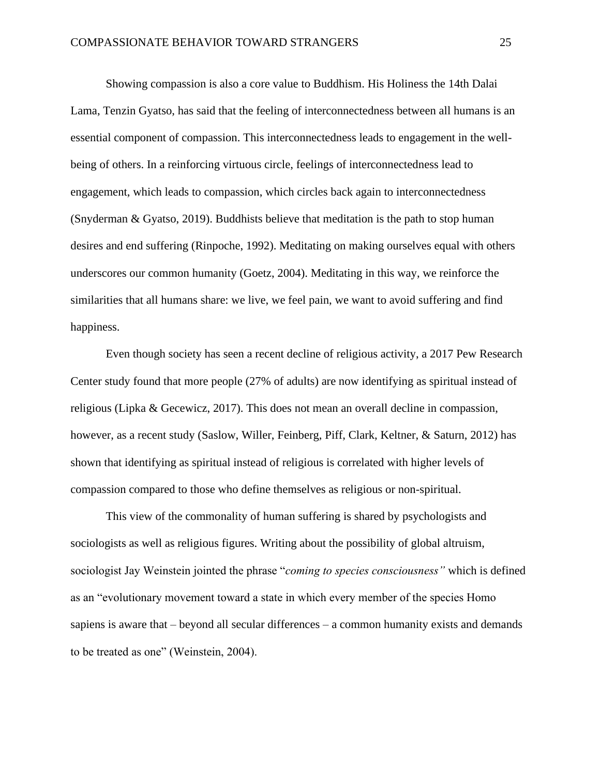Showing compassion is also a core value to Buddhism. His Holiness the 14th Dalai Lama, Tenzin Gyatso, has said that the feeling of interconnectedness between all humans is an essential component of compassion. This interconnectedness leads to engagement in the wellbeing of others. In a reinforcing virtuous circle, feelings of interconnectedness lead to engagement, which leads to compassion, which circles back again to interconnectedness (Snyderman & Gyatso, 2019). Buddhists believe that meditation is the path to stop human desires and end suffering (Rinpoche, 1992). Meditating on making ourselves equal with others underscores our common humanity (Goetz, 2004). Meditating in this way, we reinforce the similarities that all humans share: we live, we feel pain, we want to avoid suffering and find happiness.

Even though society has seen a recent decline of religious activity, a 2017 Pew Research Center study found that more people (27% of adults) are now identifying as spiritual instead of religious (Lipka & Gecewicz, 2017). This does not mean an overall decline in compassion, however, as a recent study (Saslow, Willer, Feinberg, Piff, Clark, Keltner, & Saturn, 2012) has shown that identifying as spiritual instead of religious is correlated with higher levels of compassion compared to those who define themselves as religious or non-spiritual.

This view of the commonality of human suffering is shared by psychologists and sociologists as well as religious figures. Writing about the possibility of global altruism, sociologist Jay Weinstein jointed the phrase "*coming to species consciousness"* which is defined as an "evolutionary movement toward a state in which every member of the species Homo sapiens is aware that – beyond all secular differences – a common humanity exists and demands to be treated as one" (Weinstein, 2004).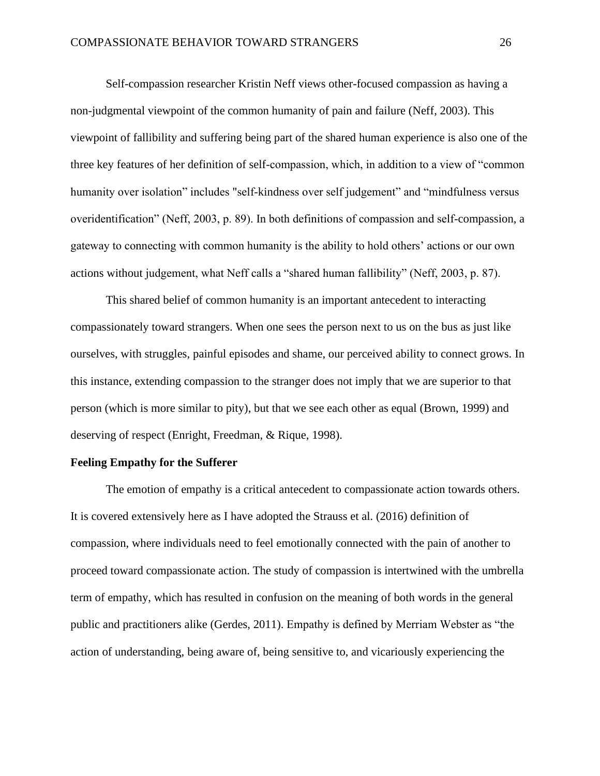Self-compassion researcher Kristin Neff views other-focused compassion as having a non-judgmental viewpoint of the common humanity of pain and failure (Neff, 2003). This viewpoint of fallibility and suffering being part of the shared human experience is also one of the three key features of her definition of self-compassion, which, in addition to a view of "common humanity over isolation" includes "self-kindness over self judgement" and "mindfulness versus overidentification" (Neff, 2003, p. 89). In both definitions of compassion and self-compassion, a gateway to connecting with common humanity is the ability to hold others' actions or our own actions without judgement, what Neff calls a "shared human fallibility" (Neff, 2003, p. 87).

This shared belief of common humanity is an important antecedent to interacting compassionately toward strangers. When one sees the person next to us on the bus as just like ourselves, with struggles, painful episodes and shame, our perceived ability to connect grows. In this instance, extending compassion to the stranger does not imply that we are superior to that person (which is more similar to pity), but that we see each other as equal (Brown, 1999) and deserving of respect (Enright, Freedman, & Rique, 1998).

#### **Feeling Empathy for the Sufferer**

The emotion of empathy is a critical antecedent to compassionate action towards others. It is covered extensively here as I have adopted the Strauss et al. (2016) definition of compassion, where individuals need to feel emotionally connected with the pain of another to proceed toward compassionate action. The study of compassion is intertwined with the umbrella term of empathy, which has resulted in confusion on the meaning of both words in the general public and practitioners alike (Gerdes, 2011). Empathy is defined by Merriam Webster as "the action of understanding, being aware of, being sensitive to, and vicariously experiencing the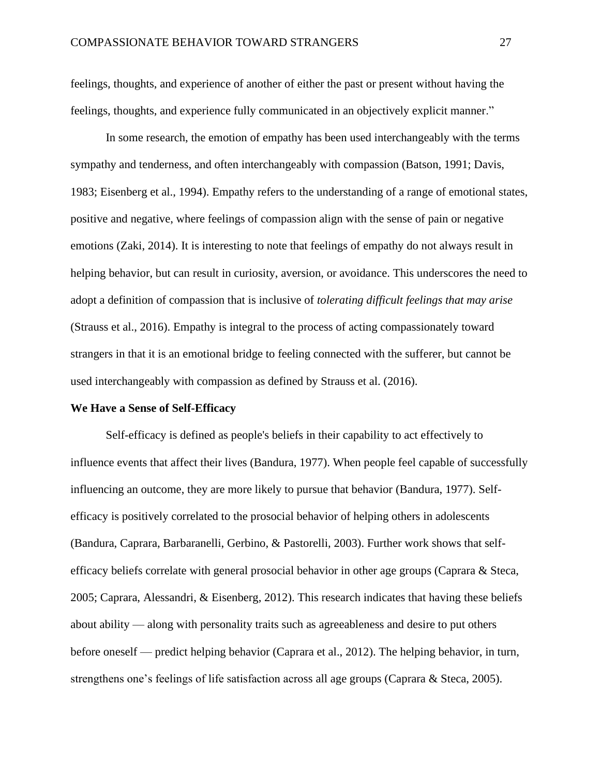feelings, thoughts, and experience of another of either the past or present without having the feelings, thoughts, and experience fully communicated in an objectively explicit manner."

In some research, the emotion of empathy has been used interchangeably with the terms sympathy and tenderness, and often interchangeably with compassion (Batson, 1991; Davis, 1983; Eisenberg et al., 1994). Empathy refers to the understanding of a range of emotional states, positive and negative, where feelings of compassion align with the sense of pain or negative emotions (Zaki, 2014). It is interesting to note that feelings of empathy do not always result in helping behavior, but can result in curiosity, aversion, or avoidance. This underscores the need to adopt a definition of compassion that is inclusive of *tolerating difficult feelings that may arise* (Strauss et al., 2016). Empathy is integral to the process of acting compassionately toward strangers in that it is an emotional bridge to feeling connected with the sufferer, but cannot be used interchangeably with compassion as defined by Strauss et al. (2016).

#### **We Have a Sense of Self-Efficacy**

Self-efficacy is defined as people's beliefs in their capability to act effectively to influence events that affect their lives (Bandura, 1977). When people feel capable of successfully influencing an outcome, they are more likely to pursue that behavior (Bandura, 1977). Selfefficacy is positively correlated to the prosocial behavior of helping others in adolescents (Bandura, Caprara, Barbaranelli, Gerbino, & Pastorelli, 2003). Further work shows that selfefficacy beliefs correlate with general prosocial behavior in other age groups (Caprara & Steca, 2005; Caprara, Alessandri, & Eisenberg, 2012). This research indicates that having these beliefs about ability — along with personality traits such as agreeableness and desire to put others before oneself — predict helping behavior (Caprara et al., 2012). The helping behavior, in turn, strengthens one's feelings of life satisfaction across all age groups (Caprara & Steca, 2005).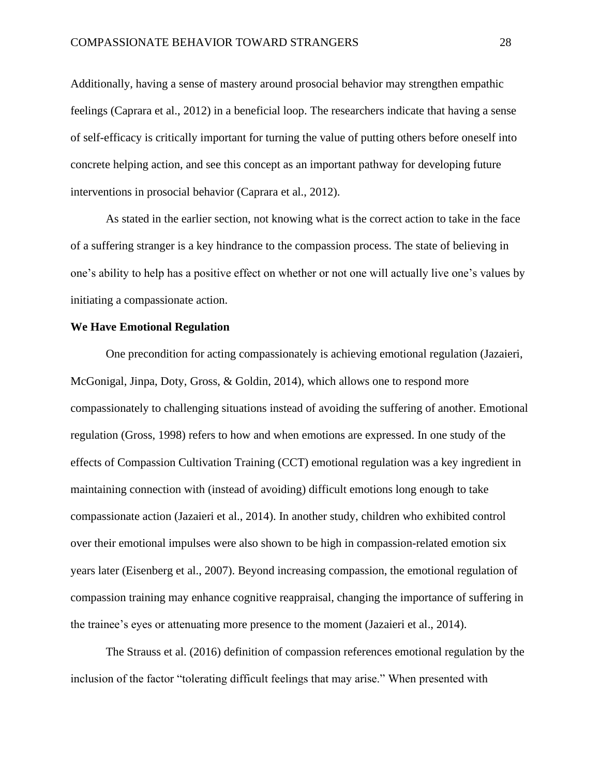Additionally, having a sense of mastery around prosocial behavior may strengthen empathic feelings (Caprara et al., 2012) in a beneficial loop. The researchers indicate that having a sense of self-efficacy is critically important for turning the value of putting others before oneself into concrete helping action, and see this concept as an important pathway for developing future interventions in prosocial behavior (Caprara et al., 2012).

As stated in the earlier section, not knowing what is the correct action to take in the face of a suffering stranger is a key hindrance to the compassion process. The state of believing in one's ability to help has a positive effect on whether or not one will actually live one's values by initiating a compassionate action.

#### **We Have Emotional Regulation**

One precondition for acting compassionately is achieving emotional regulation (Jazaieri, McGonigal, Jinpa, Doty, Gross, & Goldin, 2014), which allows one to respond more compassionately to challenging situations instead of avoiding the suffering of another. Emotional regulation (Gross, 1998) refers to how and when emotions are expressed. In one study of the effects of Compassion Cultivation Training (CCT) emotional regulation was a key ingredient in maintaining connection with (instead of avoiding) difficult emotions long enough to take compassionate action (Jazaieri et al., 2014). In another study, children who exhibited control over their emotional impulses were also shown to be high in compassion-related emotion six years later (Eisenberg et al., 2007). Beyond increasing compassion, the emotional regulation of compassion training may enhance cognitive reappraisal, changing the importance of suffering in the trainee's eyes or attenuating more presence to the moment (Jazaieri et al., 2014).

The Strauss et al. (2016) definition of compassion references emotional regulation by the inclusion of the factor "tolerating difficult feelings that may arise." When presented with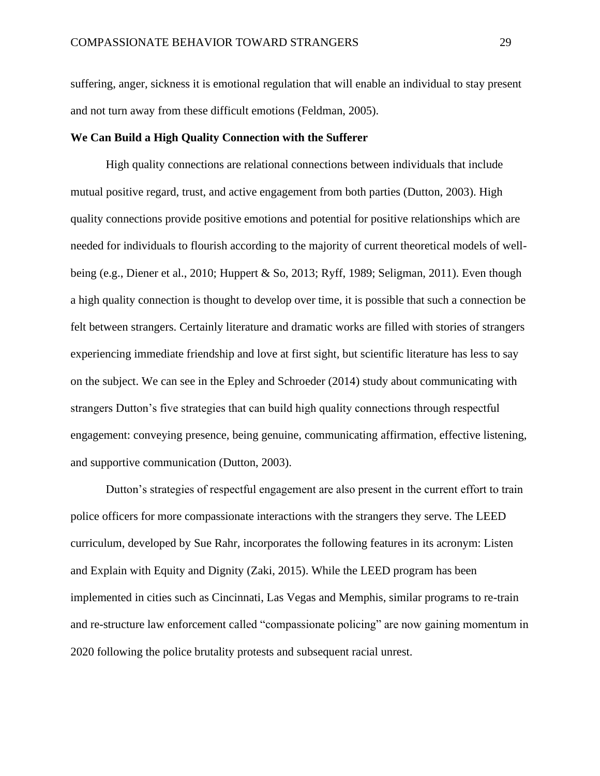suffering, anger, sickness it is emotional regulation that will enable an individual to stay present and not turn away from these difficult emotions (Feldman, 2005).

#### **We Can Build a High Quality Connection with the Sufferer**

High quality connections are relational connections between individuals that include mutual positive regard, trust, and active engagement from both parties (Dutton, 2003). High quality connections provide positive emotions and potential for positive relationships which are needed for individuals to flourish according to the majority of current theoretical models of wellbeing (e.g., Diener et al., 2010; Huppert & So, 2013; Ryff, 1989; Seligman, 2011). Even though a high quality connection is thought to develop over time, it is possible that such a connection be felt between strangers. Certainly literature and dramatic works are filled with stories of strangers experiencing immediate friendship and love at first sight, but scientific literature has less to say on the subject. We can see in the Epley and Schroeder (2014) study about communicating with strangers Dutton's five strategies that can build high quality connections through respectful engagement: conveying presence, being genuine, communicating affirmation, effective listening, and supportive communication (Dutton, 2003).

Dutton's strategies of respectful engagement are also present in the current effort to train police officers for more compassionate interactions with the strangers they serve. The LEED curriculum, developed by Sue Rahr, incorporates the following features in its acronym: Listen and Explain with Equity and Dignity (Zaki, 2015). While the LEED program has been implemented in cities such as Cincinnati, Las Vegas and Memphis, similar programs to re-train and re-structure law enforcement called "compassionate policing" are now gaining momentum in 2020 following the police brutality protests and subsequent racial unrest.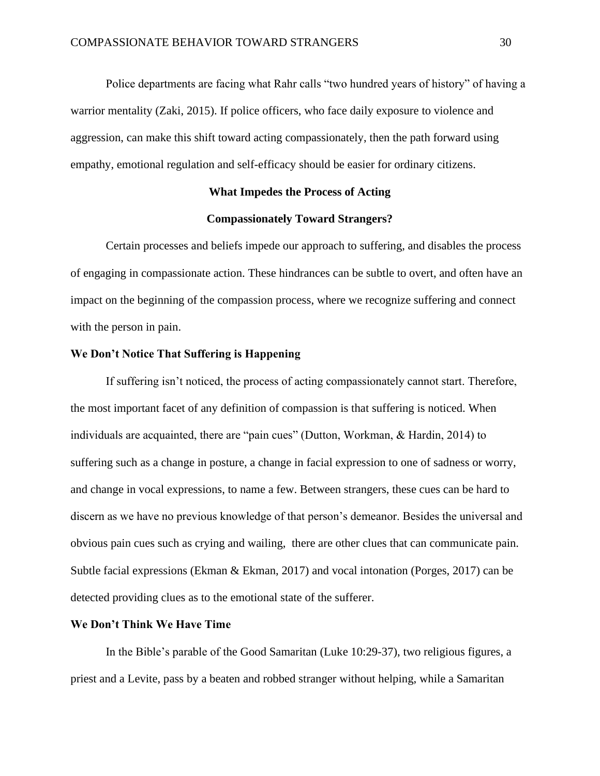Police departments are facing what Rahr calls "two hundred years of history" of having a warrior mentality (Zaki, 2015). If police officers, who face daily exposure to violence and aggression, can make this shift toward acting compassionately, then the path forward using empathy, emotional regulation and self-efficacy should be easier for ordinary citizens.

#### **What Impedes the Process of Acting**

#### **Compassionately Toward Strangers?**

Certain processes and beliefs impede our approach to suffering, and disables the process of engaging in compassionate action. These hindrances can be subtle to overt, and often have an impact on the beginning of the compassion process, where we recognize suffering and connect with the person in pain.

#### **We Don't Notice That Suffering is Happening**

If suffering isn't noticed, the process of acting compassionately cannot start. Therefore, the most important facet of any definition of compassion is that suffering is noticed. When individuals are acquainted, there are "pain cues" (Dutton, Workman, & Hardin, 2014) to suffering such as a change in posture, a change in facial expression to one of sadness or worry, and change in vocal expressions, to name a few. Between strangers, these cues can be hard to discern as we have no previous knowledge of that person's demeanor. Besides the universal and obvious pain cues such as crying and wailing, there are other clues that can communicate pain. Subtle facial expressions (Ekman & Ekman, 2017) and vocal intonation (Porges, 2017) can be detected providing clues as to the emotional state of the sufferer.

#### **We Don't Think We Have Time**

In the Bible's parable of the Good Samaritan (Luke 10:29-37), two religious figures, a priest and a Levite, pass by a beaten and robbed stranger without helping, while a Samaritan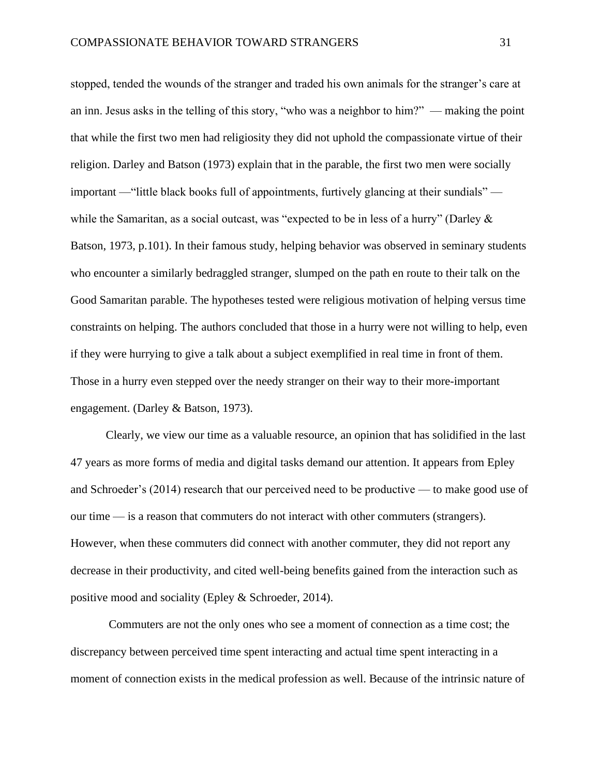stopped, tended the wounds of the stranger and traded his own animals for the stranger's care at an inn. Jesus asks in the telling of this story, "who was a neighbor to him?" — making the point that while the first two men had religiosity they did not uphold the compassionate virtue of their religion. Darley and Batson (1973) explain that in the parable, the first two men were socially important —"little black books full of appointments, furtively glancing at their sundials" while the Samaritan, as a social outcast, was "expected to be in less of a hurry" (Darley & Batson, 1973, p.101). In their famous study, helping behavior was observed in seminary students who encounter a similarly bedraggled stranger, slumped on the path en route to their talk on the Good Samaritan parable. The hypotheses tested were religious motivation of helping versus time constraints on helping. The authors concluded that those in a hurry were not willing to help, even if they were hurrying to give a talk about a subject exemplified in real time in front of them. Those in a hurry even stepped over the needy stranger on their way to their more-important engagement. (Darley & Batson, 1973).

Clearly, we view our time as a valuable resource, an opinion that has solidified in the last 47 years as more forms of media and digital tasks demand our attention. It appears from Epley and Schroeder's (2014) research that our perceived need to be productive — to make good use of our time — is a reason that commuters do not interact with other commuters (strangers). However, when these commuters did connect with another commuter, they did not report any decrease in their productivity, and cited well-being benefits gained from the interaction such as positive mood and sociality (Epley & Schroeder, 2014).

Commuters are not the only ones who see a moment of connection as a time cost; the discrepancy between perceived time spent interacting and actual time spent interacting in a moment of connection exists in the medical profession as well. Because of the intrinsic nature of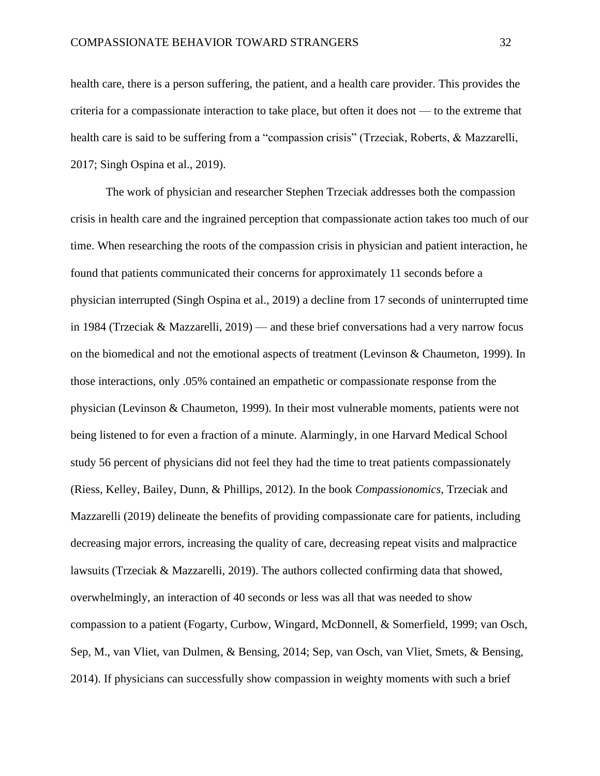health care, there is a person suffering, the patient, and a health care provider. This provides the criteria for a compassionate interaction to take place, but often it does not — to the extreme that health care is said to be suffering from a "compassion crisis" (Trzeciak, Roberts, & Mazzarelli, 2017; Singh Ospina et al., 2019).

The work of physician and researcher Stephen Trzeciak addresses both the compassion crisis in health care and the ingrained perception that compassionate action takes too much of our time. When researching the roots of the compassion crisis in physician and patient interaction, he found that patients communicated their concerns for approximately 11 seconds before a physician interrupted (Singh Ospina et al., 2019) a decline from 17 seconds of uninterrupted time in 1984 (Trzeciak & Mazzarelli, 2019) — and these brief conversations had a very narrow focus on the biomedical and not the emotional aspects of treatment (Levinson & Chaumeton, 1999). In those interactions, only .05% contained an empathetic or compassionate response from the physician (Levinson & Chaumeton, 1999). In their most vulnerable moments, patients were not being listened to for even a fraction of a minute. Alarmingly, in one Harvard Medical School study 56 percent of physicians did not feel they had the time to treat patients compassionately (Riess, Kelley, Bailey, Dunn, & Phillips, 2012). In the book *Compassionomics*, Trzeciak and Mazzarelli (2019) delineate the benefits of providing compassionate care for patients, including decreasing major errors, increasing the quality of care, decreasing repeat visits and malpractice lawsuits (Trzeciak & Mazzarelli, 2019). The authors collected confirming data that showed, overwhelmingly, an interaction of 40 seconds or less was all that was needed to show compassion to a patient (Fogarty, Curbow, Wingard, McDonnell, & Somerfield, 1999; van Osch, Sep, M., van Vliet, van Dulmen, & Bensing, 2014; Sep, van Osch, van Vliet, Smets, & Bensing, 2014). If physicians can successfully show compassion in weighty moments with such a brief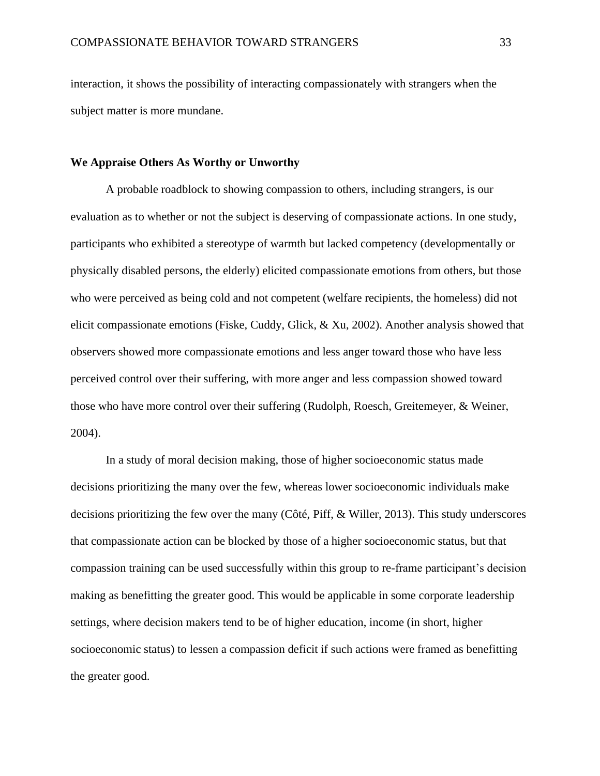interaction, it shows the possibility of interacting compassionately with strangers when the subject matter is more mundane.

## **We Appraise Others As Worthy or Unworthy**

A probable roadblock to showing compassion to others, including strangers, is our evaluation as to whether or not the subject is deserving of compassionate actions. In one study, participants who exhibited a stereotype of warmth but lacked competency (developmentally or physically disabled persons, the elderly) elicited compassionate emotions from others, but those who were perceived as being cold and not competent (welfare recipients, the homeless) did not elicit compassionate emotions (Fiske, Cuddy, Glick, & Xu, 2002). Another analysis showed that observers showed more compassionate emotions and less anger toward those who have less perceived control over their suffering, with more anger and less compassion showed toward those who have more control over their suffering (Rudolph, Roesch, Greitemeyer, & Weiner, 2004).

In a study of moral decision making, those of higher socioeconomic status made decisions prioritizing the many over the few, whereas lower socioeconomic individuals make decisions prioritizing the few over the many (Côté, Piff, & Willer, 2013). This study underscores that compassionate action can be blocked by those of a higher socioeconomic status, but that compassion training can be used successfully within this group to re-frame participant's decision making as benefitting the greater good. This would be applicable in some corporate leadership settings, where decision makers tend to be of higher education, income (in short, higher socioeconomic status) to lessen a compassion deficit if such actions were framed as benefitting the greater good.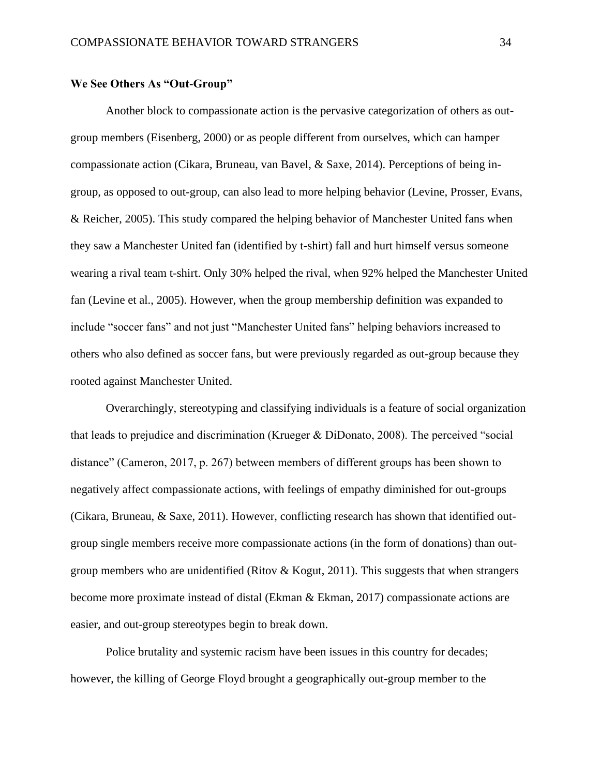#### **We See Others As "Out-Group"**

Another block to compassionate action is the pervasive categorization of others as outgroup members (Eisenberg, 2000) or as people different from ourselves, which can hamper compassionate action (Cikara, Bruneau, van Bavel, & Saxe, 2014). Perceptions of being ingroup, as opposed to out-group, can also lead to more helping behavior (Levine, Prosser, Evans, & Reicher, 2005). This study compared the helping behavior of Manchester United fans when they saw a Manchester United fan (identified by t-shirt) fall and hurt himself versus someone wearing a rival team t-shirt. Only 30% helped the rival, when 92% helped the Manchester United fan (Levine et al., 2005). However, when the group membership definition was expanded to include "soccer fans" and not just "Manchester United fans" helping behaviors increased to others who also defined as soccer fans, but were previously regarded as out-group because they rooted against Manchester United.

Overarchingly, stereotyping and classifying individuals is a feature of social organization that leads to prejudice and discrimination (Krueger & DiDonato, 2008). The perceived "social distance" (Cameron, 2017, p. 267) between members of different groups has been shown to negatively affect compassionate actions, with feelings of empathy diminished for out-groups (Cikara, Bruneau, & Saxe, 2011). However, conflicting research has shown that identified outgroup single members receive more compassionate actions (in the form of donations) than outgroup members who are unidentified (Ritov & Kogut, 2011). This suggests that when strangers become more proximate instead of distal (Ekman & Ekman, 2017) compassionate actions are easier, and out-group stereotypes begin to break down.

Police brutality and systemic racism have been issues in this country for decades; however, the killing of George Floyd brought a geographically out-group member to the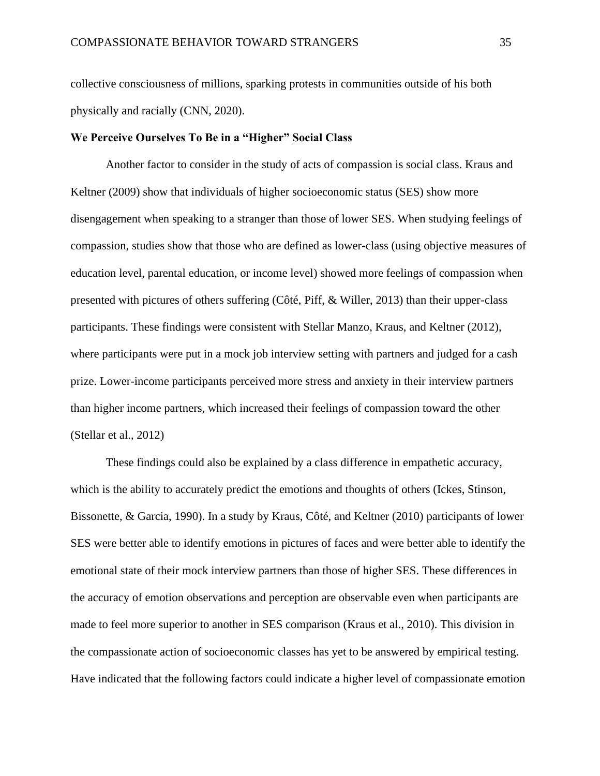collective consciousness of millions, sparking protests in communities outside of his both physically and racially (CNN, 2020).

#### **We Perceive Ourselves To Be in a "Higher" Social Class**

Another factor to consider in the study of acts of compassion is social class. Kraus and Keltner (2009) show that individuals of higher socioeconomic status (SES) show more disengagement when speaking to a stranger than those of lower SES. When studying feelings of compassion, studies show that those who are defined as lower-class (using objective measures of education level, parental education, or income level) showed more feelings of compassion when presented with pictures of others suffering (Côté, Piff, & Willer, 2013) than their upper-class participants. These findings were consistent with Stellar Manzo, Kraus, and Keltner (2012), where participants were put in a mock job interview setting with partners and judged for a cash prize. Lower-income participants perceived more stress and anxiety in their interview partners than higher income partners, which increased their feelings of compassion toward the other (Stellar et al., 2012)

These findings could also be explained by a class difference in empathetic accuracy, which is the ability to accurately predict the emotions and thoughts of others (Ickes, Stinson, Bissonette, & Garcia, 1990). In a study by Kraus, Côté, and Keltner (2010) participants of lower SES were better able to identify emotions in pictures of faces and were better able to identify the emotional state of their mock interview partners than those of higher SES. These differences in the accuracy of emotion observations and perception are observable even when participants are made to feel more superior to another in SES comparison (Kraus et al., 2010). This division in the compassionate action of socioeconomic classes has yet to be answered by empirical testing. Have indicated that the following factors could indicate a higher level of compassionate emotion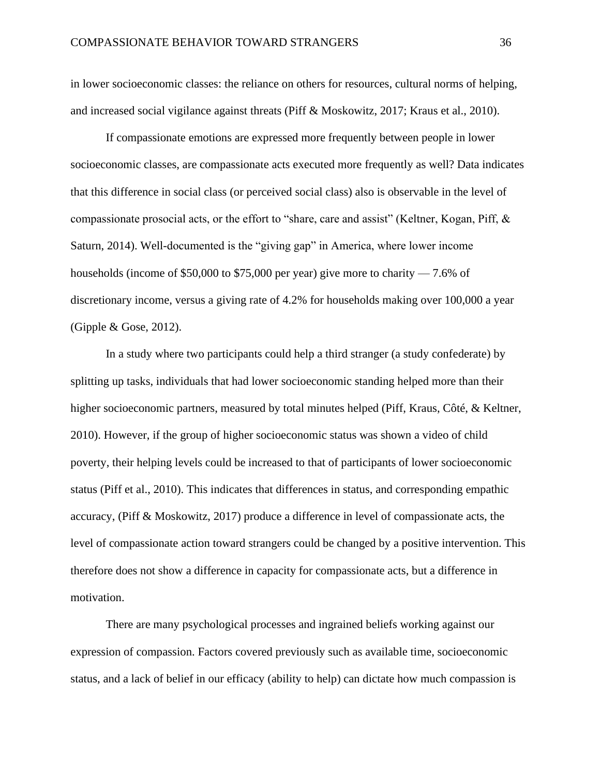in lower socioeconomic classes: the reliance on others for resources, cultural norms of helping, and increased social vigilance against threats (Piff & Moskowitz, 2017; Kraus et al., 2010).

If compassionate emotions are expressed more frequently between people in lower socioeconomic classes, are compassionate acts executed more frequently as well? Data indicates that this difference in social class (or perceived social class) also is observable in the level of compassionate prosocial acts, or the effort to "share, care and assist" (Keltner, Kogan, Piff,  $\&$ Saturn, 2014). Well-documented is the "giving gap" in America, where lower income households (income of \$50,000 to \$75,000 per year) give more to charity  $-7.6\%$  of discretionary income, versus a giving rate of 4.2% for households making over 100,000 a year (Gipple & Gose, 2012).

In a study where two participants could help a third stranger (a study confederate) by splitting up tasks, individuals that had lower socioeconomic standing helped more than their higher socioeconomic partners, measured by total minutes helped (Piff, Kraus, Côté, & Keltner, 2010). However, if the group of higher socioeconomic status was shown a video of child poverty, their helping levels could be increased to that of participants of lower socioeconomic status (Piff et al., 2010). This indicates that differences in status, and corresponding empathic accuracy, (Piff & Moskowitz, 2017) produce a difference in level of compassionate acts, the level of compassionate action toward strangers could be changed by a positive intervention. This therefore does not show a difference in capacity for compassionate acts, but a difference in motivation.

There are many psychological processes and ingrained beliefs working against our expression of compassion. Factors covered previously such as available time, socioeconomic status, and a lack of belief in our efficacy (ability to help) can dictate how much compassion is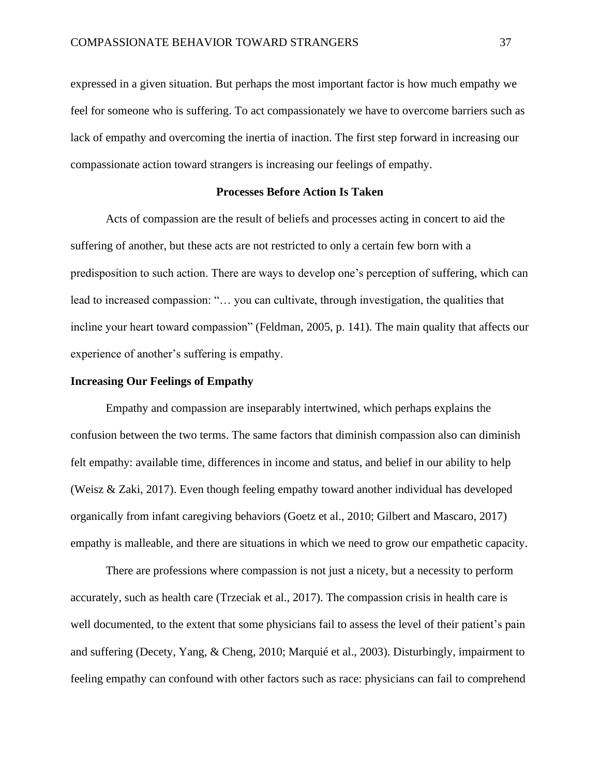expressed in a given situation. But perhaps the most important factor is how much empathy we feel for someone who is suffering. To act compassionately we have to overcome barriers such as lack of empathy and overcoming the inertia of inaction. The first step forward in increasing our compassionate action toward strangers is increasing our feelings of empathy.

### **Processes Before Action Is Taken**

Acts of compassion are the result of beliefs and processes acting in concert to aid the suffering of another, but these acts are not restricted to only a certain few born with a predisposition to such action. There are ways to develop one's perception of suffering, which can lead to increased compassion: "… you can cultivate, through investigation, the qualities that incline your heart toward compassion" (Feldman, 2005, p. 141). The main quality that affects our experience of another's suffering is empathy.

#### **Increasing Our Feelings of Empathy**

Empathy and compassion are inseparably intertwined, which perhaps explains the confusion between the two terms. The same factors that diminish compassion also can diminish felt empathy: available time, differences in income and status, and belief in our ability to help (Weisz & Zaki, 2017). Even though feeling empathy toward another individual has developed organically from infant caregiving behaviors (Goetz et al., 2010; Gilbert and Mascaro, 2017) empathy is malleable, and there are situations in which we need to grow our empathetic capacity.

There are professions where compassion is not just a nicety, but a necessity to perform accurately, such as health care (Trzeciak et al., 2017). The compassion crisis in health care is well documented, to the extent that some physicians fail to assess the level of their patient's pain and suffering (Decety, Yang, & Cheng, 2010; Marquié et al., 2003). Disturbingly, impairment to feeling empathy can confound with other factors such as race: physicians can fail to comprehend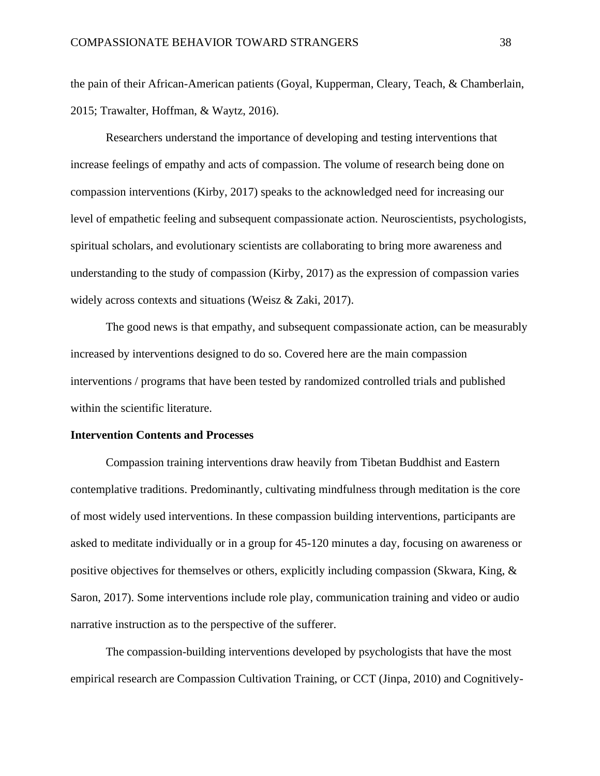the pain of their African-American patients (Goyal, Kupperman, Cleary, Teach, & Chamberlain, 2015; Trawalter, Hoffman, & Waytz, 2016).

Researchers understand the importance of developing and testing interventions that increase feelings of empathy and acts of compassion. The volume of research being done on compassion interventions (Kirby, 2017) speaks to the acknowledged need for increasing our level of empathetic feeling and subsequent compassionate action. Neuroscientists, psychologists, spiritual scholars, and evolutionary scientists are collaborating to bring more awareness and understanding to the study of compassion (Kirby, 2017) as the expression of compassion varies widely across contexts and situations (Weisz & Zaki, 2017).

The good news is that empathy, and subsequent compassionate action, can be measurably increased by interventions designed to do so. Covered here are the main compassion interventions / programs that have been tested by randomized controlled trials and published within the scientific literature.

#### **Intervention Contents and Processes**

Compassion training interventions draw heavily from Tibetan Buddhist and Eastern contemplative traditions. Predominantly, cultivating mindfulness through meditation is the core of most widely used interventions. In these compassion building interventions, participants are asked to meditate individually or in a group for 45-120 minutes a day, focusing on awareness or positive objectives for themselves or others, explicitly including compassion (Skwara, King, & Saron, 2017). Some interventions include role play, communication training and video or audio narrative instruction as to the perspective of the sufferer.

The compassion-building interventions developed by psychologists that have the most empirical research are Compassion Cultivation Training, or CCT (Jinpa, 2010) and Cognitively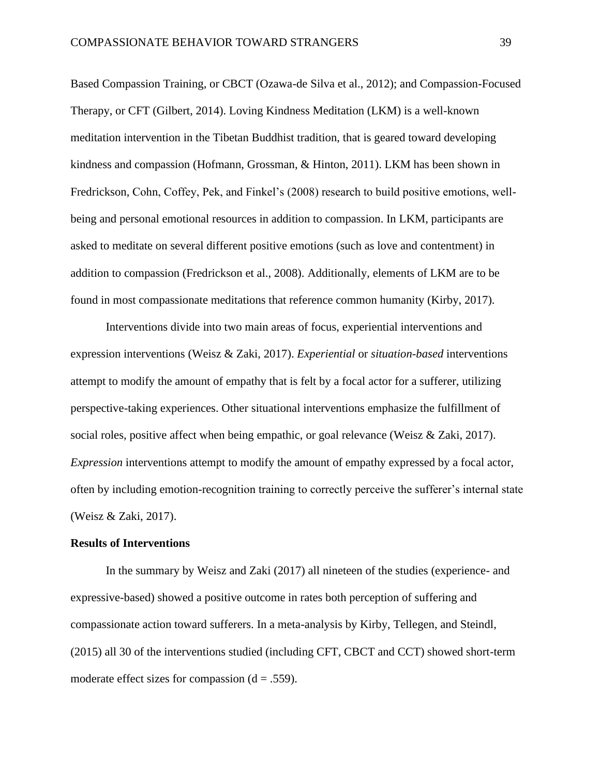Based Compassion Training, or CBCT (Ozawa-de Silva et al., 2012); and Compassion-Focused Therapy, or CFT (Gilbert, 2014). Loving Kindness Meditation (LKM) is a well-known meditation intervention in the Tibetan Buddhist tradition, that is geared toward developing kindness and compassion (Hofmann, Grossman, & Hinton, 2011). LKM has been shown in Fredrickson, Cohn, Coffey, Pek, and Finkel's (2008) research to build positive emotions, wellbeing and personal emotional resources in addition to compassion. In LKM, participants are asked to meditate on several different positive emotions (such as love and contentment) in addition to compassion (Fredrickson et al., 2008). Additionally, elements of LKM are to be found in most compassionate meditations that reference common humanity (Kirby, 2017).

Interventions divide into two main areas of focus, experiential interventions and expression interventions (Weisz & Zaki, 2017). *Experiential* or *situation*-*based* interventions attempt to modify the amount of empathy that is felt by a focal actor for a sufferer, utilizing perspective-taking experiences. Other situational interventions emphasize the fulfillment of social roles, positive affect when being empathic, or goal relevance (Weisz & Zaki, 2017). *Expression* interventions attempt to modify the amount of empathy expressed by a focal actor, often by including emotion-recognition training to correctly perceive the sufferer's internal state (Weisz & Zaki, 2017).

# **Results of Interventions**

In the summary by Weisz and Zaki (2017) all nineteen of the studies (experience- and expressive-based) showed a positive outcome in rates both perception of suffering and compassionate action toward sufferers. In a meta-analysis by Kirby, Tellegen, and Steindl, (2015) all 30 of the interventions studied (including CFT, CBCT and CCT) showed short-term moderate effect sizes for compassion  $(d = .559)$ .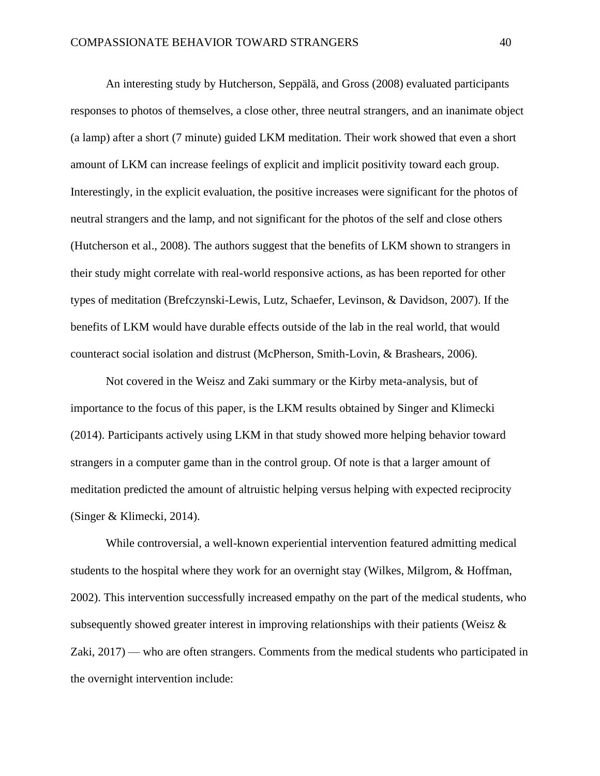An interesting study by Hutcherson, Seppälä, and Gross (2008) evaluated participants responses to photos of themselves, a close other, three neutral strangers, and an inanimate object (a lamp) after a short (7 minute) guided LKM meditation. Their work showed that even a short amount of LKM can increase feelings of explicit and implicit positivity toward each group. Interestingly, in the explicit evaluation, the positive increases were significant for the photos of neutral strangers and the lamp, and not significant for the photos of the self and close others (Hutcherson et al., 2008). The authors suggest that the benefits of LKM shown to strangers in their study might correlate with real-world responsive actions, as has been reported for other types of meditation (Brefczynski-Lewis, Lutz, Schaefer, Levinson, & Davidson, 2007). If the benefits of LKM would have durable effects outside of the lab in the real world, that would counteract social isolation and distrust (McPherson, Smith-Lovin, & Brashears, 2006).

Not covered in the Weisz and Zaki summary or the Kirby meta-analysis, but of importance to the focus of this paper, is the LKM results obtained by Singer and Klimecki (2014). Participants actively using LKM in that study showed more helping behavior toward strangers in a computer game than in the control group. Of note is that a larger amount of meditation predicted the amount of altruistic helping versus helping with expected reciprocity (Singer & Klimecki, 2014).

While controversial, a well-known experiential intervention featured admitting medical students to the hospital where they work for an overnight stay (Wilkes, Milgrom, & Hoffman, 2002). This intervention successfully increased empathy on the part of the medical students, who subsequently showed greater interest in improving relationships with their patients (Weisz & Zaki, 2017) — who are often strangers. Comments from the medical students who participated in the overnight intervention include: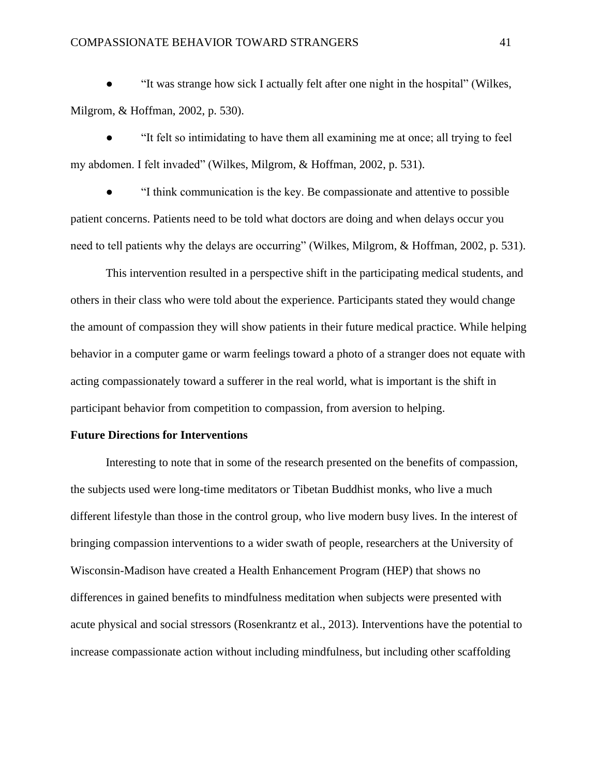"It was strange how sick I actually felt after one night in the hospital" (Wilkes, Milgrom, & Hoffman, 2002, p. 530).

● "It felt so intimidating to have them all examining me at once; all trying to feel my abdomen. I felt invaded" (Wilkes, Milgrom, & Hoffman, 2002, p. 531).

● "I think communication is the key. Be compassionate and attentive to possible patient concerns. Patients need to be told what doctors are doing and when delays occur you need to tell patients why the delays are occurring" (Wilkes, Milgrom, & Hoffman, 2002, p. 531).

This intervention resulted in a perspective shift in the participating medical students, and others in their class who were told about the experience. Participants stated they would change the amount of compassion they will show patients in their future medical practice. While helping behavior in a computer game or warm feelings toward a photo of a stranger does not equate with acting compassionately toward a sufferer in the real world, what is important is the shift in participant behavior from competition to compassion, from aversion to helping.

### **Future Directions for Interventions**

Interesting to note that in some of the research presented on the benefits of compassion, the subjects used were long-time meditators or Tibetan Buddhist monks, who live a much different lifestyle than those in the control group, who live modern busy lives. In the interest of bringing compassion interventions to a wider swath of people, researchers at the University of Wisconsin-Madison have created a Health Enhancement Program (HEP) that shows no differences in gained benefits to mindfulness meditation when subjects were presented with acute physical and social stressors (Rosenkrantz et al., 2013). Interventions have the potential to increase compassionate action without including mindfulness, but including other scaffolding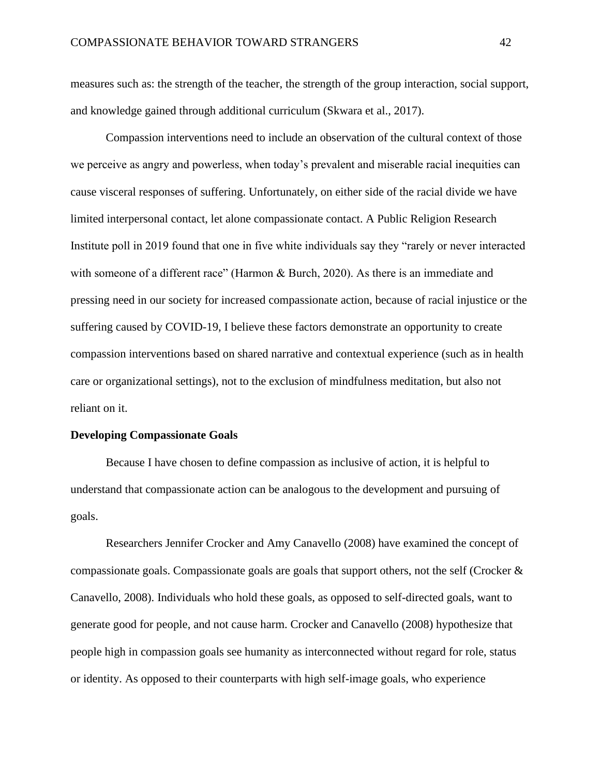measures such as: the strength of the teacher, the strength of the group interaction, social support, and knowledge gained through additional curriculum (Skwara et al., 2017).

Compassion interventions need to include an observation of the cultural context of those we perceive as angry and powerless, when today's prevalent and miserable racial inequities can cause visceral responses of suffering. Unfortunately, on either side of the racial divide we have limited interpersonal contact, let alone compassionate contact. A Public Religion Research Institute poll in 2019 found that one in five white individuals say they "rarely or never interacted with someone of a different race" (Harmon & Burch, 2020). As there is an immediate and pressing need in our society for increased compassionate action, because of racial injustice or the suffering caused by COVID-19, I believe these factors demonstrate an opportunity to create compassion interventions based on shared narrative and contextual experience (such as in health care or organizational settings), not to the exclusion of mindfulness meditation, but also not reliant on it.

### **Developing Compassionate Goals**

Because I have chosen to define compassion as inclusive of action, it is helpful to understand that compassionate action can be analogous to the development and pursuing of goals.

Researchers Jennifer Crocker and Amy Canavello (2008) have examined the concept of compassionate goals. Compassionate goals are goals that support others, not the self (Crocker  $\&$ Canavello, 2008). Individuals who hold these goals, as opposed to self-directed goals, want to generate good for people, and not cause harm. Crocker and Canavello (2008) hypothesize that people high in compassion goals see humanity as interconnected without regard for role, status or identity. As opposed to their counterparts with high self-image goals, who experience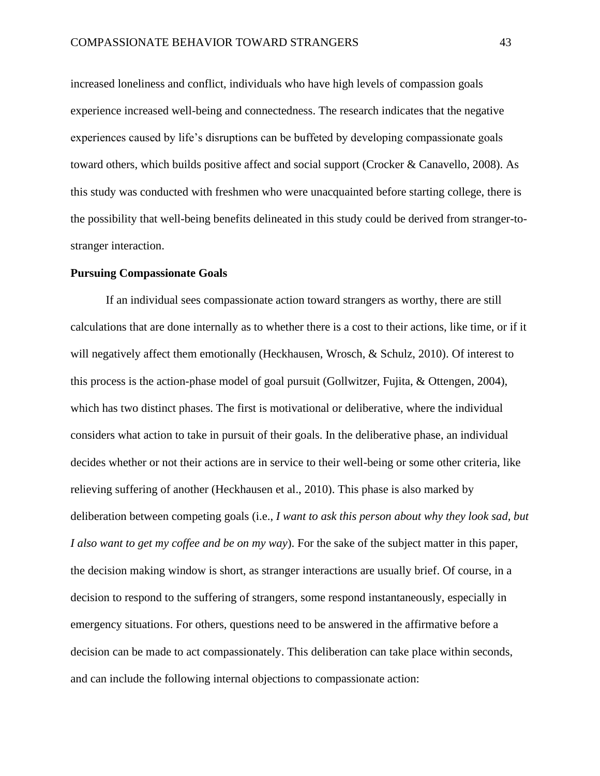increased loneliness and conflict, individuals who have high levels of compassion goals experience increased well-being and connectedness. The research indicates that the negative experiences caused by life's disruptions can be buffeted by developing compassionate goals toward others, which builds positive affect and social support (Crocker & Canavello, 2008). As this study was conducted with freshmen who were unacquainted before starting college, there is the possibility that well-being benefits delineated in this study could be derived from stranger-tostranger interaction.

#### **Pursuing Compassionate Goals**

If an individual sees compassionate action toward strangers as worthy, there are still calculations that are done internally as to whether there is a cost to their actions, like time, or if it will negatively affect them emotionally (Heckhausen, Wrosch, & Schulz, 2010). Of interest to this process is the action-phase model of goal pursuit (Gollwitzer, Fujita, & Ottengen, 2004), which has two distinct phases. The first is motivational or deliberative, where the individual considers what action to take in pursuit of their goals. In the deliberative phase, an individual decides whether or not their actions are in service to their well-being or some other criteria, like relieving suffering of another (Heckhausen et al., 2010). This phase is also marked by deliberation between competing goals (i.e., *I want to ask this person about why they look sad, but I also want to get my coffee and be on my way*). For the sake of the subject matter in this paper, the decision making window is short, as stranger interactions are usually brief. Of course, in a decision to respond to the suffering of strangers, some respond instantaneously, especially in emergency situations. For others, questions need to be answered in the affirmative before a decision can be made to act compassionately. This deliberation can take place within seconds, and can include the following internal objections to compassionate action: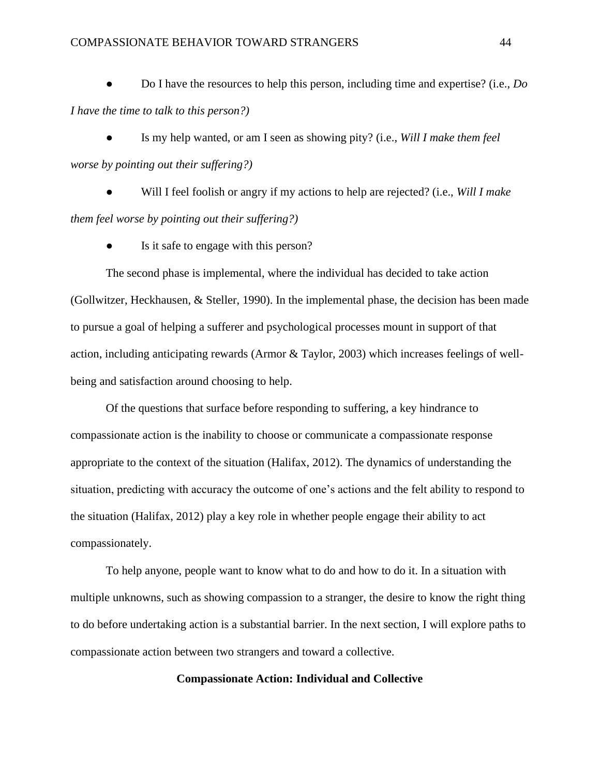● Do I have the resources to help this person, including time and expertise? (i.e., *Do I have the time to talk to this person?)*

● Is my help wanted, or am I seen as showing pity? (i.e., *Will I make them feel worse by pointing out their suffering?)*

● Will I feel foolish or angry if my actions to help are rejected? (i.e., *Will I make them feel worse by pointing out their suffering?)*

Is it safe to engage with this person?

The second phase is implemental, where the individual has decided to take action (Gollwitzer, Heckhausen, & Steller, 1990). In the implemental phase, the decision has been made to pursue a goal of helping a sufferer and psychological processes mount in support of that action, including anticipating rewards (Armor & Taylor, 2003) which increases feelings of wellbeing and satisfaction around choosing to help.

Of the questions that surface before responding to suffering, a key hindrance to compassionate action is the inability to choose or communicate a compassionate response appropriate to the context of the situation (Halifax, 2012). The dynamics of understanding the situation, predicting with accuracy the outcome of one's actions and the felt ability to respond to the situation (Halifax, 2012) play a key role in whether people engage their ability to act compassionately.

To help anyone, people want to know what to do and how to do it. In a situation with multiple unknowns, such as showing compassion to a stranger, the desire to know the right thing to do before undertaking action is a substantial barrier. In the next section, I will explore paths to compassionate action between two strangers and toward a collective.

# **Compassionate Action: Individual and Collective**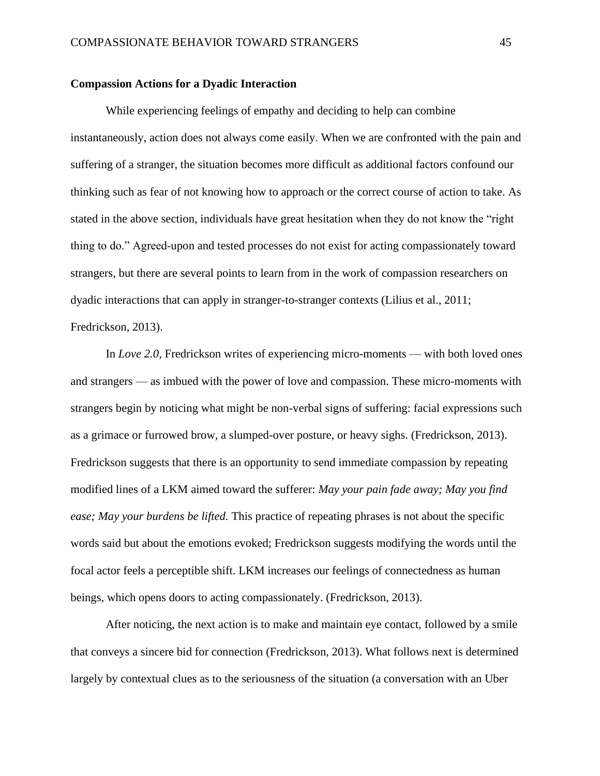#### **Compassion Actions for a Dyadic Interaction**

While experiencing feelings of empathy and deciding to help can combine instantaneously, action does not always come easily. When we are confronted with the pain and suffering of a stranger, the situation becomes more difficult as additional factors confound our thinking such as fear of not knowing how to approach or the correct course of action to take. As stated in the above section, individuals have great hesitation when they do not know the "right thing to do." Agreed-upon and tested processes do not exist for acting compassionately toward strangers, but there are several points to learn from in the work of compassion researchers on dyadic interactions that can apply in stranger-to-stranger contexts (Lilius et al., 2011; Fredrickson, 2013).

In *Love 2.0*, Fredrickson writes of experiencing micro-moments — with both loved ones and strangers — as imbued with the power of love and compassion. These micro-moments with strangers begin by noticing what might be non-verbal signs of suffering: facial expressions such as a grimace or furrowed brow, a slumped-over posture, or heavy sighs. (Fredrickson, 2013). Fredrickson suggests that there is an opportunity to send immediate compassion by repeating modified lines of a LKM aimed toward the sufferer: *May your pain fade away; May you find ease; May your burdens be lifted.* This practice of repeating phrases is not about the specific words said but about the emotions evoked; Fredrickson suggests modifying the words until the focal actor feels a perceptible shift. LKM increases our feelings of connectedness as human beings, which opens doors to acting compassionately. (Fredrickson, 2013).

After noticing, the next action is to make and maintain eye contact, followed by a smile that conveys a sincere bid for connection (Fredrickson, 2013). What follows next is determined largely by contextual clues as to the seriousness of the situation (a conversation with an Uber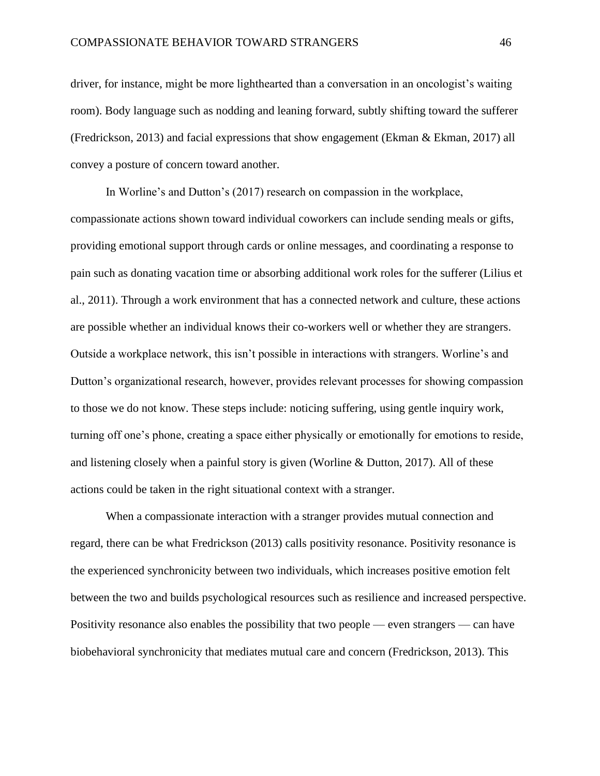driver, for instance, might be more lighthearted than a conversation in an oncologist's waiting room). Body language such as nodding and leaning forward, subtly shifting toward the sufferer (Fredrickson, 2013) and facial expressions that show engagement (Ekman & Ekman, 2017) all convey a posture of concern toward another.

In Worline's and Dutton's (2017) research on compassion in the workplace, compassionate actions shown toward individual coworkers can include sending meals or gifts, providing emotional support through cards or online messages, and coordinating a response to pain such as donating vacation time or absorbing additional work roles for the sufferer (Lilius et al., 2011). Through a work environment that has a connected network and culture, these actions are possible whether an individual knows their co-workers well or whether they are strangers. Outside a workplace network, this isn't possible in interactions with strangers. Worline's and Dutton's organizational research, however, provides relevant processes for showing compassion to those we do not know. These steps include: noticing suffering, using gentle inquiry work, turning off one's phone, creating a space either physically or emotionally for emotions to reside, and listening closely when a painful story is given (Worline & Dutton, 2017). All of these actions could be taken in the right situational context with a stranger.

When a compassionate interaction with a stranger provides mutual connection and regard, there can be what Fredrickson (2013) calls positivity resonance. Positivity resonance is the experienced synchronicity between two individuals, which increases positive emotion felt between the two and builds psychological resources such as resilience and increased perspective. Positivity resonance also enables the possibility that two people — even strangers — can have biobehavioral synchronicity that mediates mutual care and concern (Fredrickson, 2013). This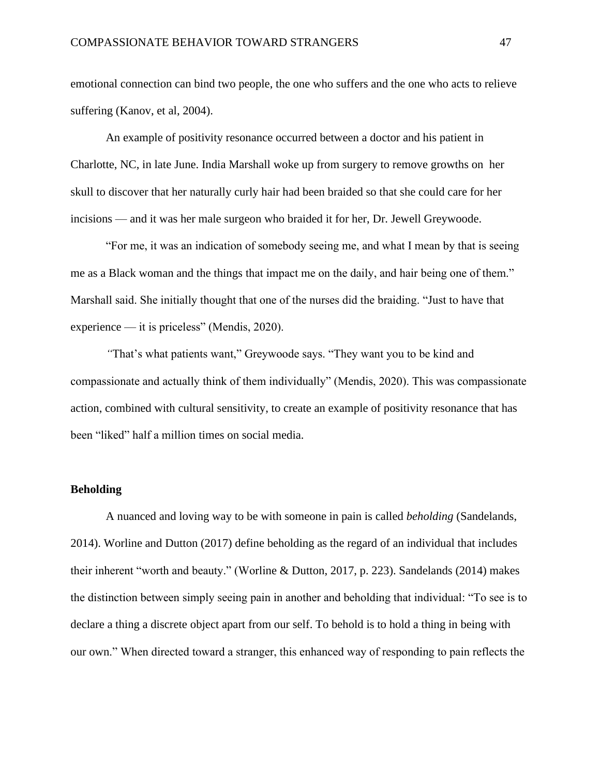emotional connection can bind two people, the one who suffers and the one who acts to relieve suffering (Kanov, et al, 2004).

An example of positivity resonance occurred between a doctor and his patient in Charlotte, NC, in late June. India Marshall woke up from surgery to remove growths on her skull to discover that her naturally curly hair had been braided so that she could care for her incisions — and it was her male surgeon who braided it for her, Dr. Jewell Greywoode.

"For me, it was an indication of somebody seeing me, and what I mean by that is seeing me as a Black woman and the things that impact me on the daily, and hair being one of them." Marshall said. She initially thought that one of the nurses did the braiding. "Just to have that experience — it is priceless" (Mendis, 2020).

*"*That's what patients want," Greywoode says. "They want you to be kind and compassionate and actually think of them individually" (Mendis, 2020). This was compassionate action, combined with cultural sensitivity, to create an example of positivity resonance that has been "liked" half a million times on social media.

## **Beholding**

A nuanced and loving way to be with someone in pain is called *beholding* (Sandelands, 2014). Worline and Dutton (2017) define beholding as the regard of an individual that includes their inherent "worth and beauty." (Worline & Dutton, 2017, p. 223). Sandelands (2014) makes the distinction between simply seeing pain in another and beholding that individual: "To see is to declare a thing a discrete object apart from our self. To behold is to hold a thing in being with our own." When directed toward a stranger, this enhanced way of responding to pain reflects the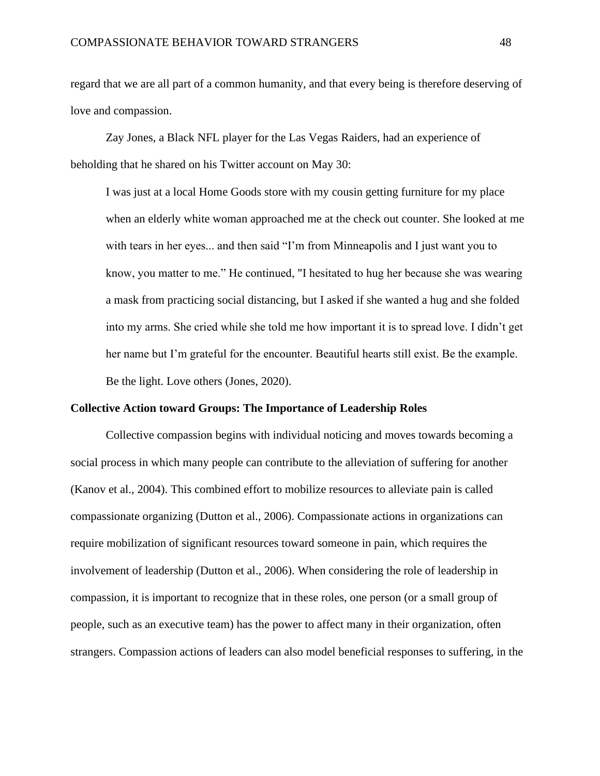regard that we are all part of a common humanity, and that every being is therefore deserving of love and compassion.

Zay Jones, a Black NFL player for the Las Vegas Raiders, had an experience of beholding that he shared on his Twitter account on May 30:

I was just at a local Home Goods store with my cousin getting furniture for my place when an elderly white woman approached me at the check out counter. She looked at me with tears in her eyes... and then said "I'm from Minneapolis and I just want you to know, you matter to me." He continued, "I hesitated to hug her because she was wearing a mask from practicing social distancing, but I asked if she wanted a hug and she folded into my arms. She cried while she told me how important it is to spread love. I didn't get her name but I'm grateful for the encounter. Beautiful hearts still exist. Be the example. Be the light. Love others (Jones, 2020).

### **Collective Action toward Groups: The Importance of Leadership Roles**

Collective compassion begins with individual noticing and moves towards becoming a social process in which many people can contribute to the alleviation of suffering for another (Kanov et al., 2004). This combined effort to mobilize resources to alleviate pain is called compassionate organizing (Dutton et al., 2006). Compassionate actions in organizations can require mobilization of significant resources toward someone in pain, which requires the involvement of leadership (Dutton et al., 2006). When considering the role of leadership in compassion, it is important to recognize that in these roles, one person (or a small group of people, such as an executive team) has the power to affect many in their organization, often strangers. Compassion actions of leaders can also model beneficial responses to suffering, in the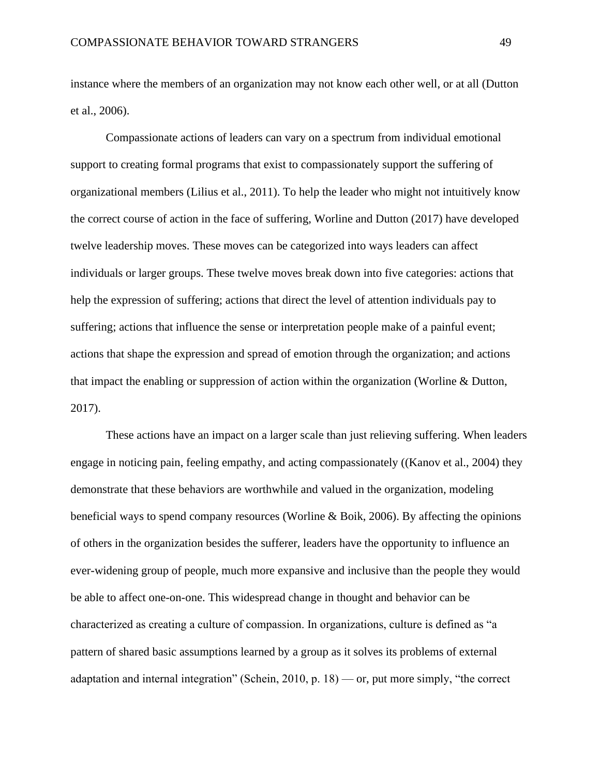instance where the members of an organization may not know each other well, or at all (Dutton et al., 2006).

Compassionate actions of leaders can vary on a spectrum from individual emotional support to creating formal programs that exist to compassionately support the suffering of organizational members (Lilius et al., 2011). To help the leader who might not intuitively know the correct course of action in the face of suffering, Worline and Dutton (2017) have developed twelve leadership moves. These moves can be categorized into ways leaders can affect individuals or larger groups. These twelve moves break down into five categories: actions that help the expression of suffering; actions that direct the level of attention individuals pay to suffering; actions that influence the sense or interpretation people make of a painful event; actions that shape the expression and spread of emotion through the organization; and actions that impact the enabling or suppression of action within the organization (Worline & Dutton, 2017).

These actions have an impact on a larger scale than just relieving suffering. When leaders engage in noticing pain, feeling empathy, and acting compassionately ((Kanov et al., 2004) they demonstrate that these behaviors are worthwhile and valued in the organization, modeling beneficial ways to spend company resources (Worline & Boik, 2006). By affecting the opinions of others in the organization besides the sufferer, leaders have the opportunity to influence an ever-widening group of people, much more expansive and inclusive than the people they would be able to affect one-on-one. This widespread change in thought and behavior can be characterized as creating a culture of compassion. In organizations, culture is defined as "a pattern of shared basic assumptions learned by a group as it solves its problems of external adaptation and internal integration" (Schein, 2010, p. 18) — or, put more simply, "the correct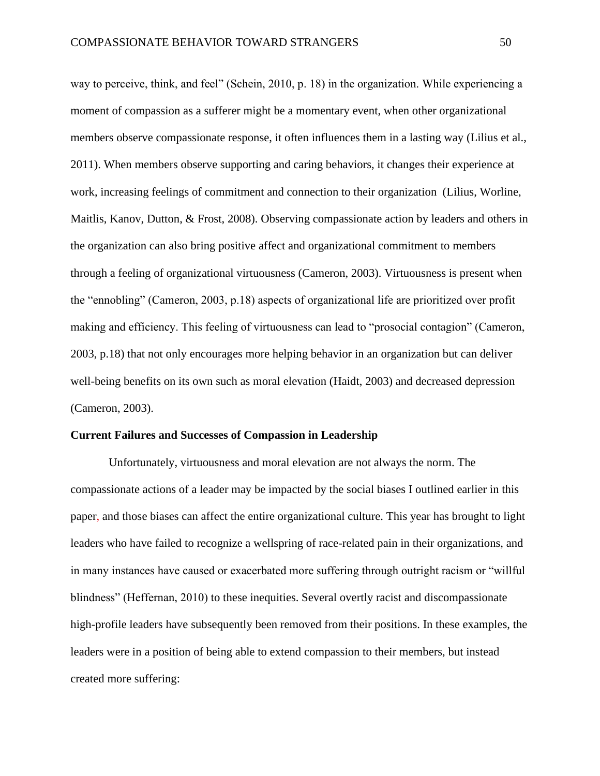way to perceive, think, and feel" (Schein, 2010, p. 18) in the organization. While experiencing a moment of compassion as a sufferer might be a momentary event, when other organizational members observe compassionate response, it often influences them in a lasting way (Lilius et al., 2011). When members observe supporting and caring behaviors, it changes their experience at work, increasing feelings of commitment and connection to their organization (Lilius, Worline, Maitlis, Kanov, Dutton, & Frost, 2008). Observing compassionate action by leaders and others in the organization can also bring positive affect and organizational commitment to members through a feeling of organizational virtuousness (Cameron, 2003). Virtuousness is present when the "ennobling" (Cameron, 2003, p.18) aspects of organizational life are prioritized over profit making and efficiency. This feeling of virtuousness can lead to "prosocial contagion" (Cameron, 2003, p.18) that not only encourages more helping behavior in an organization but can deliver well-being benefits on its own such as moral elevation (Haidt, 2003) and decreased depression (Cameron, 2003).

### **Current Failures and Successes of Compassion in Leadership**

Unfortunately, virtuousness and moral elevation are not always the norm. The compassionate actions of a leader may be impacted by the social biases I outlined earlier in this paper, and those biases can affect the entire organizational culture. This year has brought to light leaders who have failed to recognize a wellspring of race-related pain in their organizations, and in many instances have caused or exacerbated more suffering through outright racism or "willful blindness" (Heffernan, 2010) to these inequities. Several overtly racist and discompassionate high-profile leaders have subsequently been removed from their positions. In these examples, the leaders were in a position of being able to extend compassion to their members, but instead created more suffering: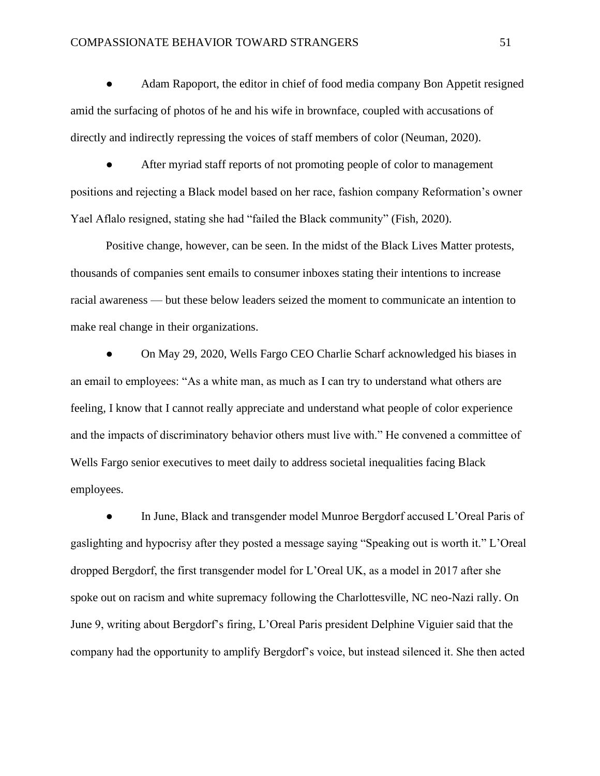Adam Rapoport, the editor in chief of food media company Bon Appetit resigned amid the surfacing of photos of he and his wife in brownface, coupled with accusations of directly and indirectly repressing the voices of staff members of color (Neuman, 2020).

After myriad staff reports of not promoting people of color to management positions and rejecting a Black model based on her race, fashion company Reformation's owner Yael Aflalo resigned, stating she had "failed the Black community" (Fish, 2020).

Positive change, however, can be seen. In the midst of the Black Lives Matter protests, thousands of companies sent emails to consumer inboxes stating their intentions to increase racial awareness — but these below leaders seized the moment to communicate an intention to make real change in their organizations.

● On May 29, 2020, Wells Fargo CEO Charlie Scharf acknowledged his biases in an email to employees: "As a white man, as much as I can try to understand what others are feeling, I know that I cannot really appreciate and understand what people of color experience and the impacts of discriminatory behavior others must live with." He convened a committee of Wells Fargo senior executives to meet daily to address societal inequalities facing Black employees.

In June, Black and transgender model Munroe Bergdorf accused L'Oreal Paris of gaslighting and hypocrisy after they posted a message saying "Speaking out is worth it." L'Oreal dropped Bergdorf, the first transgender model for L'Oreal UK, as a model in 2017 after she spoke out on racism and white supremacy following the Charlottesville, NC neo-Nazi rally. On June 9, writing about Bergdorf's firing, L'Oreal Paris president Delphine Viguier said that the company had the opportunity to amplify Bergdorf's voice, but instead silenced it. She then acted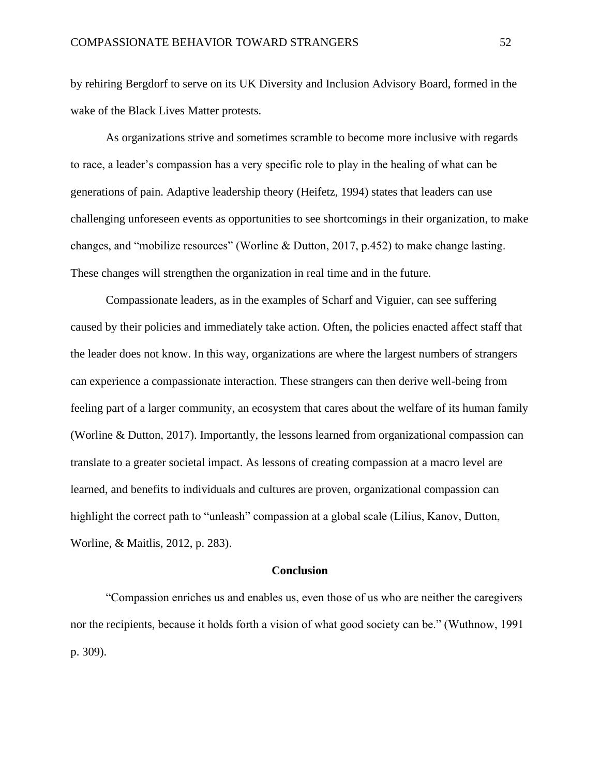by rehiring Bergdorf to serve on its UK Diversity and Inclusion Advisory Board, formed in the wake of the Black Lives Matter protests.

As organizations strive and sometimes scramble to become more inclusive with regards to race, a leader's compassion has a very specific role to play in the healing of what can be generations of pain. Adaptive leadership theory (Heifetz, 1994) states that leaders can use challenging unforeseen events as opportunities to see shortcomings in their organization, to make changes, and "mobilize resources" (Worline & Dutton, 2017, p.452) to make change lasting. These changes will strengthen the organization in real time and in the future.

Compassionate leaders, as in the examples of Scharf and Viguier, can see suffering caused by their policies and immediately take action. Often, the policies enacted affect staff that the leader does not know. In this way, organizations are where the largest numbers of strangers can experience a compassionate interaction. These strangers can then derive well-being from feeling part of a larger community, an ecosystem that cares about the welfare of its human family (Worline & Dutton, 2017). Importantly, the lessons learned from organizational compassion can translate to a greater societal impact. As lessons of creating compassion at a macro level are learned, and benefits to individuals and cultures are proven, organizational compassion can highlight the correct path to "unleash" compassion at a global scale (Lilius, Kanov, Dutton, Worline, & Maitlis, 2012, p. 283).

## **Conclusion**

"Compassion enriches us and enables us, even those of us who are neither the caregivers nor the recipients, because it holds forth a vision of what good society can be." (Wuthnow, 1991 p. 309).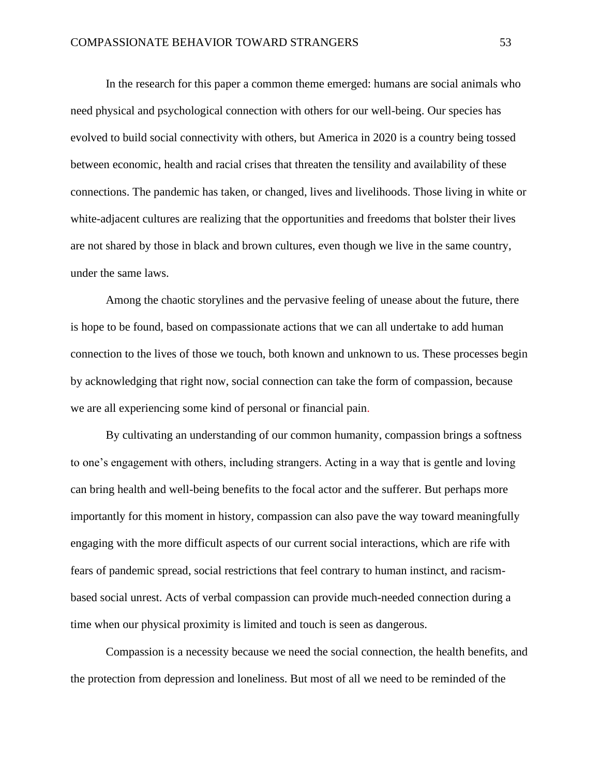In the research for this paper a common theme emerged: humans are social animals who need physical and psychological connection with others for our well-being. Our species has evolved to build social connectivity with others, but America in 2020 is a country being tossed between economic, health and racial crises that threaten the tensility and availability of these connections. The pandemic has taken, or changed, lives and livelihoods. Those living in white or white-adjacent cultures are realizing that the opportunities and freedoms that bolster their lives are not shared by those in black and brown cultures, even though we live in the same country, under the same laws.

Among the chaotic storylines and the pervasive feeling of unease about the future, there is hope to be found, based on compassionate actions that we can all undertake to add human connection to the lives of those we touch, both known and unknown to us. These processes begin by acknowledging that right now, social connection can take the form of compassion, because we are all experiencing some kind of personal or financial pain.

By cultivating an understanding of our common humanity, compassion brings a softness to one's engagement with others, including strangers. Acting in a way that is gentle and loving can bring health and well-being benefits to the focal actor and the sufferer. But perhaps more importantly for this moment in history, compassion can also pave the way toward meaningfully engaging with the more difficult aspects of our current social interactions, which are rife with fears of pandemic spread, social restrictions that feel contrary to human instinct, and racismbased social unrest. Acts of verbal compassion can provide much-needed connection during a time when our physical proximity is limited and touch is seen as dangerous.

Compassion is a necessity because we need the social connection, the health benefits, and the protection from depression and loneliness. But most of all we need to be reminded of the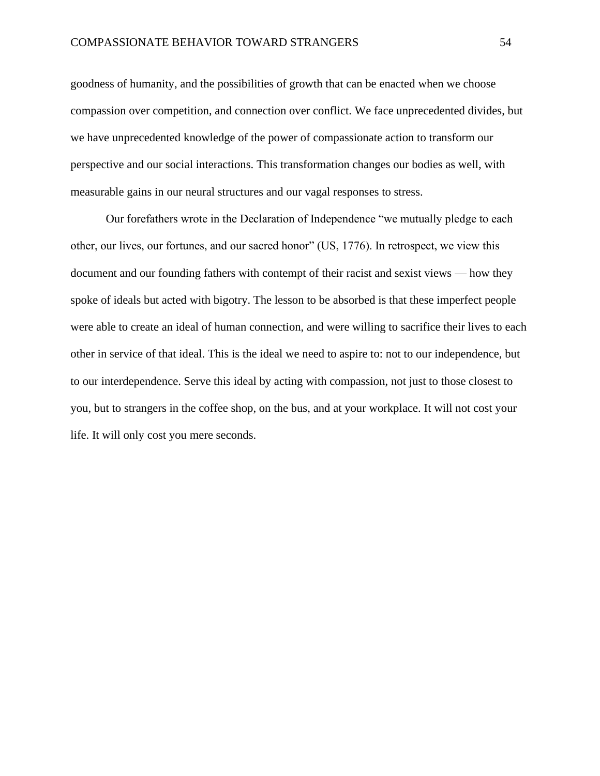goodness of humanity, and the possibilities of growth that can be enacted when we choose compassion over competition, and connection over conflict. We face unprecedented divides, but we have unprecedented knowledge of the power of compassionate action to transform our perspective and our social interactions. This transformation changes our bodies as well, with measurable gains in our neural structures and our vagal responses to stress.

Our forefathers wrote in the Declaration of Independence "we mutually pledge to each other, our lives, our fortunes, and our sacred honor" (US, 1776). In retrospect, we view this document and our founding fathers with contempt of their racist and sexist views — how they spoke of ideals but acted with bigotry. The lesson to be absorbed is that these imperfect people were able to create an ideal of human connection, and were willing to sacrifice their lives to each other in service of that ideal. This is the ideal we need to aspire to: not to our independence, but to our interdependence. Serve this ideal by acting with compassion, not just to those closest to you, but to strangers in the coffee shop, on the bus, and at your workplace. It will not cost your life. It will only cost you mere seconds.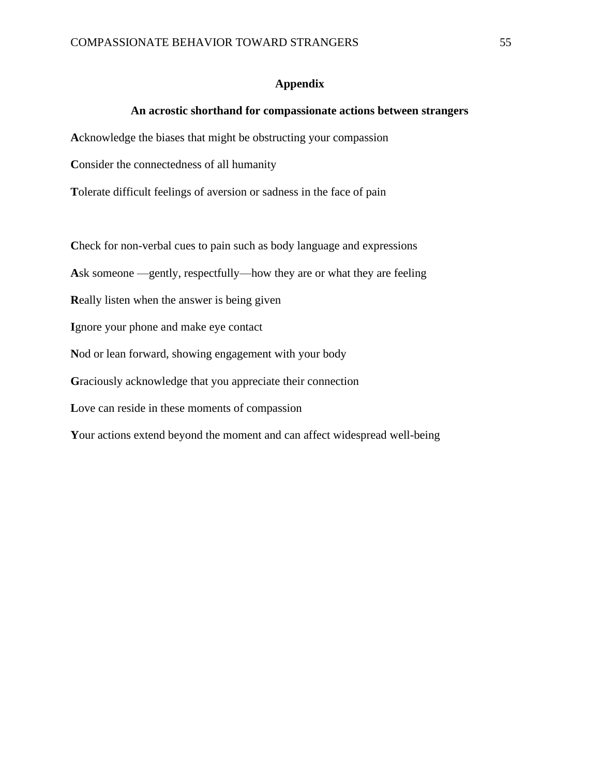# **Appendix**

### **An acrostic shorthand for compassionate actions between strangers**

**A**cknowledge the biases that might be obstructing your compassion

**C**onsider the connectedness of all humanity

**T**olerate difficult feelings of aversion or sadness in the face of pain

Check for non-verbal cues to pain such as body language and expressions

**A**sk someone —gently, respectfully—how they are or what they are feeling

**R**eally listen when the answer is being given

**I**gnore your phone and make eye contact

**N**od or lean forward, showing engagement with your body

**G**raciously acknowledge that you appreciate their connection

**L**ove can reside in these moments of compassion

**Y**our actions extend beyond the moment and can affect widespread well-being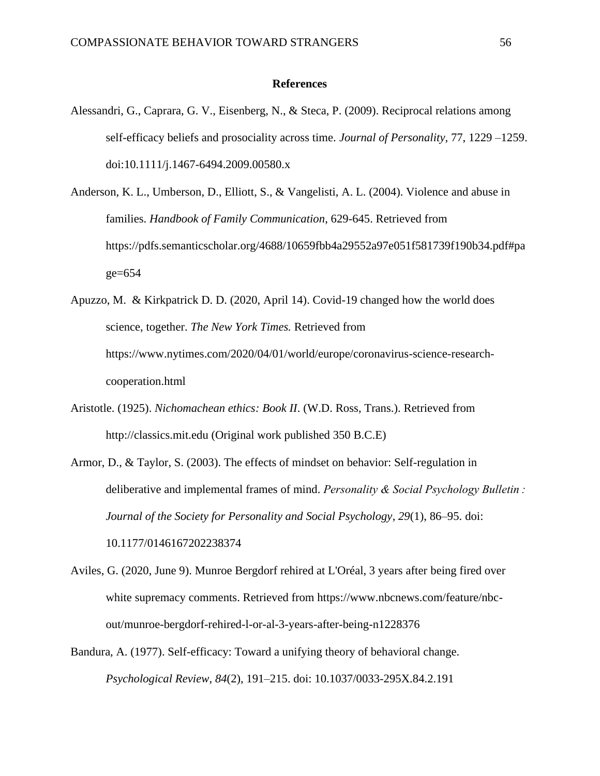### **References**

- Alessandri, G., Caprara, G. V., Eisenberg, N., & Steca, P. (2009). Reciprocal relations among self-efficacy beliefs and prosociality across time. *Journal of Personality*, 77, 1229 –1259. doi:10.1111/j.1467-6494.2009.00580.x
- Anderson, K. L., Umberson, D., Elliott, S., & Vangelisti, A. L. (2004). Violence and abuse in families. *Handbook of Family Communication*, 629-645. Retrieved from https://pdfs.semanticscholar.org/4688/10659fbb4a29552a97e051f581739f190b34.pdf#pa ge=654

```
Apuzzo, M. & Kirkpatrick D. D. (2020, April 14). Covid-19 changed how the world does 
science, together. The New York Times. Retrieved from 
https://www.nytimes.com/2020/04/01/world/europe/coronavirus-science-research-
cooperation.html
```
- Aristotle. (1925). *Nichomachean ethics: Book II*. (W.D. Ross, Trans.). Retrieved from http://classics.mit.edu (Original work published 350 B.C.E)
- Armor, D., & Taylor, S. (2003). The effects of mindset on behavior: Self-regulation in deliberative and implemental frames of mind. *Personality & Social Psychology Bulletin : Journal of the Society for Personality and Social Psychology*, *29*(1), 86–95. doi: 10.1177/0146167202238374
- Aviles, G. (2020, June 9). Munroe Bergdorf rehired at L'Oréal, 3 years after being fired over white supremacy comments. Retrieved from https://www.nbcnews.com/feature/nbcout/munroe-bergdorf-rehired-l-or-al-3-years-after-being-n1228376
- Bandura, A. (1977). Self-efficacy: Toward a unifying theory of behavioral change. *Psychological Review*, *84*(2), 191–215. doi: 10.1037/0033-295X.84.2.191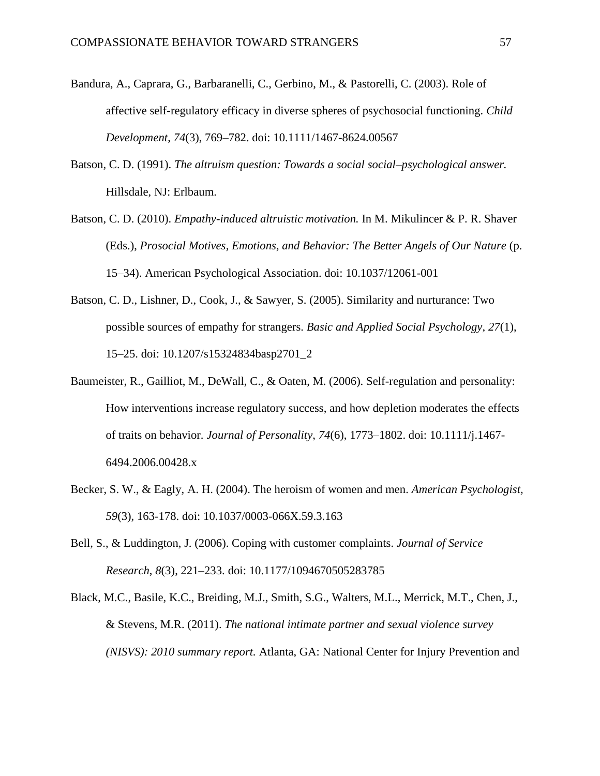- Bandura, A., Caprara, G., Barbaranelli, C., Gerbino, M., & Pastorelli, C. (2003). Role of affective self-regulatory efficacy in diverse spheres of psychosocial functioning. *Child Development*, *74*(3), 769–782. doi: 10.1111/1467-8624.00567
- Batson, C. D. (1991). *The altruism question: Towards a social social–psychological answer.* Hillsdale, NJ: Erlbaum.
- Batson, C. D. (2010). *Empathy-induced altruistic motivation.* In M. Mikulincer & P. R. Shaver (Eds.), *Prosocial Motives, Emotions, and Behavior: The Better Angels of Our Nature* (p. 15–34). American Psychological Association. doi: 10.1037/12061-001
- Batson, C. D., Lishner, D., Cook, J., & Sawyer, S. (2005). Similarity and nurturance: Two possible sources of empathy for strangers. *Basic and Applied Social Psychology*, *27*(1), 15–25. doi: 10.1207/s15324834basp2701\_2
- Baumeister, R., Gailliot, M., DeWall, C., & Oaten, M. (2006). Self-regulation and personality: How interventions increase regulatory success, and how depletion moderates the effects of traits on behavior. *Journal of Personality*, *74*(6), 1773–1802. doi: 10.1111/j.1467- 6494.2006.00428.x
- Becker, S. W., & Eagly, A. H. (2004). The heroism of women and men. *American Psychologist, 59*(3), 163-178. doi: 10.1037/0003-066X.59.3.163
- Bell, S., & Luddington, J. (2006). Coping with customer complaints. *Journal of Service Research*, *8*(3), 221–233. doi: 10.1177/1094670505283785
- Black, M.C., Basile, K.C., Breiding, M.J., Smith, S.G., Walters, M.L., Merrick, M.T., Chen, J., & Stevens, M.R. (2011). *The national intimate partner and sexual violence survey (NISVS): 2010 summary report.* Atlanta, GA: National Center for Injury Prevention and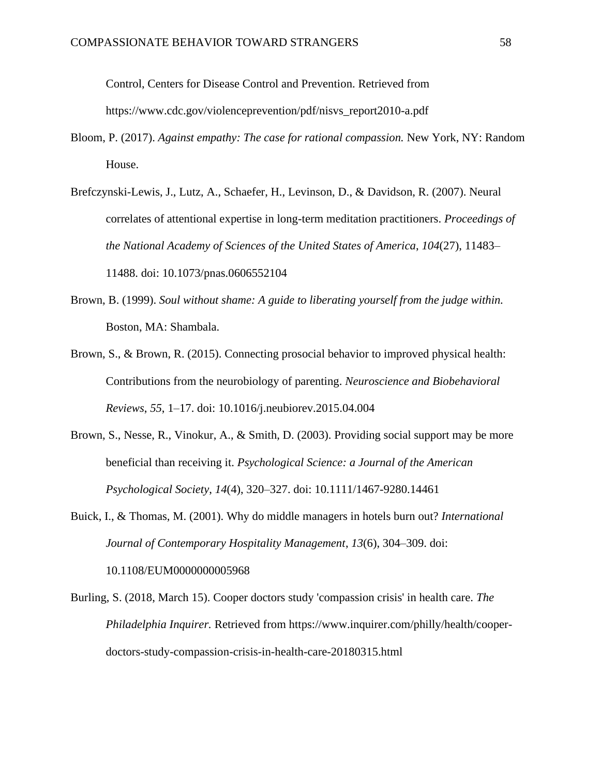Control, Centers for Disease Control and Prevention. Retrieved from https://www.cdc.gov/violenceprevention/pdf/nisvs\_report2010-a.pdf

- Bloom, P. (2017). *Against empathy: The case for rational compassion.* New York, NY: Random House.
- Brefczynski-Lewis, J., Lutz, A., Schaefer, H., Levinson, D., & Davidson, R. (2007). Neural correlates of attentional expertise in long-term meditation practitioners. *Proceedings of the National Academy of Sciences of the United States of America*, *104*(27), 11483– 11488. doi: 10.1073/pnas.0606552104
- Brown, B. (1999). *Soul without shame: A guide to liberating yourself from the judge within.* Boston, MA: Shambala.
- Brown, S., & Brown, R. (2015). Connecting prosocial behavior to improved physical health: Contributions from the neurobiology of parenting. *Neuroscience and Biobehavioral Reviews*, *55*, 1–17. doi: 10.1016/j.neubiorev.2015.04.004
- Brown, S., Nesse, R., Vinokur, A., & Smith, D. (2003). Providing social support may be more beneficial than receiving it. *Psychological Science: a Journal of the American Psychological Society*, *14*(4), 320–327. doi: 10.1111/1467-9280.14461
- Buick, I., & Thomas, M. (2001). Why do middle managers in hotels burn out? *International Journal of Contemporary Hospitality Management*, *13*(6), 304–309. doi: 10.1108/EUM0000000005968
- Burling, S. (2018, March 15). Cooper doctors study 'compassion crisis' in health care. *The Philadelphia Inquirer.* Retrieved from https://www.inquirer.com/philly/health/cooperdoctors-study-compassion-crisis-in-health-care-20180315.html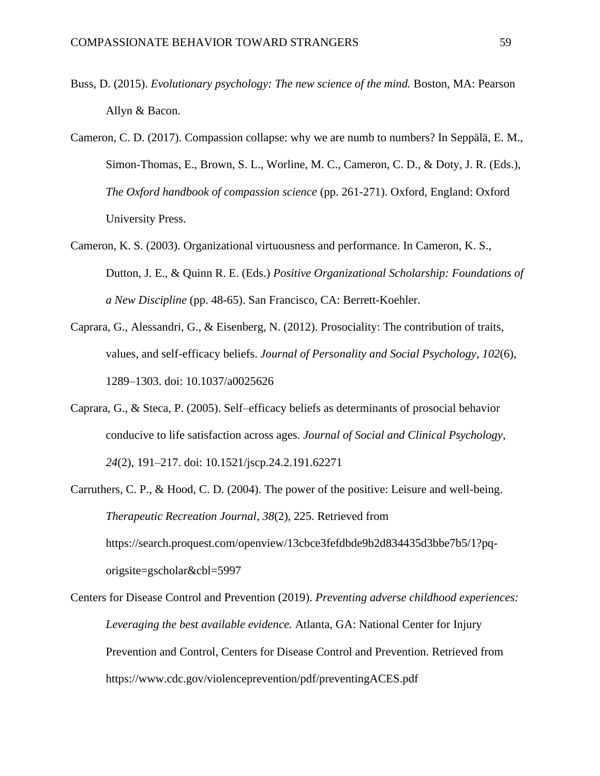- Buss, D. (2015). *Evolutionary psychology: The new science of the mind.* Boston, MA: Pearson Allyn & Bacon.
- Cameron, C. D. (2017). Compassion collapse: why we are numb to numbers? In Seppälä, E. M., Simon-Thomas, E., Brown, S. L., Worline, M. C., Cameron, C. D., & Doty, J. R. (Eds.), *The Oxford handbook of compassion science* (pp. 261-271). Oxford, England: Oxford University Press.
- Cameron, K. S. (2003). Organizational virtuousness and performance. In Cameron, K. S., Dutton, J. E., & Quinn R. E. (Eds.) *Positive Organizational Scholarship: Foundations of a New Discipline* (pp. 48-65). San Francisco, CA: Berrett-Koehler.
- Caprara, G., Alessandri, G., & Eisenberg, N. (2012). Prosociality: The contribution of traits, values, and self-efficacy beliefs. *Journal of Personality and Social Psychology*, *102*(6), 1289–1303. doi: 10.1037/a0025626
- Caprara, G., & Steca, P. (2005). Self–efficacy beliefs as determinants of prosocial behavior conducive to life satisfaction across ages. *Journal of Social and Clinical Psychology*, *24*(2), 191–217. doi: 10.1521/jscp.24.2.191.62271
- Carruthers, C. P., & Hood, C. D. (2004). The power of the positive: Leisure and well-being. *Therapeutic Recreation Journal*, *38*(2), 225. Retrieved from https://search.proquest.com/openview/13cbce3fefdbde9b2d834435d3bbe7b5/1?pqorigsite=gscholar&cbl=5997
- Centers for Disease Control and Prevention (2019). *Preventing adverse childhood experiences: Leveraging the best available evidence.* Atlanta, GA: National Center for Injury Prevention and Control, Centers for Disease Control and Prevention. Retrieved from https://www.cdc.gov/violenceprevention/pdf/preventingACES.pdf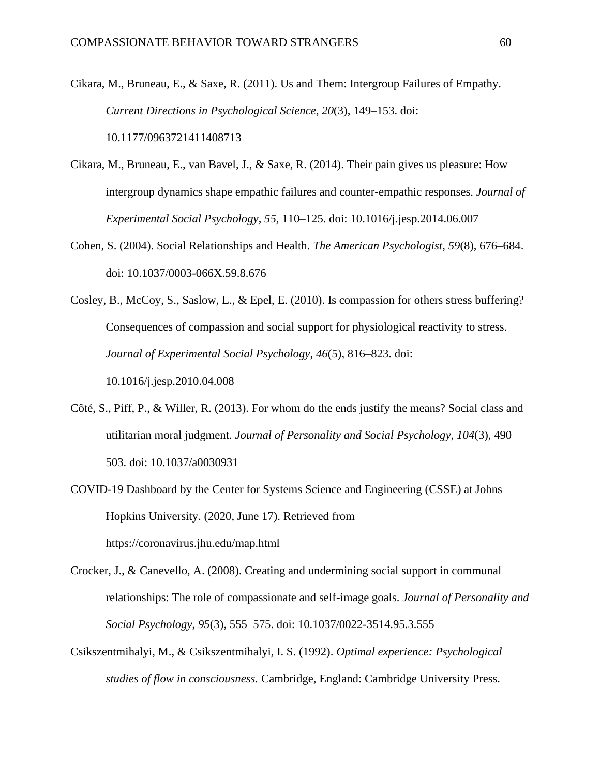Cikara, M., Bruneau, E., & Saxe, R. (2011). Us and Them: Intergroup Failures of Empathy. *Current Directions in Psychological Science*, *20*(3), 149–153. doi: 10.1177/0963721411408713

- Cikara, M., Bruneau, E., van Bavel, J., & Saxe, R. (2014). Their pain gives us pleasure: How intergroup dynamics shape empathic failures and counter-empathic responses. *Journal of Experimental Social Psychology*, *55*, 110–125. doi: 10.1016/j.jesp.2014.06.007
- Cohen, S. (2004). Social Relationships and Health. *The American Psychologist*, *59*(8), 676–684. doi: 10.1037/0003-066X.59.8.676

Cosley, B., McCoy, S., Saslow, L., & Epel, E. (2010). Is compassion for others stress buffering? Consequences of compassion and social support for physiological reactivity to stress. *Journal of Experimental Social Psychology*, *46*(5), 816–823. doi: 10.1016/j.jesp.2010.04.008

- Côté, S., Piff, P., & Willer, R. (2013). For whom do the ends justify the means? Social class and utilitarian moral judgment. *Journal of Personality and Social Psychology*, *104*(3), 490– 503. doi: 10.1037/a0030931
- COVID-19 Dashboard by the Center for Systems Science and Engineering (CSSE) at Johns Hopkins University. (2020, June 17). Retrieved from https://coronavirus.jhu.edu/map.html

Crocker, J., & Canevello, A. (2008). Creating and undermining social support in communal relationships: The role of compassionate and self-image goals. *Journal of Personality and Social Psychology*, *95*(3), 555–575. doi: 10.1037/0022-3514.95.3.555

Csikszentmihalyi, M., & Csikszentmihalyi, I. S. (1992). *Optimal experience: Psychological studies of flow in consciousness.* Cambridge, England: Cambridge University Press.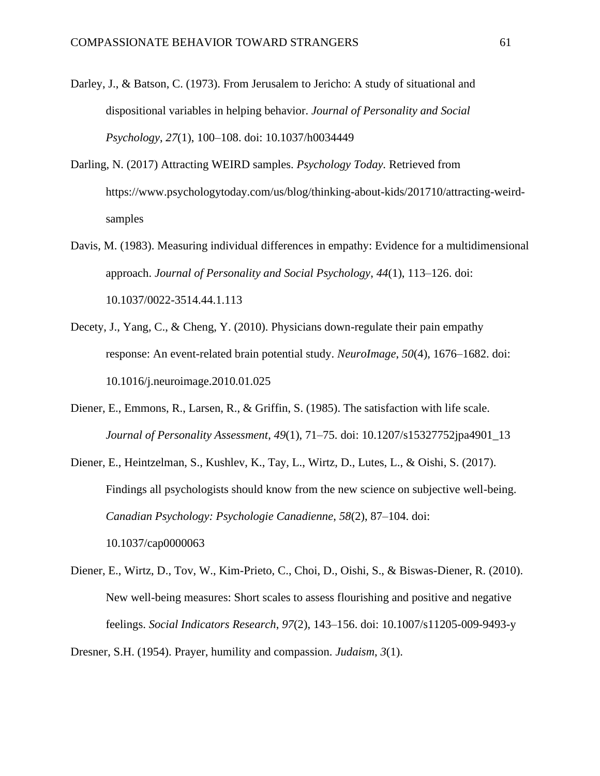- Darley, J., & Batson, C. (1973). From Jerusalem to Jericho: A study of situational and dispositional variables in helping behavior. *Journal of Personality and Social Psychology*, *27*(1), 100–108. doi: 10.1037/h0034449
- Darling, N. (2017) Attracting WEIRD samples. *Psychology Today.* Retrieved from https://www.psychologytoday.com/us/blog/thinking-about-kids/201710/attracting-weirdsamples
- Davis, M. (1983). Measuring individual differences in empathy: Evidence for a multidimensional approach. *Journal of Personality and Social Psychology*, *44*(1), 113–126. doi: 10.1037/0022-3514.44.1.113
- Decety, J., Yang, C., & Cheng, Y. (2010). Physicians down-regulate their pain empathy response: An event-related brain potential study. *NeuroImage*, *50*(4), 1676–1682. doi: 10.1016/j.neuroimage.2010.01.025
- Diener, E., Emmons, R., Larsen, R., & Griffin, S. (1985). The satisfaction with life scale. *Journal of Personality Assessment*, *49*(1), 71–75. doi: 10.1207/s15327752jpa4901\_13
- Diener, E., Heintzelman, S., Kushlev, K., Tay, L., Wirtz, D., Lutes, L., & Oishi, S. (2017). Findings all psychologists should know from the new science on subjective well-being. *Canadian Psychology: Psychologie Canadienne*, *58*(2), 87–104. doi: 10.1037/cap0000063
- Diener, E., Wirtz, D., Tov, W., Kim-Prieto, C., Choi, D., Oishi, S., & Biswas-Diener, R. (2010). New well-being measures: Short scales to assess flourishing and positive and negative feelings. *Social Indicators Research*, *97*(2), 143–156. doi: 10.1007/s11205-009-9493-y

Dresner, S.H. (1954). Prayer, humility and compassion. *Judaism*, *3*(1).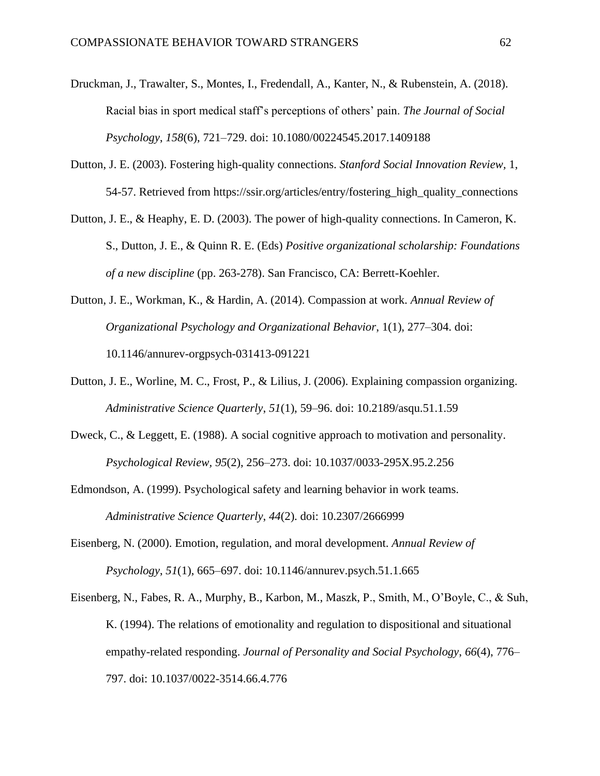- Druckman, J., Trawalter, S., Montes, I., Fredendall, A., Kanter, N., & Rubenstein, A. (2018). Racial bias in sport medical staff's perceptions of others' pain. *The Journal of Social Psychology*, *158*(6), 721–729. doi: 10.1080/00224545.2017.1409188
- Dutton, J. E. (2003). Fostering high-quality connections. *Stanford Social Innovation Review,* 1, 54-57. Retrieved from https://ssir.org/articles/entry/fostering\_high\_quality\_connections
- Dutton, J. E., & Heaphy, E. D. (2003). The power of high-quality connections. In Cameron, K. S., Dutton, J. E., & Quinn R. E. (Eds) *Positive organizational scholarship: Foundations of a new discipline* (pp. 263-278). San Francisco, CA: Berrett-Koehler.
- Dutton, J. E., Workman, K., & Hardin, A. (2014). Compassion at work. *Annual Review of Organizational Psychology and Organizational Behavior*, 1(1), 277–304. doi: 10.1146/annurev-orgpsych-031413-091221
- Dutton, J. E., Worline, M. C., Frost, P., & Lilius, J. (2006). Explaining compassion organizing. *Administrative Science Quarterly*, *51*(1), 59–96. doi: 10.2189/asqu.51.1.59
- Dweck, C., & Leggett, E. (1988). A social cognitive approach to motivation and personality. *Psychological Review, 95*(2), 256–273. doi: 10.1037/0033-295X.95.2.256
- Edmondson, A. (1999). Psychological safety and learning behavior in work teams. *Administrative Science Quarterly*, *44*(2). doi: 10.2307/2666999
- Eisenberg, N. (2000). Emotion, regulation, and moral development. *Annual Review of Psychology*, *51*(1), 665–697. doi: 10.1146/annurev.psych.51.1.665
- Eisenberg, N., Fabes, R. A., Murphy, B., Karbon, M., Maszk, P., Smith, M., O'Boyle, C., & Suh, K. (1994). The relations of emotionality and regulation to dispositional and situational empathy-related responding. *Journal of Personality and Social Psychology*, *66*(4), 776– 797. doi: 10.1037/0022-3514.66.4.776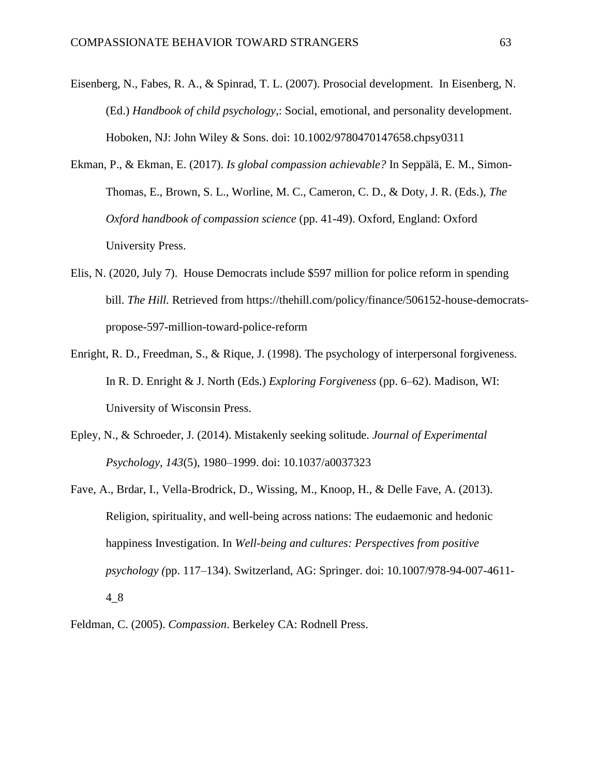- Eisenberg, N., Fabes, R. A., & Spinrad, T. L. (2007). Prosocial development. In Eisenberg, N. (Ed.) *Handbook of child psychology*,: Social, emotional, and personality development. Hoboken, NJ: John Wiley & Sons. doi: 10.1002/9780470147658.chpsy0311
- Ekman, P., & Ekman, E. (2017). *Is global compassion achievable?* In Seppälä, E. M., Simon-Thomas, E., Brown, S. L., Worline, M. C., Cameron, C. D., & Doty, J. R. (Eds.), *The Oxford handbook of compassion science* (pp. 41-49). Oxford, England: Oxford University Press.
- Elis, N. (2020, July 7). House Democrats include \$597 million for police reform in spending bill. *The Hill.* Retrieved from https://thehill.com/policy/finance/506152-house-democratspropose-597-million-toward-police-reform
- Enright, R. D., Freedman, S., & Rique, J. (1998). The psychology of interpersonal forgiveness. In R. D. Enright & J. North (Eds.) *Exploring Forgiveness* (pp. 6–62). Madison, WI: University of Wisconsin Press.
- Epley, N., & Schroeder, J. (2014). Mistakenly seeking solitude. *Journal of Experimental Psychology*, *143*(5), 1980–1999. doi: 10.1037/a0037323
- Fave, A., Brdar, I., Vella-Brodrick, D., Wissing, M., Knoop, H., & Delle Fave, A. (2013). Religion, spirituality, and well-being across nations: The eudaemonic and hedonic happiness Investigation. In *Well-being and cultures: Perspectives from positive psychology (*pp. 117–134). Switzerland, AG: Springer. doi: 10.1007/978-94-007-4611- 4\_8
- Feldman, C. (2005). *Compassion*. Berkeley CA: Rodnell Press.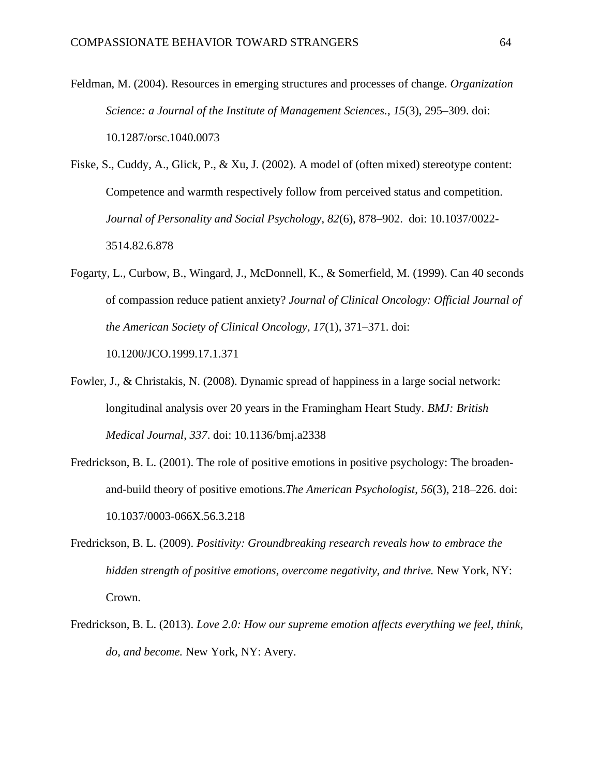- Feldman, M. (2004). Resources in emerging structures and processes of change. *Organization Science: a Journal of the Institute of Management Sciences.*, *15*(3), 295–309. doi: 10.1287/orsc.1040.0073
- Fiske, S., Cuddy, A., Glick, P., & Xu, J. (2002). A model of (often mixed) stereotype content: Competence and warmth respectively follow from perceived status and competition. *Journal of Personality and Social Psychology*, *82*(6), 878–902. doi: 10.1037/0022- 3514.82.6.878
- Fogarty, L., Curbow, B., Wingard, J., McDonnell, K., & Somerfield, M. (1999). Can 40 seconds of compassion reduce patient anxiety? *Journal of Clinical Oncology: Official Journal of the American Society of Clinical Oncology, 17*(1), 371–371. doi:

10.1200/JCO.1999.17.1.371

- Fowler, J., & Christakis, N. (2008). Dynamic spread of happiness in a large social network: longitudinal analysis over 20 years in the Framingham Heart Study. *BMJ: British Medical Journal*, *337*. doi: 10.1136/bmj.a2338
- Fredrickson, B. L. (2001). The role of positive emotions in positive psychology: The broadenand-build theory of positive emotions.*The American Psychologist*, *56*(3), 218–226. doi: 10.1037/0003-066X.56.3.218
- Fredrickson, B. L. (2009). *Positivity: Groundbreaking research reveals how to embrace the hidden strength of positive emotions, overcome negativity, and thrive.* New York, NY: Crown.
- Fredrickson, B. L. (2013). *Love 2.0: How our supreme emotion affects everything we feel, think, do, and become.* New York, NY: Avery.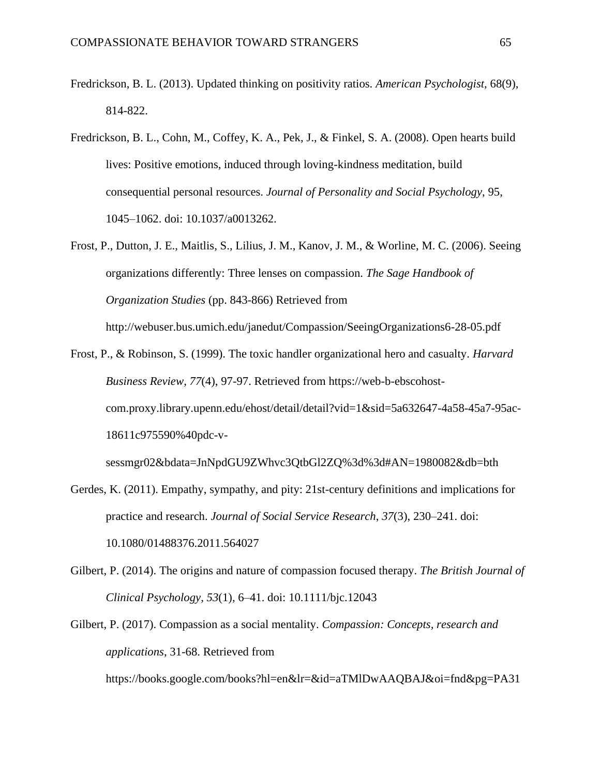- Fredrickson, B. L. (2013). Updated thinking on positivity ratios. *American Psychologist,* 68(9), 814-822.
- Fredrickson, B. L., Cohn, M., Coffey, K. A., Pek, J., & Finkel, S. A. (2008). Open hearts build lives: Positive emotions, induced through loving-kindness meditation, build consequential personal resources. *Journal of Personality and Social Psychology*, 95, 1045–1062. doi: 10.1037/a0013262.
- Frost, P., Dutton, J. E., Maitlis, S., Lilius, J. M., Kanov, J. M., & Worline, M. C. (2006). Seeing organizations differently: Three lenses on compassion. *The Sage Handbook of Organization Studies* (pp. 843-866) Retrieved from

http://webuser.bus.umich.edu/janedut/Compassion/SeeingOrganizations6-28-05.pdf

Frost, P., & Robinson, S. (1999). The toxic handler organizational hero and casualty. *Harvard Business Review*, *77*(4), 97-97. Retrieved from https://web-b-ebscohostcom.proxy.library.upenn.edu/ehost/detail/detail?vid=1&sid=5a632647-4a58-45a7-95ac-18611c975590%40pdc-v-

sessmgr02&bdata=JnNpdGU9ZWhvc3QtbGl2ZQ%3d%3d#AN=1980082&db=bth

- Gerdes, K. (2011). Empathy, sympathy, and pity: 21st-century definitions and implications for practice and research. *Journal of Social Service Research*, *37*(3), 230–241. doi: 10.1080/01488376.2011.564027
- Gilbert, P. (2014). The origins and nature of compassion focused therapy. *The British Journal of Clinical Psychology*, *53*(1), 6–41. doi: 10.1111/bjc.12043
- Gilbert, P. (2017). Compassion as a social mentality. *Compassion: Concepts, research and applications*, 31-68. Retrieved from

https://books.google.com/books?hl=en&lr=&id=aTMlDwAAQBAJ&oi=fnd&pg=PA31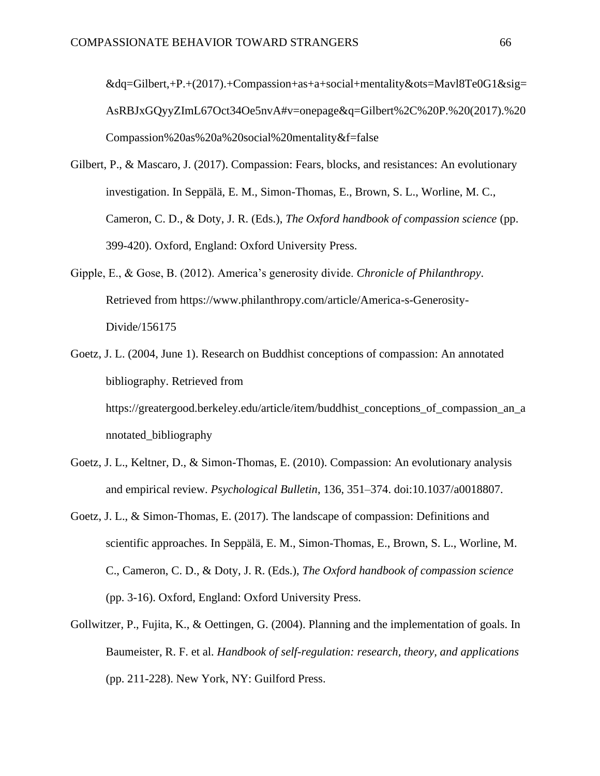$\&$ dq=Gilbert,+P.+(2017).+Compassion+as+a+social+mentality $\&$ ots=Mavl8Te0G1 $\&$ sig= AsRBJxGQyyZImL67Oct34Oe5nvA#v=onepage&q=Gilbert%2C%20P.%20(2017).%20 Compassion%20as%20a%20social%20mentality&f=false

- Gilbert, P., & Mascaro, J. (2017). Compassion: Fears, blocks, and resistances: An evolutionary investigation. In Seppälä, E. M., Simon-Thomas, E., Brown, S. L., Worline, M. C., Cameron, C. D., & Doty, J. R. (Eds.), *The Oxford handbook of compassion science* (pp. 399-420). Oxford, England: Oxford University Press.
- Gipple, E., & Gose, B. (2012). America's generosity divide. *Chronicle of Philanthropy*. Retrieved from https://www.philanthropy.com/article/America-s-Generosity-Divide/156175
- Goetz, J. L. (2004, June 1). Research on Buddhist conceptions of compassion: An annotated bibliography. Retrieved from https://greatergood.berkeley.edu/article/item/buddhist\_conceptions\_of\_compassion\_an\_a nnotated\_bibliography
- Goetz, J. L., Keltner, D., & Simon-Thomas, E. (2010). Compassion: An evolutionary analysis and empirical review. *Psychological Bulletin*, 136, 351–374. doi:10.1037/a0018807.
- Goetz, J. L., & Simon-Thomas, E. (2017). The landscape of compassion: Definitions and scientific approaches. In Seppälä, E. M., Simon-Thomas, E., Brown, S. L., Worline, M. C., Cameron, C. D., & Doty, J. R. (Eds.), *The Oxford handbook of compassion science* (pp. 3-16). Oxford, England: Oxford University Press.
- Gollwitzer, P., Fujita, K., & Oettingen, G. (2004). Planning and the implementation of goals. In Baumeister, R. F. et al. *Handbook of self-regulation: research, theory, and applications* (pp. 211-228). New York, NY: Guilford Press.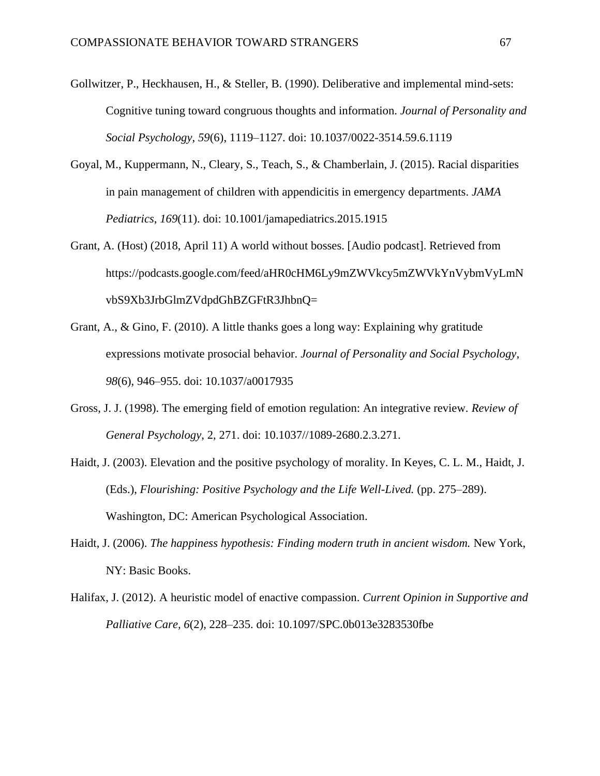- Gollwitzer, P., Heckhausen, H., & Steller, B. (1990). Deliberative and implemental mind-sets: Cognitive tuning toward congruous thoughts and information. *Journal of Personality and Social Psychology*, *59*(6), 1119–1127. doi: 10.1037/0022-3514.59.6.1119
- Goyal, M., Kuppermann, N., Cleary, S., Teach, S., & Chamberlain, J. (2015). Racial disparities in pain management of children with appendicitis in emergency departments. *JAMA Pediatrics*, *169*(11). doi: 10.1001/jamapediatrics.2015.1915
- Grant, A. (Host) (2018, April 11) A world without bosses. [Audio podcast]. Retrieved from https://podcasts.google.com/feed/aHR0cHM6Ly9mZWVkcy5mZWVkYnVybmVyLmN vbS9Xb3JrbGlmZVdpdGhBZGFtR3JhbnQ=
- Grant, A., & Gino, F. (2010). A little thanks goes a long way: Explaining why gratitude expressions motivate prosocial behavior. *Journal of Personality and Social Psychology*, *98*(6), 946–955. doi: 10.1037/a0017935
- Gross, J. J. (1998). The emerging field of emotion regulation: An integrative review. *Review of General Psychology*, 2, 271. doi: 10.1037//1089-2680.2.3.271.
- Haidt, J. (2003). Elevation and the positive psychology of morality. In Keyes, C. L. M., Haidt, J. (Eds.), *Flourishing: Positive Psychology and the Life Well-Lived.* (pp. 275–289). Washington, DC: American Psychological Association.
- Haidt, J. (2006). *The happiness hypothesis: Finding modern truth in ancient wisdom.* New York, NY: Basic Books.
- Halifax, J. (2012). A heuristic model of enactive compassion. *Current Opinion in Supportive and Palliative Care, 6*(2), 228–235. doi: 10.1097/SPC.0b013e3283530fbe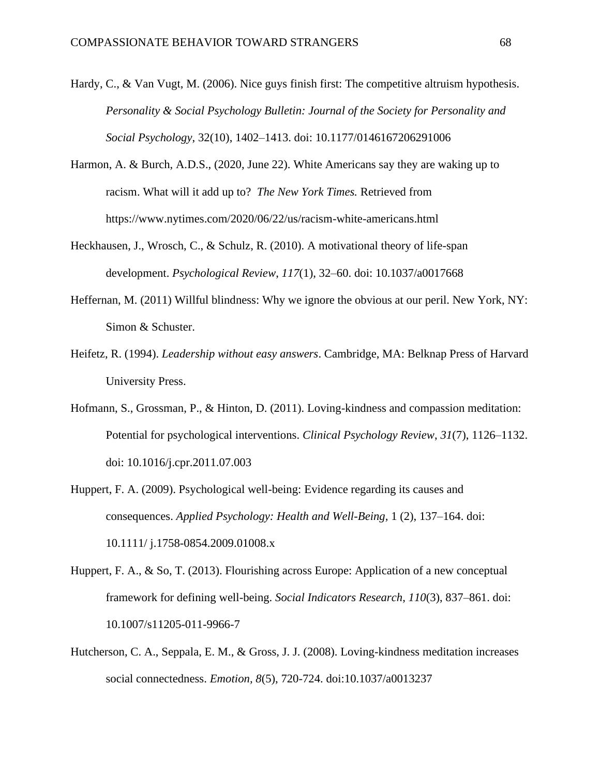- Hardy, C., & Van Vugt, M. (2006). Nice guys finish first: The competitive altruism hypothesis. *Personality & Social Psychology Bulletin: Journal of the Society for Personality and Social Psychology*, 32(10), 1402–1413. doi: 10.1177/0146167206291006
- Harmon, A. & Burch, A.D.S., (2020, June 22). White Americans say they are waking up to racism. What will it add up to? *The New York Times.* Retrieved from https://www.nytimes.com/2020/06/22/us/racism-white-americans.html
- Heckhausen, J., Wrosch, C., & Schulz, R. (2010). A motivational theory of life-span development. *Psychological Review*, *117*(1), 32–60. doi: 10.1037/a0017668
- Heffernan, M. (2011) Willful blindness: Why we ignore the obvious at our peril. New York, NY: Simon & Schuster.
- Heifetz, R. (1994). *Leadership without easy answers*. Cambridge, MA: Belknap Press of Harvard University Press.
- Hofmann, S., Grossman, P., & Hinton, D. (2011). Loving-kindness and compassion meditation: Potential for psychological interventions. *Clinical Psychology Review*, *31*(7), 1126–1132. doi: 10.1016/j.cpr.2011.07.003
- Huppert, F. A. (2009). Psychological well-being: Evidence regarding its causes and consequences. *Applied Psychology: Health and Well-Being,* 1 (2), 137–164. doi: 10.1111/ j.1758-0854.2009.01008.x
- Huppert, F. A., & So, T. (2013). Flourishing across Europe: Application of a new conceptual framework for defining well-being. *Social Indicators Research*, *110*(3), 837–861. doi: 10.1007/s11205-011-9966-7
- Hutcherson, C. A., Seppala, E. M., & Gross, J. J. (2008). Loving-kindness meditation increases social connectedness. *Emotion, 8*(5), 720-724. doi:10.1037/a0013237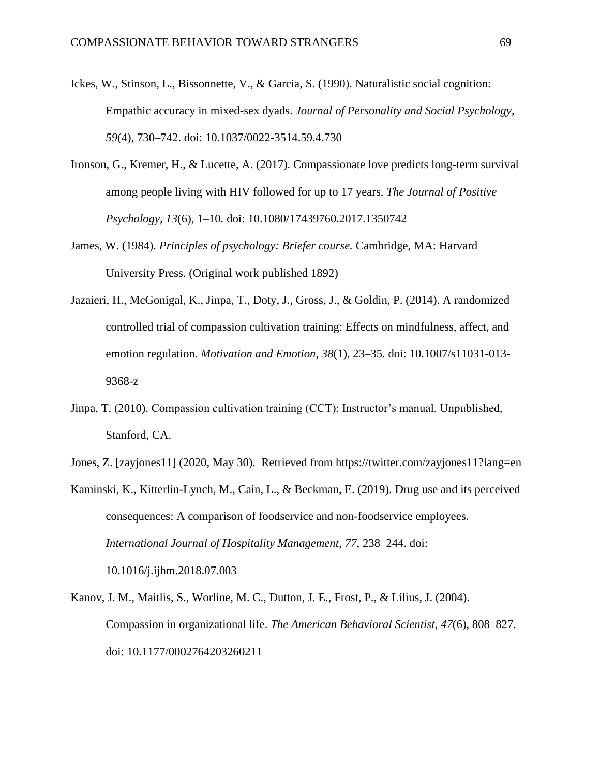- Ickes, W., Stinson, L., Bissonnette, V., & Garcia, S. (1990). Naturalistic social cognition: Empathic accuracy in mixed-sex dyads. *Journal of Personality and Social Psychology*, *59*(4), 730–742. doi: 10.1037/0022-3514.59.4.730
- Ironson, G., Kremer, H., & Lucette, A. (2017). Compassionate love predicts long-term survival among people living with HIV followed for up to 17 years. *The Journal of Positive Psychology*, *13*(6), 1–10. doi: 10.1080/17439760.2017.1350742
- James, W. (1984). *Principles of psychology: Briefer course.* Cambridge, MA: Harvard University Press. (Original work published 1892)
- Jazaieri, H., McGonigal, K., Jinpa, T., Doty, J., Gross, J., & Goldin, P. (2014). A randomized controlled trial of compassion cultivation training: Effects on mindfulness, affect, and emotion regulation. *Motivation and Emotion*, *38*(1), 23–35. doi: 10.1007/s11031-013- 9368-z
- Jinpa, T. (2010). Compassion cultivation training (CCT): Instructor's manual. Unpublished, Stanford, CA.
- Jones, Z. [zayjones11] (2020, May 30). Retrieved from https://twitter.com/zayjones11?lang=en
- Kaminski, K., Kitterlin-Lynch, M., Cain, L., & Beckman, E. (2019). Drug use and its perceived consequences: A comparison of foodservice and non-foodservice employees. *International Journal of Hospitality Management*, *77*, 238–244. doi: 10.1016/j.ijhm.2018.07.003
- Kanov, J. M., Maitlis, S., Worline, M. C., Dutton, J. E., Frost, P., & Lilius, J. (2004). Compassion in organizational life. *The American Behavioral Scientist*, *47*(6), 808–827. doi: 10.1177/0002764203260211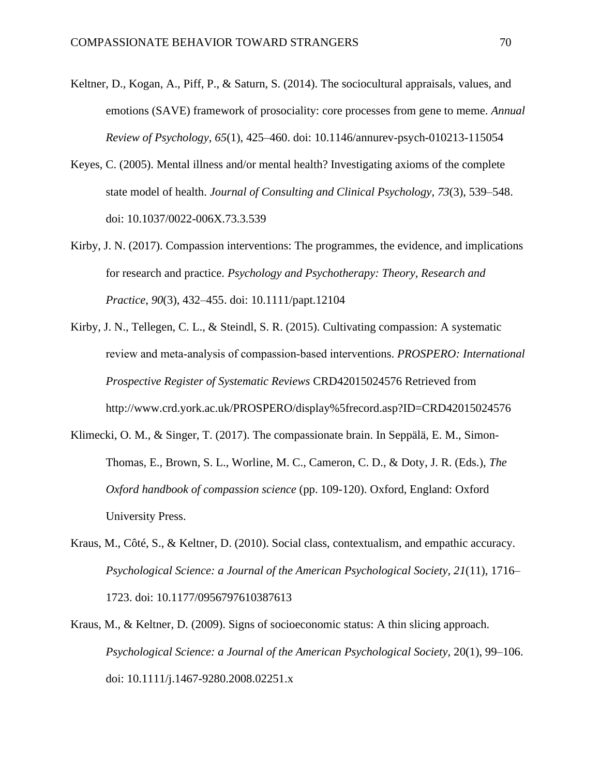- Keltner, D., Kogan, A., Piff, P., & Saturn, S. (2014). The sociocultural appraisals, values, and emotions (SAVE) framework of prosociality: core processes from gene to meme. *Annual Review of Psychology*, *65*(1), 425–460. doi: 10.1146/annurev-psych-010213-115054
- Keyes, C. (2005). Mental illness and/or mental health? Investigating axioms of the complete state model of health. *Journal of Consulting and Clinical Psychology*, *73*(3), 539–548. doi: 10.1037/0022-006X.73.3.539
- Kirby, J. N. (2017). Compassion interventions: The programmes, the evidence, and implications for research and practice. *Psychology and Psychotherapy: Theory, Research and Practice*, *90*(3), 432–455. doi: 10.1111/papt.12104
- Kirby, J. N., Tellegen, C. L., & Steindl, S. R. (2015). Cultivating compassion: A systematic review and meta‐analysis of compassion‐based interventions. *PROSPERO: International Prospective Register of Systematic Reviews* CRD42015024576 Retrieved from http://www.crd.york.ac.uk/PROSPERO/display%5frecord.asp?ID=CRD42015024576
- Klimecki, O. M., & Singer, T. (2017). The compassionate brain. In Seppälä, E. M., Simon-Thomas, E., Brown, S. L., Worline, M. C., Cameron, C. D., & Doty, J. R. (Eds.), *The Oxford handbook of compassion science* (pp. 109-120). Oxford, England: Oxford University Press.
- Kraus, M., Côté, S., & Keltner, D. (2010). Social class, contextualism, and empathic accuracy. *Psychological Science: a Journal of the American Psychological Society, 21*(11), 1716– 1723. doi: 10.1177/0956797610387613
- Kraus, M., & Keltner, D. (2009). Signs of socioeconomic status: A thin slicing approach. *Psychological Science: a Journal of the American Psychological Society,* 20(1), 99–106. doi: 10.1111/j.1467-9280.2008.02251.x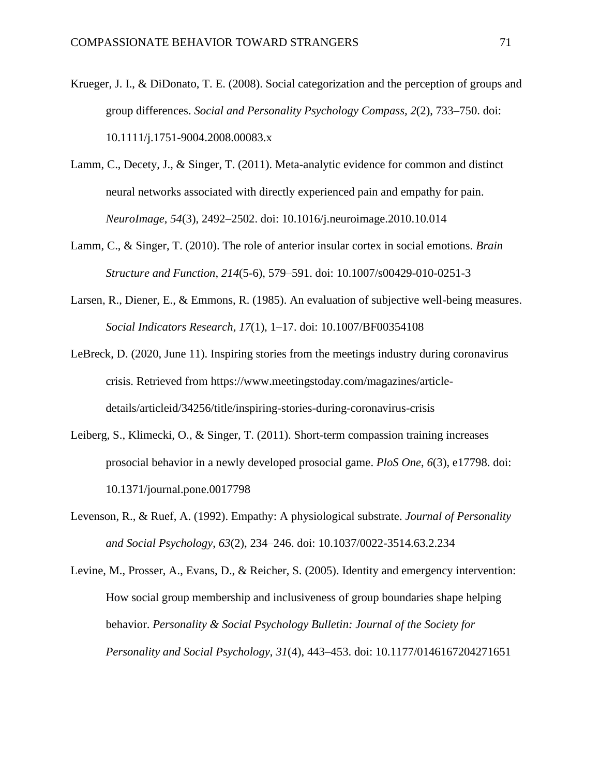- Krueger, J. I., & DiDonato, T. E. (2008). Social categorization and the perception of groups and group differences. *Social and Personality Psychology Compass, 2*(2), 733–750. doi: 10.1111/j.1751-9004.2008.00083.x
- Lamm, C., Decety, J., & Singer, T. (2011). Meta-analytic evidence for common and distinct neural networks associated with directly experienced pain and empathy for pain. *NeuroImage*, *54*(3), 2492–2502. doi: 10.1016/j.neuroimage.2010.10.014
- Lamm, C., & Singer, T. (2010). The role of anterior insular cortex in social emotions. *Brain Structure and Function*, *214*(5-6), 579–591. doi: 10.1007/s00429-010-0251-3
- Larsen, R., Diener, E., & Emmons, R. (1985). An evaluation of subjective well-being measures. *Social Indicators Research*, *17*(1), 1–17. doi: 10.1007/BF00354108
- LeBreck, D. (2020, June 11). Inspiring stories from the meetings industry during coronavirus crisis. Retrieved from https://www.meetingstoday.com/magazines/articledetails/articleid/34256/title/inspiring-stories-during-coronavirus-crisis
- Leiberg, S., Klimecki, O., & Singer, T. (2011). Short-term compassion training increases prosocial behavior in a newly developed prosocial game. *PloS One*, *6*(3), e17798. doi: 10.1371/journal.pone.0017798
- Levenson, R., & Ruef, A. (1992). Empathy: A physiological substrate. *Journal of Personality and Social Psychology*, *63*(2), 234–246. doi: 10.1037/0022-3514.63.2.234
- Levine, M., Prosser, A., Evans, D., & Reicher, S. (2005). Identity and emergency intervention: How social group membership and inclusiveness of group boundaries shape helping behavior. *Personality & Social Psychology Bulletin: Journal of the Society for Personality and Social Psychology*, *31*(4), 443–453. doi: 10.1177/0146167204271651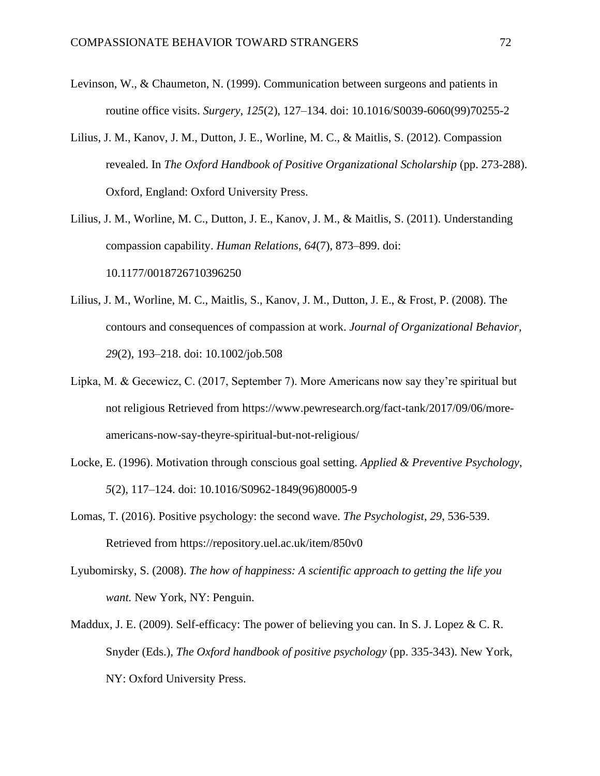- Levinson, W., & Chaumeton, N. (1999). Communication between surgeons and patients in routine office visits. *Surgery*, *125*(2), 127–134. doi: 10.1016/S0039-6060(99)70255-2
- Lilius, J. M., Kanov, J. M., Dutton, J. E., Worline, M. C., & Maitlis, S. (2012). Compassion revealed. In *The Oxford Handbook of Positive Organizational Scholarship* (pp. 273-288). Oxford, England: Oxford University Press.
- Lilius, J. M., Worline, M. C., Dutton, J. E., Kanov, J. M., & Maitlis, S. (2011). Understanding compassion capability. *Human Relations*, *64*(7), 873–899. doi: 10.1177/0018726710396250
- Lilius, J. M., Worline, M. C., Maitlis, S., Kanov, J. M., Dutton, J. E., & Frost, P. (2008). The contours and consequences of compassion at work. *Journal of Organizational Behavior*, *29*(2), 193–218. doi: 10.1002/job.508
- Lipka, M. & Gecewicz, C. (2017, September 7). More Americans now say they're spiritual but not religious Retrieved from https://www.pewresearch.org/fact-tank/2017/09/06/moreamericans-now-say-theyre-spiritual-but-not-religious/
- Locke, E. (1996). Motivation through conscious goal setting. *Applied & Preventive Psychology*, *5*(2), 117–124. doi: 10.1016/S0962-1849(96)80005-9
- Lomas, T. (2016). Positive psychology: the second wave. *The Psychologist*, *29*, 536-539. Retrieved from https://repository.uel.ac.uk/item/850v0
- Lyubomirsky, S. (2008). *The how of happiness: A scientific approach to getting the life you want.* New York, NY: Penguin.
- Maddux, J. E. (2009). Self-efficacy: The power of believing you can. In S. J. Lopez & C. R. Snyder (Eds.), *The Oxford handbook of positive psychology* (pp. 335-343). New York, NY: Oxford University Press.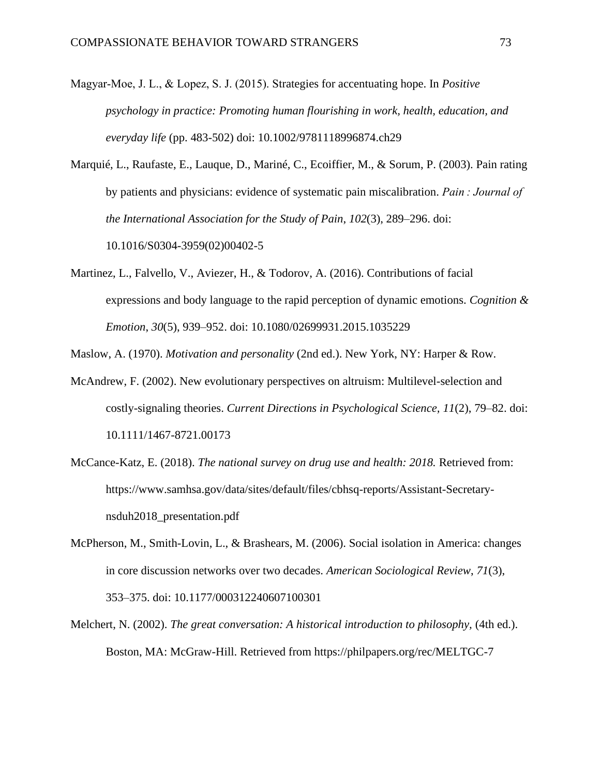Magyar‐Moe, J. L., & Lopez, S. J. (2015). Strategies for accentuating hope. In *Positive psychology in practice: Promoting human flourishing in work, health, education, and everyday life* (pp. 483-502) doi: 10.1002/9781118996874.ch29

Marquié, L., Raufaste, E., Lauque, D., Mariné, C., Ecoiffier, M., & Sorum, P. (2003). Pain rating by patients and physicians: evidence of systematic pain miscalibration. *Pain : Journal of the International Association for the Study of Pain*, *102*(3), 289–296. doi: 10.1016/S0304-3959(02)00402-5

Martinez, L., Falvello, V., Aviezer, H., & Todorov, A. (2016). Contributions of facial expressions and body language to the rapid perception of dynamic emotions. *Cognition & Emotion*, *30*(5), 939–952. doi: 10.1080/02699931.2015.1035229

Maslow, A. (1970). *Motivation and personality* (2nd ed.). New York, NY: Harper & Row.

- McAndrew, F. (2002). New evolutionary perspectives on altruism: Multilevel-selection and costly-signaling theories. *Current Directions in Psychological Science, 11*(2), 79–82. doi: 10.1111/1467-8721.00173
- McCance-Katz, E. (2018). *The national survey on drug use and health: 2018.* Retrieved from: https://www.samhsa.gov/data/sites/default/files/cbhsq-reports/Assistant-Secretarynsduh2018\_presentation.pdf
- McPherson, M., Smith-Lovin, L., & Brashears, M. (2006). Social isolation in America: changes in core discussion networks over two decades. *American Sociological Review*, *71*(3), 353–375. doi: 10.1177/000312240607100301
- Melchert, N. (2002). *The great conversation: A historical introduction to philosophy,* (4th ed.). Boston, MA: McGraw-Hill. Retrieved from https://philpapers.org/rec/MELTGC-7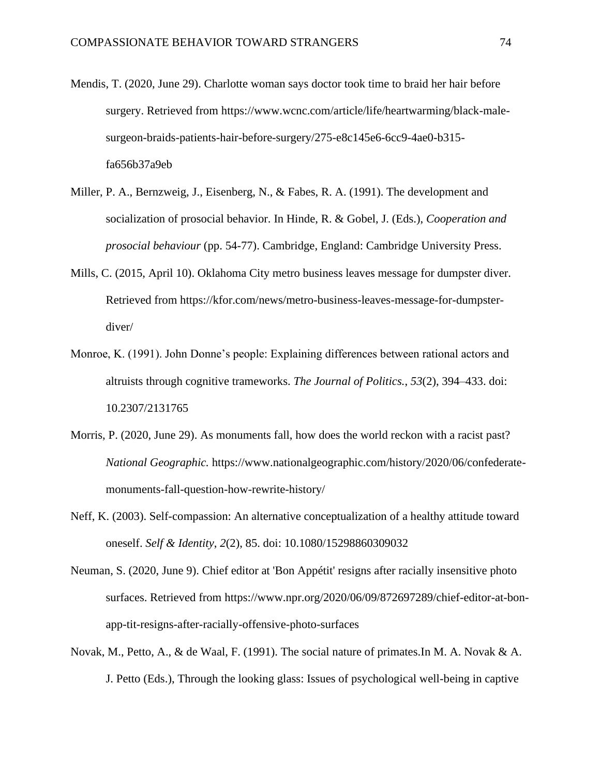- Mendis, T. (2020, June 29). Charlotte woman says doctor took time to braid her hair before surgery. Retrieved from https://www.wcnc.com/article/life/heartwarming/black-malesurgeon-braids-patients-hair-before-surgery/275-e8c145e6-6cc9-4ae0-b315 fa656b37a9eb
- Miller, P. A., Bernzweig, J., Eisenberg, N., & Fabes, R. A. (1991). The development and socialization of prosocial behavior. In Hinde, R. & Gobel, J. (Eds.), *Cooperation and prosocial behaviour* (pp. 54-77). Cambridge, England: Cambridge University Press.
- Mills, C. (2015, April 10). Oklahoma City metro business leaves message for dumpster diver. Retrieved from https://kfor.com/news/metro-business-leaves-message-for-dumpsterdiver/
- Monroe, K. (1991). John Donne's people: Explaining differences between rational actors and altruists through cognitive trameworks. *The Journal of Politics.*, *53*(2), 394–433. doi: 10.2307/2131765
- Morris, P. (2020, June 29). As monuments fall, how does the world reckon with a racist past? *National Geographic.* https://www.nationalgeographic.com/history/2020/06/confederatemonuments-fall-question-how-rewrite-history/
- Neff, K. (2003). Self-compassion: An alternative conceptualization of a healthy attitude toward oneself. *Self & Identity*, *2*(2), 85. doi: 10.1080/15298860309032
- Neuman, S. (2020, June 9). Chief editor at 'Bon Appétit' resigns after racially insensitive photo surfaces. Retrieved from https://www.npr.org/2020/06/09/872697289/chief-editor-at-bonapp-tit-resigns-after-racially-offensive-photo-surfaces
- Novak, M., Petto, A., & de Waal, F. (1991). The social nature of primates.In M. A. Novak & A. J. Petto (Eds.), Through the looking glass: Issues of psychological well-being in captive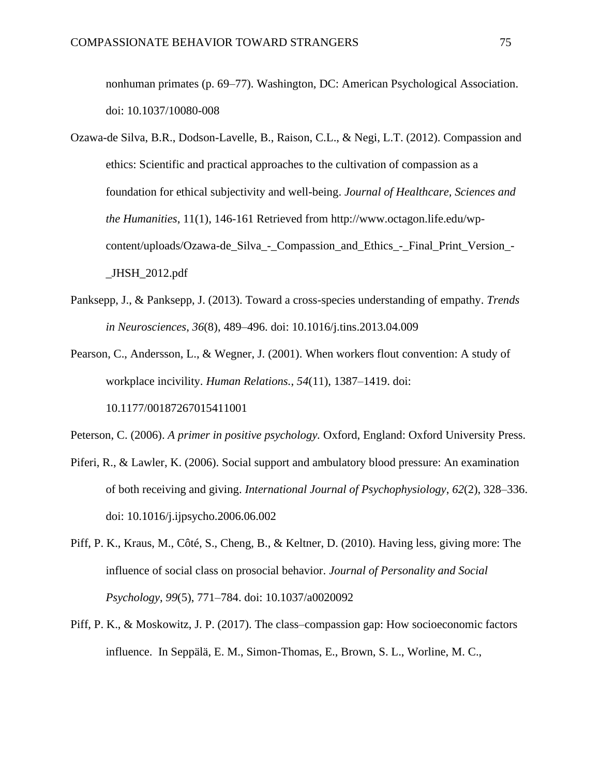nonhuman primates (p. 69–77). Washington, DC: American Psychological Association. doi: 10.1037/10080-008

- Ozawa-de Silva, B.R., Dodson-Lavelle, B., Raison, C.L., & Negi, L.T. (2012). Compassion and ethics: Scientific and practical approaches to the cultivation of compassion as a foundation for ethical subjectivity and well-being. *Journal of Healthcare, Sciences and the Humanities*, 11(1), 146-161 Retrieved from http://www.octagon.life.edu/wpcontent/uploads/Ozawa-de\_Silva\_-\_Compassion\_and\_Ethics\_-\_Final\_Print\_Version\_- \_JHSH\_2012.pdf
- Panksepp, J., & Panksepp, J. (2013). Toward a cross-species understanding of empathy. *Trends in Neurosciences*, *36*(8), 489–496. doi: 10.1016/j.tins.2013.04.009
- Pearson, C., Andersson, L., & Wegner, J. (2001). When workers flout convention: A study of workplace incivility. *Human Relations.*, *54*(11), 1387–1419. doi: 10.1177/00187267015411001

Peterson, C. (2006). *A primer in positive psychology.* Oxford, England: Oxford University Press.

- Piferi, R., & Lawler, K. (2006). Social support and ambulatory blood pressure: An examination of both receiving and giving. *International Journal of Psychophysiology*, *62*(2), 328–336. doi: 10.1016/j.ijpsycho.2006.06.002
- Piff, P. K., Kraus, M., Côté, S., Cheng, B., & Keltner, D. (2010). Having less, giving more: The influence of social class on prosocial behavior. *Journal of Personality and Social Psychology*, *99*(5), 771–784. doi: 10.1037/a0020092
- Piff, P. K., & Moskowitz, J. P. (2017). The class–compassion gap: How socioeconomic factors influence. In Seppälä, E. M., Simon-Thomas, E., Brown, S. L., Worline, M. C.,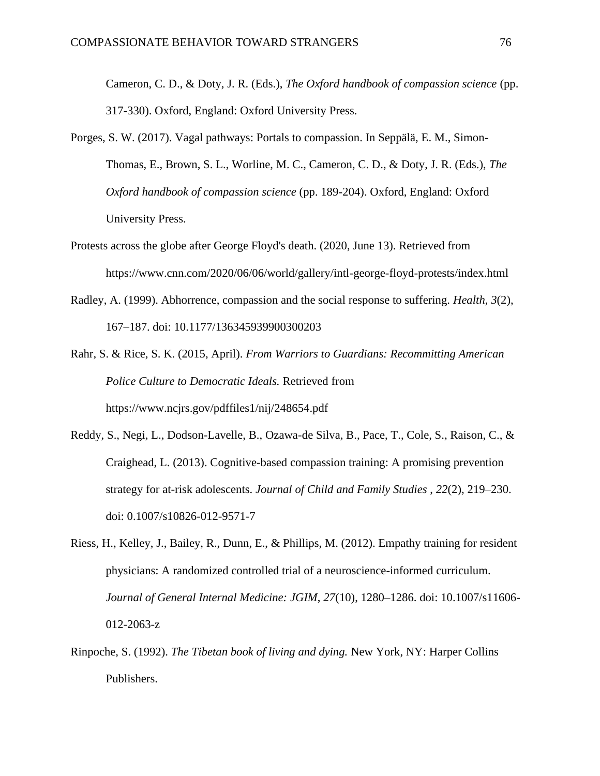Cameron, C. D., & Doty, J. R. (Eds.), *The Oxford handbook of compassion science* (pp. 317-330). Oxford, England: Oxford University Press.

- Porges, S. W. (2017). Vagal pathways: Portals to compassion. In Seppälä, E. M., Simon-Thomas, E., Brown, S. L., Worline, M. C., Cameron, C. D., & Doty, J. R. (Eds.), *The Oxford handbook of compassion science* (pp. 189-204). Oxford, England: Oxford University Press.
- Protests across the globe after George Floyd's death. (2020, June 13). Retrieved from https://www.cnn.com/2020/06/06/world/gallery/intl-george-floyd-protests/index.html
- Radley, A. (1999). Abhorrence, compassion and the social response to suffering. *Health*, *3*(2), 167–187. doi: 10.1177/136345939900300203
- Rahr, S. & Rice, S. K. (2015, April). *From Warriors to Guardians: Recommitting American Police Culture to Democratic Ideals.* Retrieved from https://www.ncjrs.gov/pdffiles1/nij/248654.pdf
- Reddy, S., Negi, L., Dodson-Lavelle, B., Ozawa-de Silva, B., Pace, T., Cole, S., Raison, C., & Craighead, L. (2013). Cognitive-based compassion training: A promising prevention strategy for at-risk adolescents. *Journal of Child and Family Studies* , *22*(2), 219–230. doi: 0.1007/s10826-012-9571-7
- Riess, H., Kelley, J., Bailey, R., Dunn, E., & Phillips, M. (2012). Empathy training for resident physicians: A randomized controlled trial of a neuroscience-informed curriculum. *Journal of General Internal Medicine: JGIM*, *27*(10), 1280–1286. doi: 10.1007/s11606- 012-2063-z
- Rinpoche, S. (1992). *The Tibetan book of living and dying.* New York, NY: Harper Collins Publishers.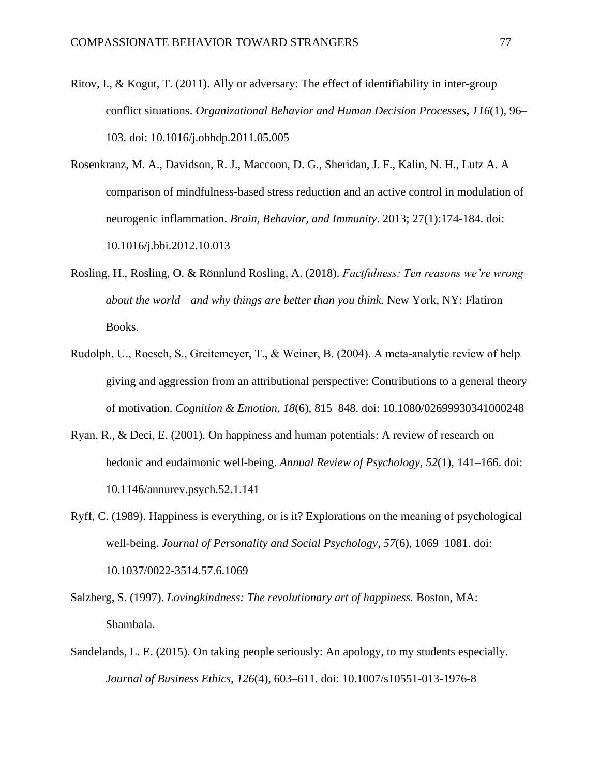- Ritov, I., & Kogut, T. (2011). Ally or adversary: The effect of identifiability in inter-group conflict situations. *Organizational Behavior and Human Decision Processes*, *116*(1), 96– 103. doi: 10.1016/j.obhdp.2011.05.005
- Rosenkranz, M. A., Davidson, R. J., Maccoon, D. G., Sheridan, J. F., Kalin, N. H., Lutz A. A comparison of mindfulness-based stress reduction and an active control in modulation of neurogenic inflammation. *Brain, Behavior, and Immunity*. 2013; 27(1):174-184. doi: 10.1016/j.bbi.2012.10.013
- Rosling, H., Rosling, O. & Rönnlund Rosling, A. (2018). *Factfulness: Ten reasons we're wrong about the world—and why things are better than you think.* New York, NY: Flatiron Books.
- Rudolph, U., Roesch, S., Greitemeyer, T., & Weiner, B. (2004). A meta‐analytic review of help giving and aggression from an attributional perspective: Contributions to a general theory of motivation. *Cognition & Emotion*, *18*(6), 815–848. doi: 10.1080/02699930341000248
- Ryan, R., & Deci, E. (2001). On happiness and human potentials: A review of research on hedonic and eudaimonic well-being. *Annual Review of Psychology*, *52*(1), 141–166. doi: 10.1146/annurev.psych.52.1.141
- Ryff, C. (1989). Happiness is everything, or is it? Explorations on the meaning of psychological well-being. *Journal of Personality and Social Psychology*, *57*(6), 1069–1081. doi: 10.1037/0022-3514.57.6.1069
- Salzberg, S. (1997). *Lovingkindness: The revolutionary art of happiness.* Boston, MA: Shambala.
- Sandelands, L. E. (2015). On taking people seriously: An apology, to my students especially. *Journal of Business Ethics*, *126*(4), 603–611. doi: 10.1007/s10551-013-1976-8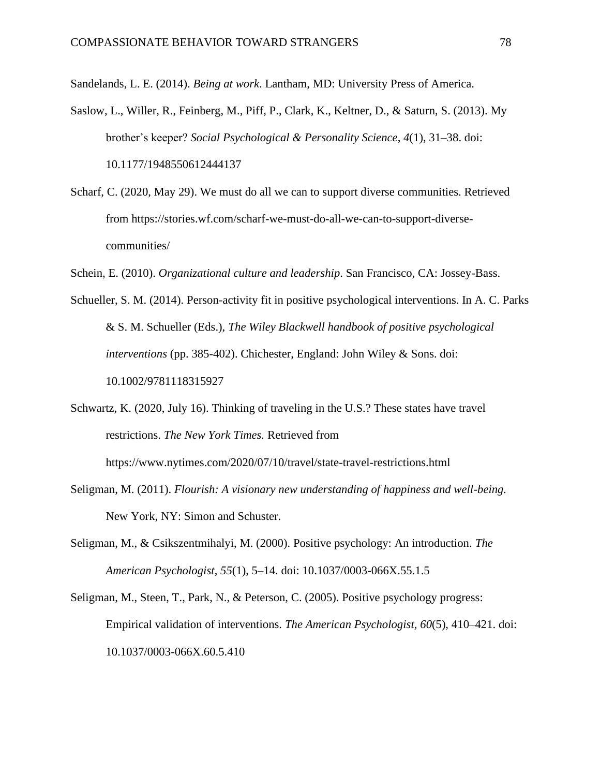Sandelands, L. E. (2014). *Being at work*. Lantham, MD: University Press of America.

- Saslow, L., Willer, R., Feinberg, M., Piff, P., Clark, K., Keltner, D., & Saturn, S. (2013). My brother's keeper? *Social Psychological & Personality Science*, *4*(1), 31–38. doi: 10.1177/1948550612444137
- Scharf, C. (2020, May 29). We must do all we can to support diverse communities. Retrieved from https://stories.wf.com/scharf-we-must-do-all-we-can-to-support-diversecommunities/

Schein, E. (2010). *Organizational culture and leadership*. San Francisco, CA: Jossey-Bass.

Schueller, S. M. (2014). Person-activity fit in positive psychological interventions. In A. C. Parks & S. M. Schueller (Eds.), *The Wiley Blackwell handbook of positive psychological interventions* (pp. 385-402). Chichester, England: John Wiley & Sons. doi: 10.1002/9781118315927

Schwartz, K. (2020, July 16). Thinking of traveling in the U.S.? These states have travel restrictions. *The New York Times.* Retrieved from https://www.nytimes.com/2020/07/10/travel/state-travel-restrictions.html

- Seligman, M. (2011). *Flourish: A visionary new understanding of happiness and well-being.*  New York, NY: Simon and Schuster.
- Seligman, M., & Csikszentmihalyi, M. (2000). Positive psychology: An introduction. *The American Psychologist*, *55*(1), 5–14. doi: 10.1037/0003-066X.55.1.5
- Seligman, M., Steen, T., Park, N., & Peterson, C. (2005). Positive psychology progress: Empirical validation of interventions. *The American Psychologist, 60*(5), 410–421. doi: 10.1037/0003-066X.60.5.410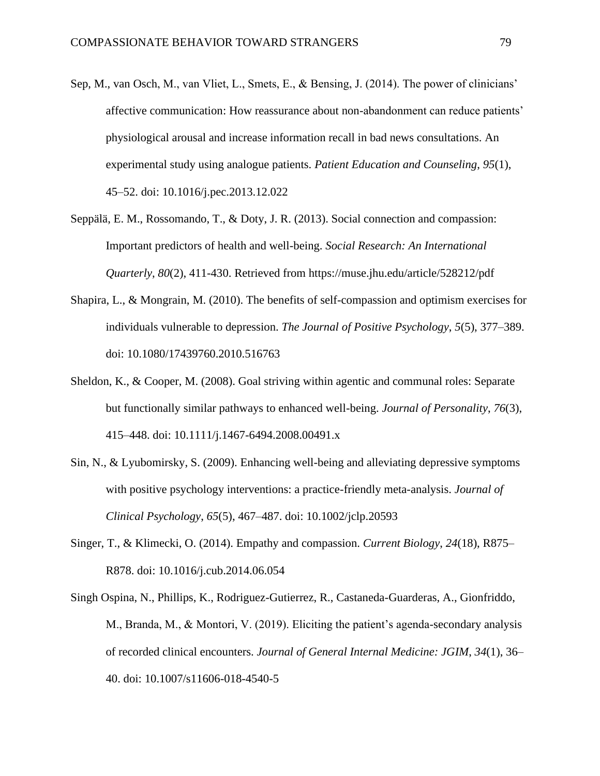- Sep, M., van Osch, M., van Vliet, L., Smets, E., & Bensing, J. (2014). The power of clinicians' affective communication: How reassurance about non-abandonment can reduce patients' physiological arousal and increase information recall in bad news consultations. An experimental study using analogue patients. *Patient Education and Counseling*, *95*(1), 45–52. doi: 10.1016/j.pec.2013.12.022
- Seppälä, E. M., Rossomando, T., & Doty, J. R. (2013). Social connection and compassion: Important predictors of health and well-being. *Social Research: An International Quarterly*, *80*(2), 411-430. Retrieved from https://muse.jhu.edu/article/528212/pdf
- Shapira, L., & Mongrain, M. (2010). The benefits of self-compassion and optimism exercises for individuals vulnerable to depression. *The Journal of Positive Psychology*, *5*(5), 377–389. doi: 10.1080/17439760.2010.516763
- Sheldon, K., & Cooper, M. (2008). Goal striving within agentic and communal roles: Separate but functionally similar pathways to enhanced well-being. *Journal of Personality*, *76*(3), 415–448. doi: 10.1111/j.1467-6494.2008.00491.x
- Sin, N., & Lyubomirsky, S. (2009). Enhancing well-being and alleviating depressive symptoms with positive psychology interventions: a practice-friendly meta-analysis. *Journal of Clinical Psychology*, *65*(5), 467–487. doi: 10.1002/jclp.20593
- Singer, T., & Klimecki, O. (2014). Empathy and compassion. *Current Biology*, *24*(18), R875– R878. doi: 10.1016/j.cub.2014.06.054
- Singh Ospina, N., Phillips, K., Rodriguez-Gutierrez, R., Castaneda-Guarderas, A., Gionfriddo, M., Branda, M., & Montori, V. (2019). Eliciting the patient's agenda-secondary analysis of recorded clinical encounters. *Journal of General Internal Medicine: JGIM*, *34*(1), 36– 40. doi: 10.1007/s11606-018-4540-5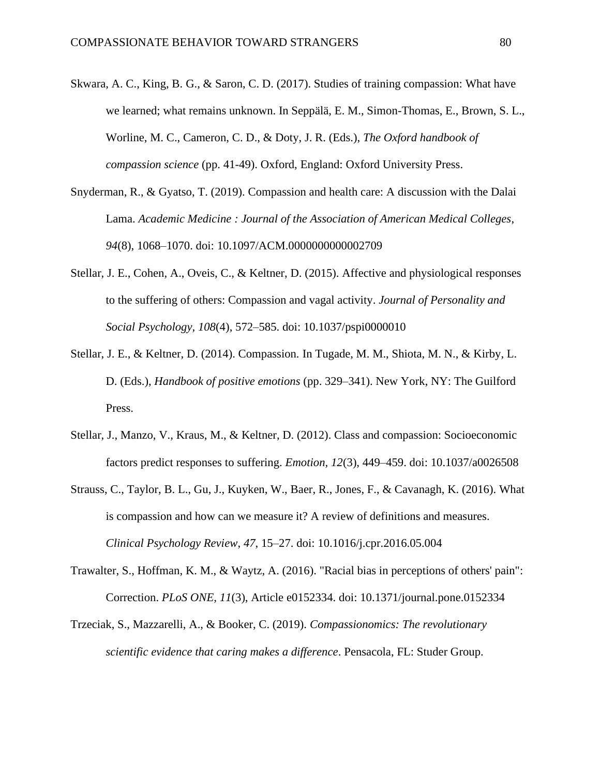- Skwara, A. C., King, B. G., & Saron, C. D. (2017). Studies of training compassion: What have we learned; what remains unknown. In Seppälä, E. M., Simon-Thomas, E., Brown, S. L., Worline, M. C., Cameron, C. D., & Doty, J. R. (Eds.), *The Oxford handbook of compassion science* (pp. 41-49). Oxford, England: Oxford University Press.
- Snyderman, R., & Gyatso, T. (2019). Compassion and health care: A discussion with the Dalai Lama. *Academic Medicine : Journal of the Association of American Medical Colleges*, *94*(8), 1068–1070. doi: 10.1097/ACM.0000000000002709
- Stellar, J. E., Cohen, A., Oveis, C., & Keltner, D. (2015). Affective and physiological responses to the suffering of others: Compassion and vagal activity. *Journal of Personality and Social Psychology, 108*(4), 572–585. doi: 10.1037/pspi0000010
- Stellar, J. E., & Keltner, D. (2014). Compassion*.* In Tugade, M. M., Shiota, M. N., & Kirby, L. D. (Eds.), *Handbook of positive emotions* (pp. 329–341). New York, NY: The Guilford Press.
- Stellar, J., Manzo, V., Kraus, M., & Keltner, D. (2012). Class and compassion: Socioeconomic factors predict responses to suffering. *Emotion, 12*(3), 449–459. doi: 10.1037/a0026508
- Strauss, C., Taylor, B. L., Gu, J., Kuyken, W., Baer, R., Jones, F., & Cavanagh, K. (2016). What is compassion and how can we measure it? A review of definitions and measures. *Clinical Psychology Review*, *47*, 15–27. doi: 10.1016/j.cpr.2016.05.004
- Trawalter, S., Hoffman, K. M., & Waytz, A. (2016). "Racial bias in perceptions of others' pain": Correction. *PLoS ONE, 11*(3), Article e0152334. doi: 10.1371/journal.pone.0152334
- Trzeciak, S., Mazzarelli, A., & Booker, C. (2019). *Compassionomics: The revolutionary scientific evidence that caring makes a difference*. Pensacola, FL: Studer Group.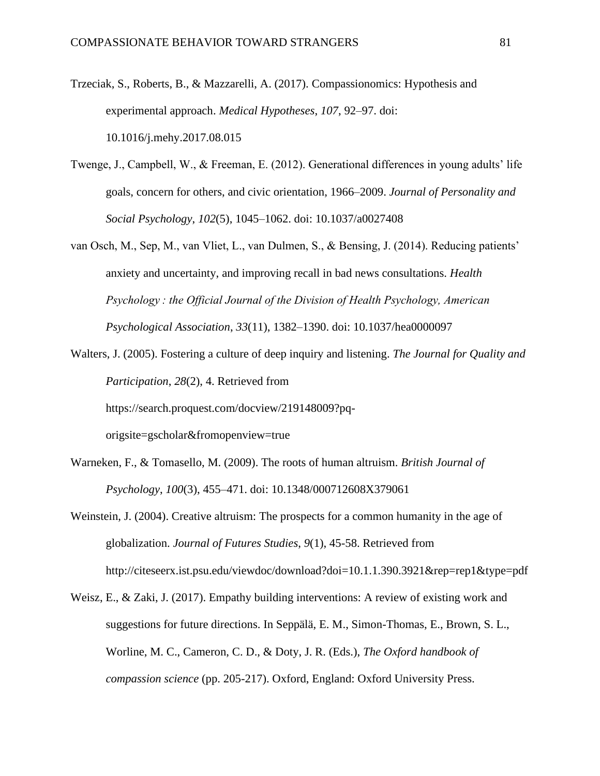- Trzeciak, S., Roberts, B., & Mazzarelli, A. (2017). Compassionomics: Hypothesis and experimental approach. *Medical Hypotheses*, *107*, 92–97. doi: 10.1016/j.mehy.2017.08.015
- Twenge, J., Campbell, W., & Freeman, E. (2012). Generational differences in young adults' life goals, concern for others, and civic orientation, 1966–2009. *Journal of Personality and Social Psychology*, *102*(5), 1045–1062. doi: 10.1037/a0027408
- van Osch, M., Sep, M., van Vliet, L., van Dulmen, S., & Bensing, J. (2014). Reducing patients' anxiety and uncertainty, and improving recall in bad news consultations. *Health Psychology : the Official Journal of the Division of Health Psychology, American Psychological Association*, *33*(11), 1382–1390. doi: 10.1037/hea0000097
- Walters, J. (2005). Fostering a culture of deep inquiry and listening. *The Journal for Quality and Participation*, *28*(2), 4. Retrieved from

https://search.proquest.com/docview/219148009?pq-

origsite=gscholar&fromopenview=true

- Warneken, F., & Tomasello, M. (2009). The roots of human altruism. *British Journal of Psychology*, *100*(3), 455–471. doi: 10.1348/000712608X379061
- Weinstein, J. (2004). Creative altruism: The prospects for a common humanity in the age of globalization. *Journal of Futures Studies*, *9*(1), 45-58. Retrieved from http://citeseerx.ist.psu.edu/viewdoc/download?doi=10.1.1.390.3921&rep=rep1&type=pdf
- Weisz, E., & Zaki, J. (2017). Empathy building interventions: A review of existing work and suggestions for future directions. In Seppälä, E. M., Simon-Thomas, E., Brown, S. L., Worline, M. C., Cameron, C. D., & Doty, J. R. (Eds.), *The Oxford handbook of compassion science* (pp. 205-217). Oxford, England: Oxford University Press.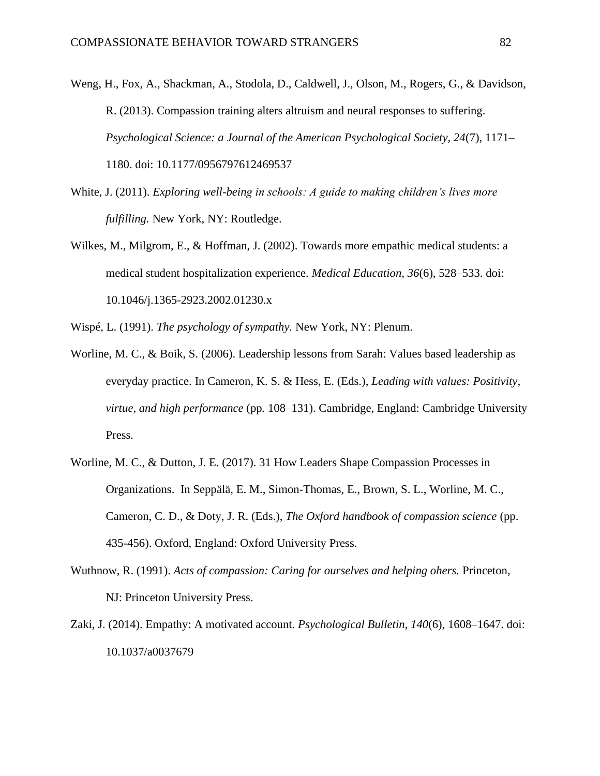- Weng, H., Fox, A., Shackman, A., Stodola, D., Caldwell, J., Olson, M., Rogers, G., & Davidson, R. (2013). Compassion training alters altruism and neural responses to suffering. *Psychological Science: a Journal of the American Psychological Society, 24*(7), 1171– 1180. doi: 10.1177/0956797612469537
- White, J. (2011). *Exploring well-being in schools: A guide to making children's lives more fulfilling.* New York, NY: Routledge.
- Wilkes, M., Milgrom, E., & Hoffman, J. (2002). Towards more empathic medical students: a medical student hospitalization experience. *Medical Education*, *36*(6), 528–533. doi: 10.1046/j.1365-2923.2002.01230.x

Wispé, L. (1991). *The psychology of sympathy.* New York, NY: Plenum.

- Worline, M. C., & Boik, S. (2006). Leadership lessons from Sarah: Values based leadership as everyday practice. In Cameron, K. S. & Hess, E. (Eds.), *Leading with values: Positivity, virtue, and high performance* (pp*.* 108–131). Cambridge, England: Cambridge University Press.
- Worline, M. C., & Dutton, J. E. (2017). 31 How Leaders Shape Compassion Processes in Organizations. In Seppälä, E. M., Simon-Thomas, E., Brown, S. L., Worline, M. C., Cameron, C. D., & Doty, J. R. (Eds.), *The Oxford handbook of compassion science* (pp. 435-456). Oxford, England: Oxford University Press.
- Wuthnow, R. (1991). *Acts of compassion: Caring for ourselves and helping ohers.* Princeton, NJ: Princeton University Press.
- Zaki, J. (2014). Empathy: A motivated account. *Psychological Bulletin*, *140*(6), 1608–1647. doi: 10.1037/a0037679